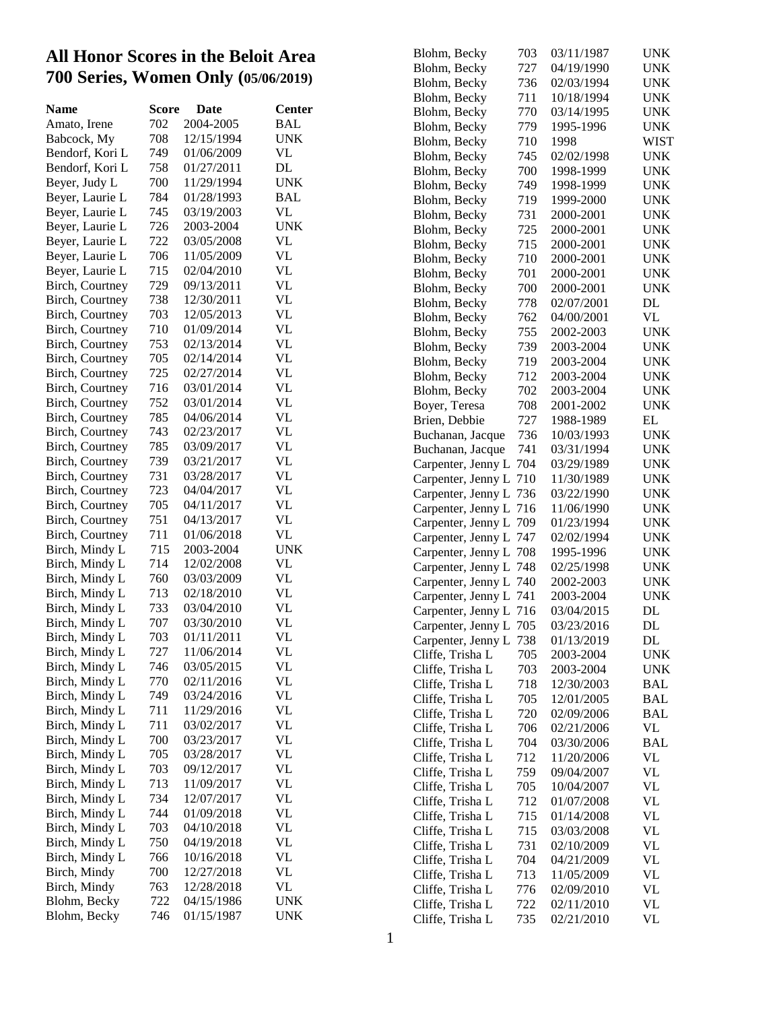### **All Honor Scores in the Beloit Area 700 Series, Women Only (05/06/2019 )**

| <b>Name</b>     | Score | Date       | Center     |
|-----------------|-------|------------|------------|
| Amato, Irene    | 702   | 2004-2005  | <b>BAL</b> |
| Babcock, My     | 708   | 12/15/1994 | <b>UNK</b> |
| Bendorf, Kori L | 749   | 01/06/2009 | VL         |
| Bendorf, Kori L | 758   | 01/27/2011 | DL         |
| Beyer, Judy L   | 700   | 11/29/1994 | <b>UNK</b> |
| Beyer, Laurie L | 784   | 01/28/1993 | BAL        |
| Beyer, Laurie L | 745   | 03/19/2003 | VL         |
| Beyer, Laurie L | 726   | 2003-2004  | <b>UNK</b> |
| Beyer, Laurie L | 722   | 03/05/2008 | VL         |
| Beyer, Laurie L | 706   | 11/05/2009 | VL         |
| Beyer, Laurie L | 715   | 02/04/2010 | VL         |
| Birch, Courtney | 729   | 09/13/2011 | VL         |
| Birch, Courtney | 738   | 12/30/2011 | VL         |
| Birch, Courtney | 703   | 12/05/2013 | VL         |
| Birch, Courtney | 710   | 01/09/2014 | VL         |
| Birch, Courtney | 753   | 02/13/2014 | VL         |
| Birch, Courtney | 705   | 02/14/2014 | VL         |
| Birch, Courtney | 725   | 02/27/2014 | VL         |
| Birch, Courtney | 716   | 03/01/2014 | VL         |
| Birch, Courtney | 752   | 03/01/2014 | <b>VL</b>  |
| Birch, Courtney | 785   | 04/06/2014 | VL         |
| Birch, Courtney | 743   | 02/23/2017 | VL         |
| Birch, Courtney | 785   | 03/09/2017 | VL         |
| Birch, Courtney | 739   | 03/21/2017 | VL         |
| Birch, Courtney | 731   | 03/28/2017 | VL         |
| Birch, Courtney | 723   | 04/04/2017 | VL         |
| Birch, Courtney | 705   | 04/11/2017 | VL         |
| Birch, Courtney | 751   | 04/13/2017 | VL         |
| Birch, Courtney | 711   | 01/06/2018 | VL         |
| Birch, Mindy L  | 715   | 2003-2004  | <b>UNK</b> |
| Birch, Mindy L  | 714   | 12/02/2008 | VL         |
| Birch, Mindy L  | 760   | 03/03/2009 | VL         |
| Birch, Mindy L  | 713   | 02/18/2010 | VL         |
| Birch, Mindy L  | 733   | 03/04/2010 | VL         |
| Birch, Mindy L  | 707   | 03/30/2010 | VL         |
| Birch, Mindy L  | 703   | 01/11/2011 | VL         |
| Birch, Mindy L  | 727   | 11/06/2014 | VL         |
| Birch, Mindy L  | 746   | 03/05/2015 | VL         |
| Birch, Mindy L  | 770   | 02/11/2016 | VL         |
| Birch, Mindy L  | 749   | 03/24/2016 | VL         |
| Birch, Mindy L  | 711   | 11/29/2016 | VL         |
| Birch, Mindy L  | 711   | 03/02/2017 | VL         |
| Birch, Mindy L  | 700   | 03/23/2017 | <b>VL</b>  |
| Birch, Mindy L  | 705   | 03/28/2017 | VL         |
| Birch, Mindy L  | 703   | 09/12/2017 | VL         |
| Birch, Mindy L  | 713   | 11/09/2017 | VL         |
| Birch, Mindy L  | 734   | 12/07/2017 | VL         |
| Birch, Mindy L  | 744   | 01/09/2018 | VL         |
| Birch, Mindy L  | 703   | 04/10/2018 | VL         |
| Birch, Mindy L  | 750   | 04/19/2018 | VL         |
| Birch, Mindy L  | 766   | 10/16/2018 | VL         |
| Birch, Mindy    | 700   | 12/27/2018 | VL         |
| Birch, Mindy    | 763   | 12/28/2018 | VL         |
| Blohm, Becky    | 722   | 04/15/1986 | UNK        |
| Blohm, Becky    | 746   | 01/15/1987 | UNK        |
|                 |       |            |            |

| Blohm, Becky       | 703 | 03/11/1987 | <b>UNK</b>  |
|--------------------|-----|------------|-------------|
| Blohm, Becky       | 727 | 04/19/1990 | UNK         |
| Blohm, Becky       | 736 | 02/03/1994 | UNK         |
| Blohm, Becky       | 711 | 10/18/1994 | UNK         |
| Blohm, Becky       | 770 | 03/14/1995 | UNK         |
| Blohm, Becky       | 779 | 1995-1996  | <b>UNK</b>  |
| Blohm, Becky       | 710 | 1998       | <b>WIST</b> |
| Blohm, Becky       | 745 | 02/02/1998 | UNK         |
| Blohm, Becky       | 700 | 1998-1999  | UNK         |
| Blohm, Becky       | 749 | 1998-1999  | UNK         |
| Blohm, Becky       | 719 | 1999-2000  | UNK         |
| Blohm, Becky       | 731 | 2000-2001  | UNK         |
| Blohm, Becky       | 725 | 2000-2001  | UNK         |
| Blohm, Becky       | 715 | 2000-2001  | UNK         |
| Blohm, Becky       | 710 | 2000-2001  | UNK         |
| Blohm, Becky       | 701 | 2000-2001  | UNK         |
| Blohm, Becky       | 700 | 2000-2001  | UNK         |
| Blohm, Becky       | 778 | 02/07/2001 | DL          |
| Blohm, Becky       | 762 | 04/00/2001 | VL          |
| Blohm, Becky       | 755 | 2002-2003  | <b>UNK</b>  |
| Blohm, Becky       | 739 | 2003-2004  | UNK         |
| Blohm, Becky       | 719 | 2003-2004  | UNK         |
| Blohm, Becky       | 712 | 2003-2004  | UNK         |
| Blohm, Becky       | 702 | 2003-2004  | UNK         |
| Boyer, Teresa      | 708 | 2001-2002  | <b>UNK</b>  |
| Brien, Debbie      | 727 | 1988-1989  | EL          |
| Buchanan, Jacque   | 736 | 10/03/1993 | UNK         |
| Buchanan, Jacque   | 741 | 03/31/1994 | UNK         |
| Carpenter, Jenny L | 704 | 03/29/1989 | UNK         |
| Carpenter, Jenny L | 710 | 11/30/1989 | UNK         |
| Carpenter, Jenny L | 736 | 03/22/1990 | UNK         |
| Carpenter, Jenny L | 716 | 11/06/1990 | UNK         |
| Carpenter, Jenny L | 709 | 01/23/1994 | UNK         |
| Carpenter, Jenny L | 747 | 02/02/1994 | UNK         |
| Carpenter, Jenny L | 708 | 1995-1996  | UNK         |
| Carpenter, Jenny L | 748 | 02/25/1998 | UNK         |
| Carpenter, Jenny L | 740 | 2002-2003  | UNK         |
| Carpenter, Jenny L | 741 | 2003-2004  | UNK         |
| Carpenter, Jenny L | 716 | 03/04/2015 | DL          |
| Carpenter, Jenny L | 705 | 03/23/2016 | DL          |
| Carpenter, Jenny L | 738 | 01/13/2019 | DL          |
| Cliffe, Trisha L   | 705 | 2003-2004  | <b>UNK</b>  |
| Cliffe, Trisha L   | 703 | 2003-2004  | UNK         |
| Cliffe, Trisha L   | 718 | 12/30/2003 | BAL         |
| Cliffe, Trisha L   | 705 | 12/01/2005 | <b>BAL</b>  |
| Cliffe, Trisha L   | 720 | 02/09/2006 | <b>BAL</b>  |
| Cliffe, Trisha L   | 706 | 02/21/2006 | VL          |
| Cliffe, Trisha L   | 704 | 03/30/2006 | BAL         |
| Cliffe, Trisha L   | 712 | 11/20/2006 | VL          |
| Cliffe, Trisha L   | 759 | 09/04/2007 | VL          |
| Cliffe, Trisha L   | 705 | 10/04/2007 | VL          |
| Cliffe, Trisha L   | 712 | 01/07/2008 | VL          |
| Cliffe, Trisha L   | 715 | 01/14/2008 | VL          |
| Cliffe, Trisha L   | 715 | 03/03/2008 | VL          |
| Cliffe, Trisha L   | 731 | 02/10/2009 | VL          |
| Cliffe, Trisha L   | 704 | 04/21/2009 | VL          |
| Cliffe, Trisha L   | 713 | 11/05/2009 | VL          |
| Cliffe, Trisha L   | 776 | 02/09/2010 | VL          |
| Cliffe, Trisha L   | 722 | 02/11/2010 | VL          |
| Cliffe, Trisha L   | 735 | 02/21/2010 | VL          |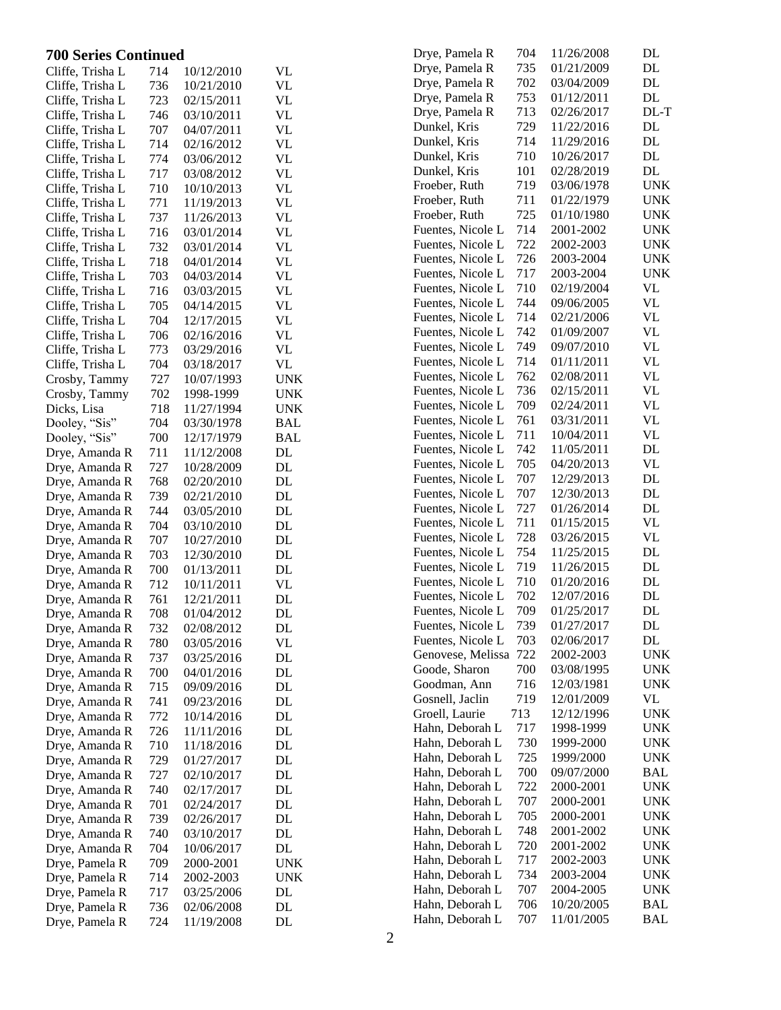| <b>700 Series Continued</b> |     |            |               | Drye, Pamela R                     | 704        | 11/26/2008              | DL                              |
|-----------------------------|-----|------------|---------------|------------------------------------|------------|-------------------------|---------------------------------|
| Cliffe, Trisha L            | 714 | 10/12/2010 | VL            | Drye, Pamela R                     | 735        | 01/21/2009              | DL                              |
| Cliffe, Trisha L            | 736 | 10/21/2010 | <b>VL</b>     | Drye, Pamela R                     | 702        | 03/04/2009              | DL                              |
| Cliffe, Trisha L            | 723 | 02/15/2011 | <b>VL</b>     | Drye, Pamela R                     | 753        | 01/12/2011              | DL                              |
| Cliffe, Trisha L            | 746 | 03/10/2011 | <b>VL</b>     | Drye, Pamela R                     | 713        | 02/26/2017              | $DL-T$                          |
| Cliffe, Trisha L            | 707 | 04/07/2011 | <b>VL</b>     | Dunkel, Kris                       | 729        | 11/22/2016              | DL                              |
| Cliffe, Trisha L            | 714 | 02/16/2012 | <b>VL</b>     | Dunkel, Kris                       | 714        | 11/29/2016              | $\mathbf{DL}$                   |
| Cliffe, Trisha L            | 774 | 03/06/2012 | <b>VL</b>     | Dunkel, Kris                       | 710        | 10/26/2017              | $\mathbf{DL}$                   |
| Cliffe, Trisha L            | 717 | 03/08/2012 | <b>VL</b>     | Dunkel, Kris                       | 101        | 02/28/2019              | $\rm DL$                        |
| Cliffe, Trisha L            | 710 | 10/10/2013 | <b>VL</b>     | Froeber, Ruth                      | 719        | 03/06/1978              | <b>UNK</b>                      |
| Cliffe, Trisha L            | 771 | 11/19/2013 | <b>VL</b>     | Froeber, Ruth                      | 711        | 01/22/1979              | <b>UNK</b>                      |
| Cliffe, Trisha L            | 737 | 11/26/2013 | <b>VL</b>     | Froeber, Ruth                      | 725        | 01/10/1980              | <b>UNK</b>                      |
| Cliffe, Trisha L            | 716 | 03/01/2014 | <b>VL</b>     | Fuentes, Nicole L                  | 714        | 2001-2002               | <b>UNK</b>                      |
| Cliffe, Trisha L            | 732 | 03/01/2014 | <b>VL</b>     | Fuentes, Nicole L                  | 722        | 2002-2003               | <b>UNK</b>                      |
| Cliffe, Trisha L            | 718 | 04/01/2014 | <b>VL</b>     | Fuentes, Nicole L                  | 726        | 2003-2004               | <b>UNK</b>                      |
| Cliffe, Trisha L            | 703 | 04/03/2014 | <b>VL</b>     | Fuentes, Nicole L                  | 717        | 2003-2004               | <b>UNK</b>                      |
| Cliffe, Trisha L            | 716 | 03/03/2015 | <b>VL</b>     | Fuentes, Nicole L                  | 710        | 02/19/2004              | <b>VL</b>                       |
| Cliffe, Trisha L            | 705 | 04/14/2015 | <b>VL</b>     | Fuentes, Nicole L                  | 744        | 09/06/2005              | <b>VL</b>                       |
| Cliffe, Trisha L            | 704 | 12/17/2015 | <b>VL</b>     | Fuentes, Nicole L                  | 714        | 02/21/2006              | <b>VL</b>                       |
| Cliffe, Trisha L            | 706 | 02/16/2016 | <b>VL</b>     | Fuentes, Nicole L                  | 742        | 01/09/2007              | $\ensuremath{\text{VL}}\xspace$ |
| Cliffe, Trisha L            | 773 | 03/29/2016 | VL            | Fuentes, Nicole L                  | 749        | 09/07/2010              | <b>VL</b>                       |
| Cliffe, Trisha L            | 704 | 03/18/2017 | <b>VL</b>     | Fuentes, Nicole L                  | 714        | 01/11/2011              | <b>VL</b>                       |
| Crosby, Tammy               | 727 | 10/07/1993 | <b>UNK</b>    | Fuentes, Nicole L                  | 762        | 02/08/2011              | <b>VL</b>                       |
| Crosby, Tammy               | 702 | 1998-1999  | <b>UNK</b>    | Fuentes, Nicole L                  | 736        | 02/15/2011              | <b>VL</b>                       |
| Dicks, Lisa                 | 718 | 11/27/1994 | <b>UNK</b>    | Fuentes, Nicole L                  | 709        | 02/24/2011              | <b>VL</b>                       |
| Dooley, "Sis"               | 704 | 03/30/1978 | <b>BAL</b>    | Fuentes, Nicole L                  | 761        | 03/31/2011              | <b>VL</b>                       |
| Dooley, "Sis"               | 700 | 12/17/1979 | <b>BAL</b>    | Fuentes, Nicole L                  | 711        | 10/04/2011              | <b>VL</b>                       |
| Drye, Amanda R              | 711 | 11/12/2008 | $\rm DL$      | Fuentes, Nicole L                  | 742        | 11/05/2011              | DL                              |
| Drye, Amanda R              | 727 | 10/28/2009 | DL            | Fuentes, Nicole L                  | 705        | 04/20/2013              | <b>VL</b>                       |
| Drye, Amanda R              | 768 | 02/20/2010 | DL            | Fuentes, Nicole L                  | 707        | 12/29/2013              | DL                              |
| Drye, Amanda R              | 739 | 02/21/2010 | DL            | Fuentes, Nicole L                  | 707        | 12/30/2013              | DL                              |
| Drye, Amanda R              | 744 | 03/05/2010 | DL            | Fuentes, Nicole L                  | 727        | 01/26/2014              | DL                              |
| Drye, Amanda R              | 704 | 03/10/2010 | DL            | Fuentes, Nicole L                  | 711        | 01/15/2015              | <b>VL</b>                       |
| Drye, Amanda R              | 707 | 10/27/2010 | $\mathbf{DL}$ | Fuentes, Nicole L                  | 728        | 03/26/2015              | <b>VL</b>                       |
| Drye, Amanda R              | 703 | 12/30/2010 | DL            | Fuentes, Nicole L                  | 754        | 11/25/2015              | DL                              |
| Drye, Amanda R              | 700 | 01/13/2011 | DL            | Fuentes, Nicole L                  | 719        | 11/26/2015              | DL                              |
| Drye, Amanda R              | 712 | 10/11/2011 | <b>VL</b>     | Fuentes, Nicole L                  | 710        | 01/20/2016              | DL                              |
| Drye, Amanda R              | 761 | 12/21/2011 | DL            | Fuentes, Nicole L                  | 702        | 12/07/2016              | DL                              |
| Drye, Amanda R              | 708 | 01/04/2012 | DL            | Fuentes, Nicole L                  | 709        | 01/25/2017              | DL                              |
| Drye, Amanda R              | 732 | 02/08/2012 | DL            | Fuentes, Nicole L                  | 739        | 01/27/2017              | DL                              |
| Drye, Amanda R              | 780 | 03/05/2016 | <b>VL</b>     | Fuentes, Nicole L                  | 703        | 02/06/2017              | DL                              |
| Drye, Amanda R              | 737 | 03/25/2016 | DL            | Genovese, Melissa 722              |            | 2002-2003               | <b>UNK</b>                      |
| Drye, Amanda R              | 700 | 04/01/2016 | DL            | Goode, Sharon                      | 700        | 03/08/1995              | <b>UNK</b>                      |
| Drye, Amanda R              | 715 | 09/09/2016 | DL            | Goodman, Ann                       | 716        | 12/03/1981              | <b>UNK</b>                      |
| Drye, Amanda R              | 741 | 09/23/2016 | DL            | Gosnell, Jaclin                    | 719        | 12/01/2009              | VL                              |
| Drye, Amanda R              | 772 | 10/14/2016 | DL            | Groell, Laurie                     | 713        | 12/12/1996              | <b>UNK</b>                      |
| Drye, Amanda R              | 726 | 11/11/2016 | DL            | Hahn, Deborah L<br>Hahn, Deborah L | 717<br>730 | 1998-1999               | <b>UNK</b>                      |
| Drye, Amanda R              | 710 | 11/18/2016 | DL            | Hahn, Deborah L                    | 725        | 1999-2000               | <b>UNK</b><br><b>UNK</b>        |
| Drye, Amanda R              | 729 | 01/27/2017 | DL            | Hahn, Deborah L                    | 700        | 1999/2000<br>09/07/2000 | <b>BAL</b>                      |
| Drye, Amanda R              | 727 | 02/10/2017 | DL            | Hahn, Deborah L                    | 722        | 2000-2001               | <b>UNK</b>                      |
| Drye, Amanda R              | 740 | 02/17/2017 | DL            | Hahn, Deborah L                    | 707        | 2000-2001               | <b>UNK</b>                      |
| Drye, Amanda R              | 701 | 02/24/2017 | DL            | Hahn, Deborah L                    | 705        | 2000-2001               | <b>UNK</b>                      |
| Drye, Amanda R              | 739 | 02/26/2017 | DL            | Hahn, Deborah L                    | 748        | 2001-2002               | <b>UNK</b>                      |
| Drye, Amanda R              | 740 | 03/10/2017 | DL            | Hahn, Deborah L                    | 720        | 2001-2002               | <b>UNK</b>                      |
| Drye, Amanda R              | 704 | 10/06/2017 | DL            | Hahn, Deborah L                    | 717        | 2002-2003               | <b>UNK</b>                      |
| Drye, Pamela R              | 709 | 2000-2001  | <b>UNK</b>    | Hahn, Deborah L                    | 734        | 2003-2004               | <b>UNK</b>                      |
| Drye, Pamela R              | 714 | 2002-2003  | <b>UNK</b>    | Hahn, Deborah L                    | 707        | 2004-2005               | <b>UNK</b>                      |
| Drye, Pamela R              | 717 | 03/25/2006 | DL            | Hahn, Deborah L                    | 706        | 10/20/2005              | <b>BAL</b>                      |
| Drye, Pamela R              | 736 | 02/06/2008 | DL            | Hahn, Deborah L                    | 707        | 11/01/2005              | BAL                             |
| Drye, Pamela R              | 724 | 11/19/2008 | DL            |                                    |            |                         |                                 |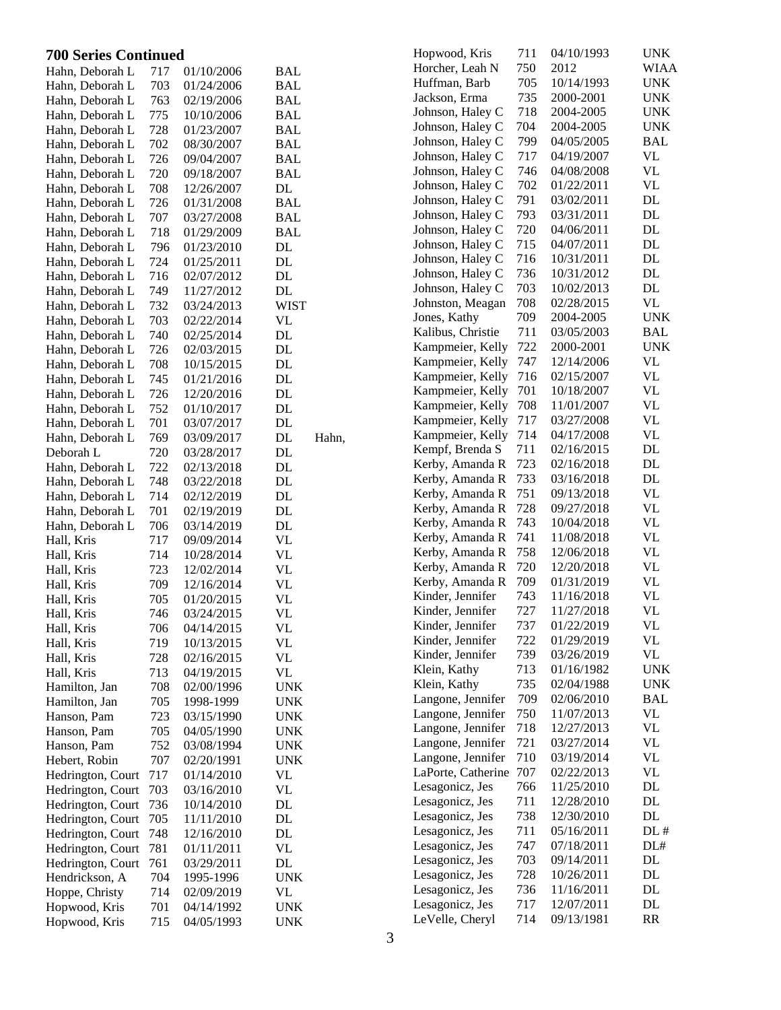### **700 Series Continued**

| <b>700 Series Continued</b>    |            |                          |                                 |       | Hopwood, Kris                          | 711        | 04/10/1993               | <b>UNK</b>             |
|--------------------------------|------------|--------------------------|---------------------------------|-------|----------------------------------------|------------|--------------------------|------------------------|
| Hahn, Deborah L                | 717        | 01/10/2006               | <b>BAL</b>                      |       | Horcher, Leah N                        | 750        | 2012                     | <b>WIAA</b>            |
| Hahn, Deborah L                | 703        | 01/24/2006               | <b>BAL</b>                      |       | Huffman, Barb                          | 705        | 10/14/1993               | <b>UNK</b>             |
| Hahn, Deborah L                | 763        | 02/19/2006               | <b>BAL</b>                      |       | Jackson, Erma                          | 735        | 2000-2001                | <b>UNK</b>             |
| Hahn, Deborah L                | 775        | 10/10/2006               | <b>BAL</b>                      |       | Johnson, Haley C                       | 718        | 2004-2005                | <b>UNK</b>             |
| Hahn, Deborah L                | 728        | 01/23/2007               | <b>BAL</b>                      |       | Johnson, Haley C                       | 704        | 2004-2005                | <b>UNK</b>             |
| Hahn, Deborah L                | 702        | 08/30/2007               | <b>BAL</b>                      |       | Johnson, Haley C                       | 799        | 04/05/2005               | <b>BAL</b>             |
| Hahn, Deborah L                | 726        | 09/04/2007               | <b>BAL</b>                      |       | Johnson, Haley C                       | 717        | 04/19/2007               | VL                     |
| Hahn, Deborah L                | 720        | 09/18/2007               | <b>BAL</b>                      |       | Johnson, Haley C                       | 746        | 04/08/2008               | VL                     |
| Hahn, Deborah L                | 708        | 12/26/2007               | DL                              |       | Johnson, Haley C                       | 702        | 01/22/2011               | <b>VL</b>              |
| Hahn, Deborah L                | 726        | 01/31/2008               | <b>BAL</b>                      |       | Johnson, Haley C                       | 791        | 03/02/2011               | DL                     |
| Hahn, Deborah L                | 707        | 03/27/2008               | <b>BAL</b>                      |       | Johnson, Haley C                       | 793        | 03/31/2011               | DL                     |
| Hahn, Deborah L                | 718        | 01/29/2009               | <b>BAL</b>                      |       | Johnson, Haley C                       | 720        | 04/06/2011               | DL                     |
| Hahn, Deborah L                | 796        | 01/23/2010               | DL                              |       | Johnson, Haley C                       | 715        | 04/07/2011               | DL                     |
| Hahn, Deborah L                | 724        | 01/25/2011               | DL                              |       | Johnson, Haley C                       | 716        | 10/31/2011               | DL                     |
| Hahn, Deborah L                | 716        | 02/07/2012               | DL                              |       | Johnson, Haley C                       | 736        | 10/31/2012               | DL                     |
| Hahn, Deborah L                | 749        | 11/27/2012               | DL                              |       | Johnson, Haley C                       | 703        | 10/02/2013               | DL                     |
| Hahn, Deborah L                | 732        | 03/24/2013               | <b>WIST</b>                     |       | Johnston, Meagan                       | 708        | 02/28/2015               | <b>VL</b>              |
| Hahn, Deborah L                | 703        | 02/22/2014               | <b>VL</b>                       |       | Jones, Kathy                           | 709        | 2004-2005                | <b>UNK</b>             |
| Hahn, Deborah L                | 740        | 02/25/2014               | DL                              |       | Kalibus, Christie                      | 711        | 03/05/2003               | <b>BAL</b>             |
| Hahn, Deborah L                | 726        | 02/03/2015               | DL                              |       | Kampmeier, Kelly                       | 722        | 2000-2001                | <b>UNK</b>             |
| Hahn, Deborah L                | 708        | 10/15/2015               | DL                              |       | Kampmeier, Kelly                       | 747        | 12/14/2006               | <b>VL</b>              |
| Hahn, Deborah L                | 745        | 01/21/2016               | DL                              |       | Kampmeier, Kelly                       | 716        | 02/15/2007               | <b>VL</b>              |
| Hahn, Deborah L                | 726        | 12/20/2016               | DL                              |       | Kampmeier, Kelly                       | 701        | 10/18/2007               | <b>VL</b>              |
| Hahn, Deborah L                | 752        | 01/10/2017               | DL                              |       | Kampmeier, Kelly                       | 708        | 11/01/2007               | <b>VL</b>              |
| Hahn, Deborah L                | 701        | 03/07/2017               | DL                              |       | Kampmeier, Kelly                       | 717        | 03/27/2008               | <b>VL</b>              |
| Hahn, Deborah L                | 769        | 03/09/2017               | DL                              | Hahn, | Kampmeier, Kelly                       | 714        | 04/17/2008               | <b>VL</b>              |
| Deborah L                      | 720        | 03/28/2017               | DL                              |       | Kempf, Brenda S                        | 711        | 02/16/2015               | DL                     |
| Hahn, Deborah L                | 722        | 02/13/2018               | DL                              |       | Kerby, Amanda R                        | 723        | 02/16/2018               | DL                     |
| Hahn, Deborah L                | 748        | 03/22/2018               | DL                              |       | Kerby, Amanda R                        | 733        | 03/16/2018               | DL                     |
| Hahn, Deborah L                | 714        | 02/12/2019               | DL                              |       | Kerby, Amanda R                        | 751        | 09/13/2018               | <b>VL</b>              |
| Hahn, Deborah L                | 701        | 02/19/2019               | DL                              |       | Kerby, Amanda R                        | 728        | 09/27/2018               | <b>VL</b>              |
| Hahn, Deborah L                | 706        | 03/14/2019               | DL                              |       | Kerby, Amanda R                        | 743        | 10/04/2018               | <b>VL</b>              |
| Hall, Kris                     | 717        | 09/09/2014               | VL                              |       | Kerby, Amanda R                        | 741        | 11/08/2018               | <b>VL</b>              |
| Hall, Kris                     | 714        | 10/28/2014               | <b>VL</b>                       |       | Kerby, Amanda R                        | 758        | 12/06/2018               | <b>VL</b>              |
| Hall, Kris                     | 723        | 12/02/2014               | VL                              |       | Kerby, Amanda R                        | 720        | 12/20/2018               | <b>VL</b>              |
| Hall, Kris                     | 709        | 12/16/2014               | <b>VL</b>                       |       | Kerby, Amanda R                        | 709        | 01/31/2019               | <b>VL</b>              |
| Hall, Kris                     | 705        | 01/20/2015               | <b>VL</b>                       |       | Kinder, Jennifer                       | 743        | 11/16/2018               | <b>VL</b>              |
| Hall, Kris                     | 746        | 03/24/2015               | VL                              |       | Kinder, Jennifer                       | 727        | 11/27/2018               | <b>VL</b>              |
| Hall, Kris                     | 706        | 04/14/2015               | VL                              |       | Kinder, Jennifer                       | 737        | 01/22/2019               | <b>VL</b>              |
| Hall, Kris                     | 719        | 10/13/2015               | <b>VL</b>                       |       | Kinder, Jennifer                       | 722        | 01/29/2019               | <b>VL</b>              |
| Hall, Kris                     | 728        | 02/16/2015               | VL                              |       | Kinder, Jennifer                       | 739        | 03/26/2019               | <b>VL</b>              |
| Hall, Kris                     | 713        | 04/19/2015               | VL                              |       | Klein, Kathy                           | 713        | 01/16/1982               | <b>UNK</b>             |
| Hamilton, Jan                  | 708        | 02/00/1996               | <b>UNK</b>                      |       | Klein, Kathy                           | 735        | 02/04/1988               | <b>UNK</b>             |
| Hamilton, Jan                  | 705        | 1998-1999                | <b>UNK</b>                      |       | Langone, Jennifer                      | 709        | 02/06/2010               | <b>BAL</b>             |
| Hanson, Pam                    | 723        | 03/15/1990               | <b>UNK</b>                      |       | Langone, Jennifer                      | 750        | 11/07/2013               | <b>VL</b>              |
| Hanson, Pam                    | 705        | 04/05/1990               | <b>UNK</b>                      |       | Langone, Jennifer                      | 718        | 12/27/2013               | <b>VL</b>              |
| Hanson, Pam                    | 752        | 03/08/1994               | <b>UNK</b>                      |       | Langone, Jennifer<br>Langone, Jennifer | 721<br>710 | 03/27/2014<br>03/19/2014 | <b>VL</b><br><b>VL</b> |
| Hebert, Robin                  | 707        | 02/20/1991               | <b>UNK</b>                      |       | LaPorte, Catherine                     | 707        | 02/22/2013               | <b>VL</b>              |
| Hedrington, Court              | 717        | 01/14/2010               | <b>VL</b>                       |       | Lesagonicz, Jes                        | 766        | 11/25/2010               | $\mathbf{DL}$          |
| Hedrington, Court              | 703        | 03/16/2010               | VL                              |       | Lesagonicz, Jes                        | 711        | 12/28/2010               | DL                     |
| Hedrington, Court              | 736        | 10/14/2010               | DL                              |       | Lesagonicz, Jes                        | 738        | 12/30/2010               | DL                     |
| Hedrington, Court              | 705        | 11/11/2010               | $\mathbf{DL}$                   |       | Lesagonicz, Jes                        | 711        | 05/16/2011               | DL#                    |
| Hedrington, Court 748          |            | 12/16/2010               | DL                              |       | Lesagonicz, Jes                        | 747        | 07/18/2011               | DL#                    |
| Hedrington, Court              | 781        | 01/11/2011               | $\ensuremath{\text{VL}}\xspace$ |       | Lesagonicz, Jes                        | 703        | 09/14/2011               | DL                     |
| Hedrington, Court              | 761        | 03/29/2011               | $\mathbf{DL}$                   |       | Lesagonicz, Jes                        | 728        | 10/26/2011               | DL                     |
| Hendrickson, A                 | 704        | 1995-1996                | <b>UNK</b>                      |       | Lesagonicz, Jes                        | 736        | 11/16/2011               | DL                     |
| Hoppe, Christy                 | 714<br>701 | 02/09/2019<br>04/14/1992 | <b>VL</b>                       |       | Lesagonicz, Jes                        | 717        | 12/07/2011               | DL                     |
| Hopwood, Kris<br>Hopwood, Kris | 715        | 04/05/1993               | <b>UNK</b><br><b>UNK</b>        |       | LeVelle, Cheryl                        | 714        | 09/13/1981               | RR                     |
|                                |            |                          |                                 |       |                                        |            |                          |                        |

WIAA  $UNK$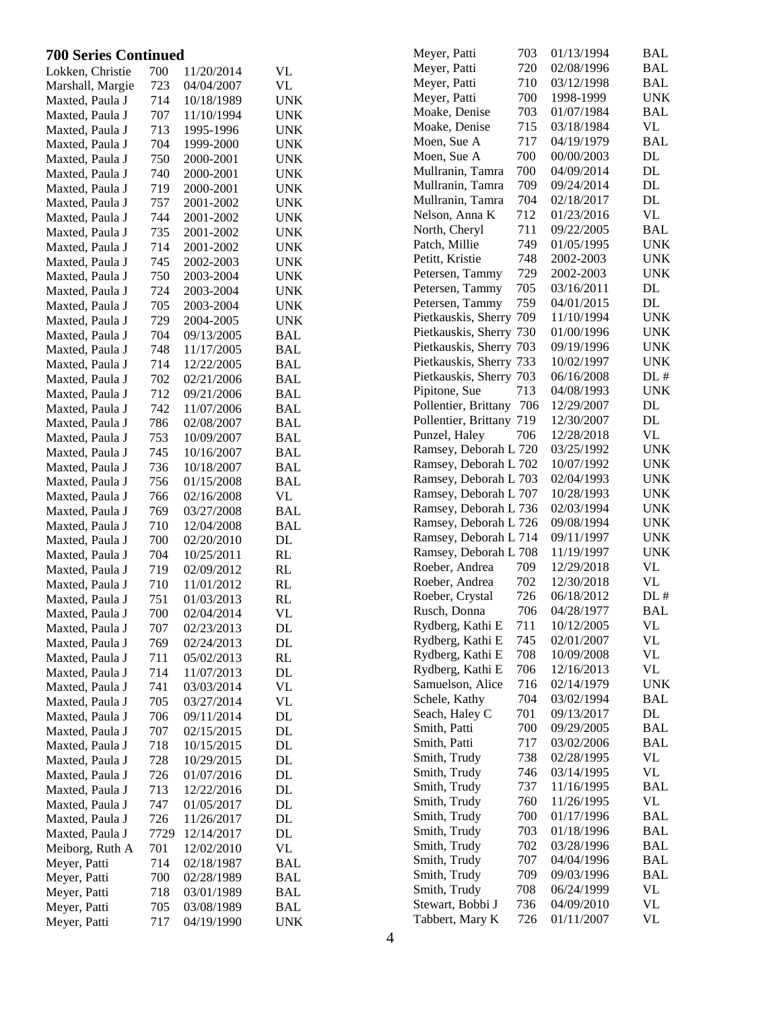| <b>700 Series Continued</b> |      |            |                             | 703<br>01/13/1994<br><b>BAL</b><br>Meyer, Patti                              |
|-----------------------------|------|------------|-----------------------------|------------------------------------------------------------------------------|
| Lokken, Christie            | 700  | 11/20/2014 | VL                          | Meyer, Patti<br>720<br>02/08/1996<br><b>BAL</b>                              |
| Marshall, Margie            | 723  | 04/04/2007 | VL                          | 710<br><b>BAL</b><br>Meyer, Patti<br>03/12/1998                              |
| Maxted, Paula J             | 714  | 10/18/1989 | <b>UNK</b>                  | 700<br>Meyer, Patti<br>1998-1999<br><b>UNK</b>                               |
| Maxted, Paula J             | 707  | 11/10/1994 | <b>UNK</b>                  | 703<br><b>BAL</b><br>Moake, Denise<br>01/07/1984                             |
| Maxted, Paula J             | 713  | 1995-1996  | <b>UNK</b>                  | 715<br>VL<br>Moake, Denise<br>03/18/1984                                     |
| Maxted, Paula J             | 704  | 1999-2000  | <b>UNK</b>                  | 717<br><b>BAL</b><br>04/19/1979<br>Moen, Sue A                               |
| Maxted, Paula J             | 750  | 2000-2001  | <b>UNK</b>                  | 700<br>$\mathbf{DL}$<br>Moen, Sue A<br>00/00/2003                            |
| Maxted, Paula J             | 740  | 2000-2001  | <b>UNK</b>                  | $\mathbf{DL}$<br>700<br>Mullranin, Tamra<br>04/09/2014                       |
| Maxted, Paula J             | 719  | 2000-2001  | <b>UNK</b>                  | 709<br>$\mathbf{DL}$<br>Mullranin, Tamra<br>09/24/2014                       |
| Maxted, Paula J             | 757  | 2001-2002  | <b>UNK</b>                  | 704<br>DL<br>02/18/2017<br>Mullranin, Tamra                                  |
| Maxted, Paula J             | 744  | 2001-2002  | <b>UNK</b>                  | 712<br>VL<br>Nelson, Anna K<br>01/23/2016                                    |
| Maxted, Paula J             | 735  | 2001-2002  | <b>UNK</b>                  | 711<br><b>BAL</b><br>North, Cheryl<br>09/22/2005                             |
| Maxted, Paula J             | 714  | 2001-2002  | <b>UNK</b>                  | 749<br>Patch, Millie<br>01/05/1995<br><b>UNK</b>                             |
| Maxted, Paula J             | 745  | 2002-2003  | <b>UNK</b>                  | 748<br>2002-2003<br><b>UNK</b><br>Petitt, Kristie                            |
| Maxted, Paula J             | 750  | 2003-2004  | <b>UNK</b>                  | 729<br>2002-2003<br><b>UNK</b><br>Petersen, Tammy                            |
| Maxted, Paula J             | 724  | 2003-2004  | <b>UNK</b>                  | 705<br>03/16/2011<br>DL<br>Petersen, Tammy                                   |
| Maxted, Paula J             | 705  | 2003-2004  | <b>UNK</b>                  | $\mathbf{DL}$<br>759<br>Petersen, Tammy<br>04/01/2015                        |
| Maxted, Paula J             | 729  | 2004-2005  | <b>UNK</b>                  | <b>UNK</b><br>Pietkauskis, Sherry 709<br>11/10/1994                          |
| Maxted, Paula J             | 704  | 09/13/2005 | <b>BAL</b>                  | Pietkauskis, Sherry 730<br>01/00/1996<br><b>UNK</b>                          |
| Maxted, Paula J             | 748  | 11/17/2005 | <b>BAL</b>                  | Pietkauskis, Sherry 703<br><b>UNK</b><br>09/19/1996                          |
| Maxted, Paula J             | 714  | 12/22/2005 | <b>BAL</b>                  | Pietkauskis, Sherry 733<br>10/02/1997<br><b>UNK</b>                          |
| Maxted, Paula J             | 702  | 02/21/2006 | <b>BAL</b>                  | Pietkauskis, Sherry 703<br>06/16/2008<br>DL#                                 |
| Maxted, Paula J             | 712  | 09/21/2006 | <b>BAL</b>                  | 713<br>Pipitone, Sue<br><b>UNK</b><br>04/08/1993                             |
| Maxted, Paula J             | 742  | 11/07/2006 | <b>BAL</b>                  | $\mathbf{DL}$<br>Pollentier, Brittany 706<br>12/29/2007                      |
| Maxted, Paula J             | 786  | 02/08/2007 | <b>BAL</b>                  | $\mathbf{DL}$<br>Pollentier, Brittany 719<br>12/30/2007                      |
| Maxted, Paula J             | 753  | 10/09/2007 | <b>BAL</b>                  | VL<br>Punzel, Haley<br>706<br>12/28/2018                                     |
| Maxted, Paula J             | 745  | 10/16/2007 | <b>BAL</b>                  | Ramsey, Deborah L 720<br>03/25/1992<br><b>UNK</b>                            |
| Maxted, Paula J             | 736  | 10/18/2007 | <b>BAL</b>                  | Ramsey, Deborah L 702<br>10/07/1992<br><b>UNK</b>                            |
| Maxted, Paula J             | 756  | 01/15/2008 | <b>BAL</b>                  | Ramsey, Deborah L 703<br><b>UNK</b><br>02/04/1993                            |
| Maxted, Paula J             | 766  | 02/16/2008 | VL                          | Ramsey, Deborah L 707<br>10/28/1993<br><b>UNK</b>                            |
| Maxted, Paula J             | 769  | 03/27/2008 | <b>BAL</b>                  | <b>UNK</b><br>Ramsey, Deborah L 736<br>02/03/1994                            |
| Maxted, Paula J             | 710  | 12/04/2008 | <b>BAL</b>                  | <b>UNK</b><br>Ramsey, Deborah L 726<br>09/08/1994                            |
| Maxted, Paula J             | 700  | 02/20/2010 | DL                          | Ramsey, Deborah L 714<br><b>UNK</b><br>09/11/1997                            |
| Maxted, Paula J             | 704  | 10/25/2011 | RL                          | Ramsey, Deborah L 708<br><b>UNK</b><br>11/19/1997                            |
| Maxted, Paula J             | 719  | 02/09/2012 | RL                          | <b>VL</b><br>709<br>Roeber, Andrea<br>12/29/2018                             |
| Maxted, Paula J             | 710  | 11/01/2012 | RL                          | $\ensuremath{\text{VL}}\xspace$<br>Roeber, Andrea<br>702<br>12/30/2018       |
| Maxted, Paula J             | 751  | 01/03/2013 | RL                          | DL#<br>Roeber, Crystal<br>726<br>06/18/2012                                  |
| Maxted, Paula J             | 700  | 02/04/2014 | <b>VL</b>                   | Rusch, Donna<br>706<br><b>BAL</b><br>04/28/1977                              |
| Maxted, Paula J             | 707  | 02/23/2013 | DL                          | Rydberg, Kathi E<br>711<br>10/12/2005<br>VL                                  |
| Maxted, Paula J             | 769  | 02/24/2013 | DL                          | <b>VL</b><br>Rydberg, Kathi E<br>745<br>02/01/2007                           |
| Maxted, Paula J             | 711  | 05/02/2013 | RL                          | $\ensuremath{\text{VL}}\xspace$<br>Rydberg, Kathi E<br>708<br>10/09/2008     |
| Maxted, Paula J             | 714  | 11/07/2013 | DL                          | $\ensuremath{\text{VL}}\xspace$<br>Rydberg, Kathi E<br>706<br>12/16/2013     |
| Maxted, Paula J             | 741  | 03/03/2014 | <b>VL</b>                   | Samuelson, Alice<br><b>UNK</b><br>716<br>02/14/1979                          |
| Maxted, Paula J             | 705  | 03/27/2014 | VL                          | <b>BAL</b><br>Schele, Kathy<br>704<br>03/02/1994                             |
| Maxted, Paula J             | 706  | 09/11/2014 | DL                          | $\rm DL$<br>Seach, Haley C<br>701<br>09/13/2017                              |
| Maxted, Paula J             | 707  | 02/15/2015 | DL                          | Smith, Patti<br>700<br>09/29/2005<br><b>BAL</b>                              |
| Maxted, Paula J             | 718  | 10/15/2015 | DL                          | 717<br><b>BAL</b><br>Smith, Patti<br>03/02/2006                              |
| Maxted, Paula J             | 728  | 10/29/2015 | DL                          | 738<br>$\ensuremath{\text{VL}}\xspace$<br>Smith, Trudy<br>02/28/1995         |
| Maxted, Paula J             | 726  | 01/07/2016 | DL                          | VL<br>Smith, Trudy<br>746<br>03/14/1995<br>Smith, Trudy<br>737<br><b>BAL</b> |
| Maxted, Paula J             | 713  | 12/22/2016 | DL                          | 11/16/1995<br>VL<br>Smith, Trudy<br>760                                      |
| Maxted, Paula J             | 747  | 01/05/2017 | DL                          | 11/26/1995<br><b>BAL</b><br>Smith, Trudy<br>700                              |
| Maxted, Paula J             | 726  | 11/26/2017 | DL                          | 01/17/1996<br>703<br><b>BAL</b><br>Smith, Trudy                              |
| Maxted, Paula J             | 7729 | 12/14/2017 | DL                          | 01/18/1996<br>702<br><b>BAL</b><br>03/28/1996                                |
| Meiborg, Ruth A             | 701  | 12/02/2010 | <b>VL</b>                   | Smith, Trudy<br>707<br><b>BAL</b><br>Smith, Trudy<br>04/04/1996              |
| Meyer, Patti                | 714  | 02/18/1987 | <b>BAL</b>                  | <b>BAL</b><br>Smith, Trudy<br>709<br>09/03/1996                              |
| Meyer, Patti                | 700  | 02/28/1989 | <b>BAL</b>                  | $\ensuremath{\text{VL}}\xspace$<br>Smith, Trudy<br>708<br>06/24/1999         |
| Meyer, Patti                | 718  | 03/01/1989 | <b>BAL</b>                  | Stewart, Bobbi J<br>VL<br>736<br>04/09/2010                                  |
| Meyer, Patti                | 705  | 03/08/1989 | $\ensuremath{\mathsf{BAL}}$ | $\ensuremath{\text{VL}}\xspace$<br>Tabbert, Mary K<br>726<br>01/11/2007      |
| Meyer, Patti                | 717  | 04/19/1990 | <b>UNK</b>                  |                                                                              |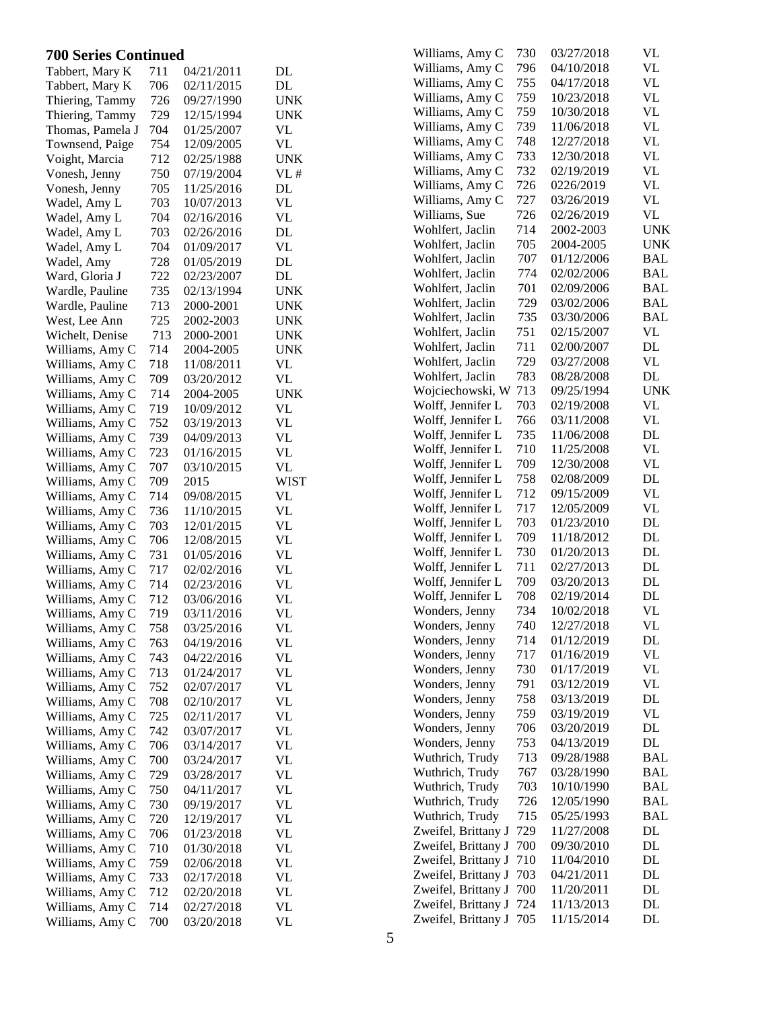| <b>700 Series Continued</b>        |            |                          |                        | Williams, Amy C                  | 730        | 03/27/2018               | <b>VL</b>       |
|------------------------------------|------------|--------------------------|------------------------|----------------------------------|------------|--------------------------|-----------------|
| Tabbert, Mary K                    | 711        | 04/21/2011               | DL                     | Williams, Amy C                  | 796        | 04/10/2018               | <b>VL</b>       |
| Tabbert, Mary K                    | 706        | 02/11/2015               | $\mathbf{DL}$          | Williams, Amy C                  | 755        | 04/17/2018               | <b>VL</b>       |
| Thiering, Tammy                    | 726        | 09/27/1990               | <b>UNK</b>             | Williams, Amy C                  | 759        | 10/23/2018               | <b>VL</b>       |
| Thiering, Tammy                    | 729        | 12/15/1994               | <b>UNK</b>             | Williams, Amy C                  | 759        | 10/30/2018               | <b>VL</b>       |
| Thomas, Pamela J                   | 704        | 01/25/2007               | <b>VL</b>              | Williams, Amy C                  | 739        | 11/06/2018               | <b>VL</b>       |
| Townsend, Paige                    | 754        | 12/09/2005               | <b>VL</b>              | Williams, Amy C                  | 748        | 12/27/2018               | <b>VL</b>       |
| Voight, Marcia                     | 712        | 02/25/1988               | <b>UNK</b>             | Williams, Amy C                  | 733        | 12/30/2018               | <b>VL</b>       |
| Vonesh, Jenny                      | 750        | 07/19/2004               | VL#                    | Williams, Amy C                  | 732        | 02/19/2019               | <b>VL</b>       |
| Vonesh, Jenny                      | 705        | 11/25/2016               | DL                     | Williams, Amy C                  | 726        | 0226/2019                | <b>VL</b>       |
| Wadel, Amy L                       | 703        | 10/07/2013               | <b>VL</b>              | Williams, Amy C                  | 727        | 03/26/2019               | <b>VL</b>       |
| Wadel, Amy L                       | 704        | 02/16/2016               | <b>VL</b>              | Williams, Sue                    | 726        | 02/26/2019               | <b>VL</b>       |
| Wadel, Amy L                       | 703        | 02/26/2016               | DL                     | Wohlfert, Jaclin                 | 714        | 2002-2003                | <b>UNK</b>      |
| Wadel, Amy L                       | 704        | 01/09/2017               | <b>VL</b>              | Wohlfert, Jaclin                 | 705        | 2004-2005                | <b>UNK</b>      |
| Wadel, Amy                         | 728        | 01/05/2019               | DL                     | Wohlfert, Jaclin                 | 707        | 01/12/2006               | <b>BAL</b>      |
| Ward, Gloria J                     | 722        | 02/23/2007               | DL                     | Wohlfert, Jaclin                 | 774        | 02/02/2006               | <b>BAL</b>      |
| Wardle, Pauline                    | 735        | 02/13/1994               | <b>UNK</b>             | Wohlfert, Jaclin                 | 701        | 02/09/2006               | <b>BAL</b>      |
| Wardle, Pauline                    | 713        | 2000-2001                | <b>UNK</b>             | Wohlfert, Jaclin                 | 729        | 03/02/2006               | <b>BAL</b>      |
| West, Lee Ann                      | 725        | 2002-2003                | <b>UNK</b>             | Wohlfert, Jaclin                 | 735        | 03/30/2006               | <b>BAL</b>      |
| Wichelt, Denise                    | 713        | 2000-2001                | <b>UNK</b>             | Wohlfert, Jaclin                 | 751        | 02/15/2007               | <b>VL</b>       |
| Williams, Amy C                    | 714        | 2004-2005                | <b>UNK</b>             | Wohlfert, Jaclin                 | 711        | 02/00/2007               | $\rm DL$        |
| Williams, Amy C                    | 718        | 11/08/2011               | VL                     | Wohlfert, Jaclin                 | 729        | 03/27/2008               | <b>VL</b>       |
| Williams, Amy C                    | 709        | 03/20/2012               | <b>VL</b>              | Wohlfert, Jaclin                 | 783        | 08/28/2008               | $\rm DL$        |
| Williams, Amy C                    | 714        | 2004-2005                | <b>UNK</b>             | Wojciechowski, W 713             |            | 09/25/1994               | <b>UNK</b>      |
| Williams, Amy C                    | 719        | 10/09/2012               | <b>VL</b>              | Wolff, Jennifer L                | 703        | 02/19/2008               | <b>VL</b>       |
| Williams, Amy C                    | 752        | 03/19/2013               | <b>VL</b>              | Wolff, Jennifer L                | 766        | 03/11/2008               | <b>VL</b>       |
| Williams, Amy C                    | 739        | 04/09/2013               | <b>VL</b>              | Wolff, Jennifer L                | 735        | 11/06/2008               | $\rm DL$        |
| Williams, Amy C                    | 723        | 01/16/2015               | <b>VL</b>              | Wolff, Jennifer L                | 710        | 11/25/2008               | <b>VL</b>       |
| Williams, Amy C                    | 707        | 03/10/2015               | <b>VL</b>              | Wolff, Jennifer L                | 709        | 12/30/2008               | <b>VL</b>       |
| Williams, Amy C                    | 709        | 2015                     | <b>WIST</b>            | Wolff, Jennifer L                | 758        | 02/08/2009               | DL              |
| Williams, Amy C                    | 714        | 09/08/2015               | <b>VL</b>              | Wolff, Jennifer L                | 712        | 09/15/2009               | <b>VL</b>       |
| Williams, Amy C                    | 736        | 11/10/2015               | <b>VL</b>              | Wolff, Jennifer L                | 717        | 12/05/2009               | <b>VL</b>       |
| Williams, Amy C                    | 703        | 12/01/2015               | <b>VL</b>              | Wolff, Jennifer L                | 703        | 01/23/2010               | DL              |
| Williams, Amy C                    | 706        | 12/08/2015               | <b>VL</b>              | Wolff, Jennifer L                | 709        | 11/18/2012               | DL              |
| Williams, Amy C                    | 731        | 01/05/2016               | <b>VL</b>              | Wolff, Jennifer L                | 730        | 01/20/2013               | DL              |
| Williams, Amy C                    | 717        | 02/02/2016               | <b>VL</b>              | Wolff, Jennifer L                | 711        | 02/27/2013               | DL              |
| Williams, Amy C                    | 714        | 02/23/2016               | <b>VL</b>              | Wolff, Jennifer L                | 709        | 03/20/2013               | DL              |
| Williams, Amy C                    | 712        | 03/06/2016               | <b>VL</b>              | Wolff, Jennifer L                | 708        | 02/19/2014               | DL              |
| Williams, Amy C                    | 719        | 03/11/2016               | <b>VL</b>              | Wonders, Jenny                   | 734        | 10/02/2018               | <b>VL</b>       |
| Williams, Amy C                    | 758        | 03/25/2016               | <b>VL</b>              | Wonders, Jenny                   | 740        | 12/27/2018               | VL              |
| Williams, Amy C                    | 763        | 04/19/2016               | <b>VL</b>              | Wonders, Jenny                   | 714        | 01/12/2019               | DL<br><b>VL</b> |
| Williams, Amy C                    | 743        | 04/22/2016               | <b>VL</b>              | Wonders, Jenny                   | 717<br>730 | 01/16/2019<br>01/17/2019 | <b>VL</b>       |
| Williams, Amy C                    | 713        | 01/24/2017               | <b>VL</b>              | Wonders, Jenny<br>Wonders, Jenny | 791        | 03/12/2019               | <b>VL</b>       |
| Williams, Amy C                    | 752        | 02/07/2017               | <b>VL</b>              | Wonders, Jenny                   | 758        | 03/13/2019               | DL              |
| Williams, Amy C                    | 708        | 02/10/2017               | VL                     | Wonders, Jenny                   | 759        | 03/19/2019               | VL              |
| Williams, Amy C                    | 725        | 02/11/2017               | <b>VL</b>              | Wonders, Jenny                   | 706        | 03/20/2019               | DL              |
| Williams, Amy C                    | 742        | 03/07/2017               | <b>VL</b>              | Wonders, Jenny                   | 753        | 04/13/2019               | $\rm DL$        |
| Williams, Amy C                    | 706        | 03/14/2017               | <b>VL</b>              | Wuthrich, Trudy                  | 713        | 09/28/1988               | <b>BAL</b>      |
| Williams, Amy C                    | 700        | 03/24/2017               | <b>VL</b>              | Wuthrich, Trudy                  | 767        | 03/28/1990               | <b>BAL</b>      |
| Williams, Amy C                    | 729        | 03/28/2017               | <b>VL</b>              | Wuthrich, Trudy                  | 703        | 10/10/1990               | <b>BAL</b>      |
| Williams, Amy C                    | 750        | 04/11/2017               | <b>VL</b>              | Wuthrich, Trudy                  | 726        | 12/05/1990               | <b>BAL</b>      |
| Williams, Amy C                    | 730        | 09/19/2017               | <b>VL</b>              | Wuthrich, Trudy                  | 715        | 05/25/1993               | <b>BAL</b>      |
| Williams, Amy C                    | 720        | 12/19/2017               | <b>VL</b>              | Zweifel, Brittany J              | 729        | 11/27/2008               | $\mathbf{DL}$   |
| Williams, Amy C<br>Williams, Amy C | 706<br>710 | 01/23/2018<br>01/30/2018 | <b>VL</b><br><b>VL</b> | Zweifel, Brittany J 700          |            | 09/30/2010               | DL              |
| Williams, Amy C                    | 759        | 02/06/2018               | <b>VL</b>              | Zweifel, Brittany J 710          |            | 11/04/2010               | DL              |
| Williams, Amy C                    | 733        | 02/17/2018               | VL                     | Zweifel, Brittany J 703          |            | 04/21/2011               | DL              |
| Williams, Amy C                    | 712        | 02/20/2018               | <b>VL</b>              | Zweifel, Brittany J 700          |            | 11/20/2011               | DL              |
| Williams, Amy C                    | 714        | 02/27/2018               | <b>VL</b>              | Zweifel, Brittany J 724          |            | 11/13/2013               | DL              |
| Williams, Amy C                    | 700        | 03/20/2018               | <b>VL</b>              | Zweifel, Brittany J 705          |            | 11/15/2014               | DL              |
|                                    |            |                          |                        |                                  |            |                          |                 |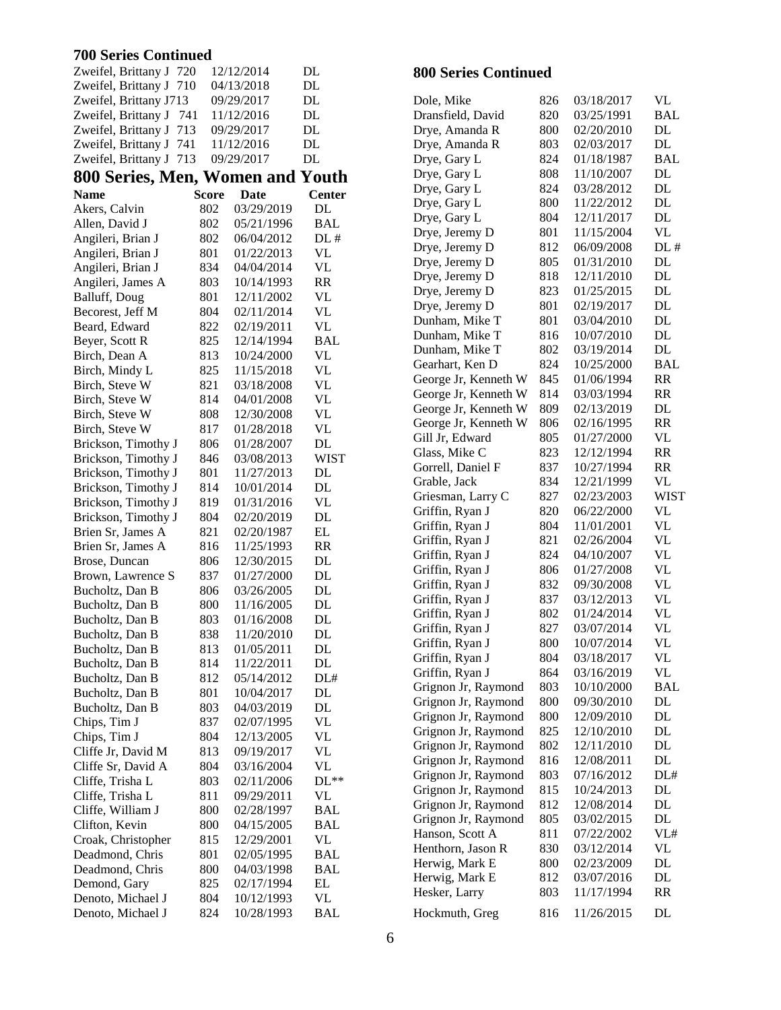### **700 Series Continued**

| Zweifel, Brittany J 720          |              | 12/12/2014  | DL                              | <b>800 Series Continued</b>        |            |                          |                 |
|----------------------------------|--------------|-------------|---------------------------------|------------------------------------|------------|--------------------------|-----------------|
| Zweifel, Brittany J 710          |              | 04/13/2018  | DL                              |                                    |            |                          |                 |
| Zweifel, Brittany J713           |              | 09/29/2017  | DL                              | Dole, Mike                         | 826        | 03/18/2017               | VL              |
| Zweifel, Brittany J 741          |              | 11/12/2016  | DL                              | Dransfield, David                  | 820        | 03/25/1991               | <b>BA</b>       |
| Zweifel, Brittany J 713          |              | 09/29/2017  | DL                              | Drye, Amanda R                     | 800        | 02/20/2010               | DL              |
| Zweifel, Brittany J 741          |              | 11/12/2016  | DL                              | Drye, Amanda R                     | 803        | 02/03/2017               | DL              |
| Zweifel, Brittany J 713          |              | 09/29/2017  | DL                              | Drye, Gary L                       | 824        | 01/18/1987               | <b>BA</b>       |
| 800 Series, Men, Women and Youth |              |             |                                 | Drye, Gary L                       | 808        | 11/10/2007               | DL              |
| <b>Name</b>                      | <b>Score</b> | <b>Date</b> | <b>Center</b>                   | Drye, Gary L                       | 824        | 03/28/2012               | <b>DL</b>       |
| Akers, Calvin                    | 802          | 03/29/2019  | DL                              | Drye, Gary L                       | 800        | 11/22/2012               | DL              |
| Allen, David J                   | 802          | 05/21/1996  | <b>BAL</b>                      | Drye, Gary L                       | 804        | 12/11/2017               | DL              |
| Angileri, Brian J                | 802          | 06/04/2012  | DL#                             | Drye, Jeremy D                     | 801        | 11/15/2004               | <b>VL</b>       |
| Angileri, Brian J                | 801          | 01/22/2013  | VL                              | Drye, Jeremy D                     | 812        | 06/09/2008               | DL              |
| Angileri, Brian J                | 834          | 04/04/2014  | $\ensuremath{\text{VL}}\xspace$ | Drye, Jeremy D                     | 805        | 01/31/2010               | <b>DL</b>       |
| Angileri, James A                | 803          | 10/14/1993  | RR                              | Drye, Jeremy D                     | 818        | 12/11/2010               | DL              |
| Balluff, Doug                    | 801          | 12/11/2002  | <b>VL</b>                       | Drye, Jeremy D                     | 823        | 01/25/2015               | DL              |
| Becorest, Jeff M                 | 804          | 02/11/2014  | $\ensuremath{\text{VL}}\xspace$ | Drye, Jeremy D                     | 801        | 02/19/2017               | DL              |
| Beard, Edward                    | 822          | 02/19/2011  | <b>VL</b>                       | Dunham, Mike T                     | 801        | 03/04/2010               | DL              |
| Beyer, Scott R                   | 825          | 12/14/1994  | <b>BAL</b>                      | Dunham, Mike T                     | 816        | 10/07/2010               | DL              |
| Birch, Dean A                    | 813          | 10/24/2000  | <b>VL</b>                       | Dunham, Mike T                     | 802        | 03/19/2014               | DL              |
| Birch, Mindy L                   | 825          | 11/15/2018  | <b>VL</b>                       | Gearhart, Ken D                    | 824        | 10/25/2000               | <b>BA</b>       |
| Birch, Steve W                   | 821          | 03/18/2008  | <b>VL</b>                       | George Jr, Kenneth W               | 845        | 01/06/1994               | <b>RR</b>       |
| Birch, Steve W                   | 814          | 04/01/2008  | $\ensuremath{\text{VL}}$        | George Jr, Kenneth W               | 814        | 03/03/1994               | <b>RR</b>       |
| Birch, Steve W                   | 808          | 12/30/2008  | <b>VL</b>                       | George Jr, Kenneth W               | 809        | 02/13/2019               | DL              |
| Birch, Steve W                   | 817          | 01/28/2018  | <b>VL</b>                       | George Jr, Kenneth W               | 806        | 02/16/1995               | <b>RR</b>       |
| Brickson, Timothy J              | 806          | 01/28/2007  | DL                              | Gill Jr, Edward                    | 805        | 01/27/2000               | <b>VL</b>       |
| Brickson, Timothy J              | 846          | 03/08/2013  | <b>WIST</b>                     | Glass, Mike C                      | 823        | 12/12/1994               | <b>RR</b>       |
| Brickson, Timothy J              | 801          | 11/27/2013  | DL                              | Gorrell, Daniel F                  | 837        | 10/27/1994               | <b>RR</b>       |
| Brickson, Timothy J              | 814          | 10/01/2014  | $\rm DL$                        | Grable, Jack                       | 834        | 12/21/1999               | VL              |
| Brickson, Timothy J              | 819          | 01/31/2016  | <b>VL</b>                       | Griesman, Larry C                  | 827        | 02/23/2003               | WI              |
| Brickson, Timothy J              | 804          | 02/20/2019  | $\rm DL$                        | Griffin, Ryan J                    | 820        | 06/22/2000               | <b>VL</b>       |
| Brien Sr, James A                | 821          | 02/20/1987  | EL                              | Griffin, Ryan J                    | 804        | 11/01/2001               | <b>VL</b>       |
| Brien Sr, James A                | 816          | 11/25/1993  | RR                              | Griffin, Ryan J                    | 821        | 02/26/2004               | <b>VL</b>       |
| Brose, Duncan                    | 806          | 12/30/2015  | $\rm DL$                        | Griffin, Ryan J                    | 824        | 04/10/2007               | <b>VL</b>       |
| Brown, Lawrence S                | 837          | 01/27/2000  | $\rm DL$                        | Griffin, Ryan J                    | 806        | 01/27/2008               | <b>VL</b>       |
| Bucholtz, Dan B                  | 806          | 03/26/2005  | $\rm DL$                        | Griffin, Ryan J                    | 832        | 09/30/2008               | VL              |
| Bucholtz, Dan B                  | 800          | 11/16/2005  | $\rm DL$                        | Griffin, Ryan J                    | 837<br>802 | 03/12/2013<br>01/24/2014 | <b>VL</b>       |
| Bucholtz, Dan B                  | 803          | 01/16/2008  | DL                              | Griffin, Ryan J                    |            |                          | <b>VL</b><br>VL |
| Bucholtz, Dan B                  | 838          | 11/20/2010  | DL                              | Griffin, Ryan J                    | 827        | 03/07/2014               |                 |
| Bucholtz, Dan B                  | 813          | 01/05/2011  | DL                              | Griffin, Ryan J                    | 800        | 10/07/2014               | VL              |
| Bucholtz, Dan B                  | 814          | 11/22/2011  | $\mathbf{DL}$                   | Griffin, Ryan J<br>Griffin, Ryan J | 804<br>864 | 03/18/2017<br>03/16/2019 | VL<br><b>VL</b> |
| Bucholtz, Dan B                  | 812          | 05/14/2012  | DL#                             | Grignon Jr, Raymond                | 803        | 10/10/2000               | <b>BA</b>       |
| Bucholtz, Dan B                  | 801          | 10/04/2017  | DL                              | Grignon Jr, Raymond                | 800        | 09/30/2010               | DL              |
| Bucholtz, Dan B                  | 803          | 04/03/2019  | $\rm DL$                        | Grignon Jr, Raymond                | 800        | 12/09/2010               | DL              |
| Chips, Tim J                     | 837          | 02/07/1995  | <b>VL</b>                       | Grignon Jr, Raymond                | 825        | 12/10/2010               | DL              |
| Chips, Tim J                     | 804          | 12/13/2005  | <b>VL</b>                       | Grignon Jr, Raymond                | 802        | 12/11/2010               | DL              |
| Cliffe Jr, David M               | 813          | 09/19/2017  | <b>VL</b>                       | Grignon Jr, Raymond                | 816        | 12/08/2011               | DL              |
| Cliffe Sr, David A               | 804          | 03/16/2004  | <b>VL</b>                       | Grignon Jr, Raymond                | 803        | 07/16/2012               | DL              |
| Cliffe, Trisha L                 | 803          | 02/11/2006  | $DL**$                          | Grignon Jr, Raymond                | 815        | 10/24/2013               | DL              |
| Cliffe, Trisha L                 | 811          | 09/29/2011  | <b>VL</b>                       | Grignon Jr, Raymond                | 812        | 12/08/2014               | DL              |
| Cliffe, William J                | 800          | 02/28/1997  | <b>BAL</b>                      | Grignon Jr, Raymond                | 805        | 03/02/2015               | DL              |
| Clifton, Kevin                   | 800          | 04/15/2005  | <b>BAL</b>                      | Hanson, Scott A                    | 811        | 07/22/2002               | VL              |
| Croak, Christopher               | 815          | 12/29/2001  | $\ensuremath{\text{VL}}\xspace$ | Henthorn, Jason R                  | 830        | 03/12/2014               | <b>VL</b>       |
| Deadmond, Chris                  | 801          | 02/05/1995  | <b>BAL</b>                      | Herwig, Mark E                     | 800        | 02/23/2009               | DL              |
| Deadmond, Chris                  | 800          | 04/03/1998  | <b>BAL</b>                      | Herwig, Mark E                     | 812        | 03/07/2016               | DL              |
| Demond, Gary                     | 825          | 02/17/1994  | EL                              | Hesker, Larry                      | 803        | 11/17/1994               | <b>RR</b>       |
| Denoto, Michael J                | 804          | 10/12/1993  | <b>VL</b>                       |                                    |            |                          |                 |
| Denoto, Michael J                | 824          | 10/28/1993  | <b>BAL</b>                      | Hockmuth, Greg                     | 816        | 11/26/2015               | DL              |

### **800 Series Continued**

| Dole, Mike           | 826 | 03/18/2017 | VL         |
|----------------------|-----|------------|------------|
| Dransfield, David    | 820 | 03/25/1991 | <b>BAL</b> |
| Drye, Amanda R       | 800 | 02/20/2010 | DL         |
| Drye, Amanda R       | 803 | 02/03/2017 | DL         |
| Drye, Gary L         | 824 | 01/18/1987 | <b>BAL</b> |
| Drye, Gary L         | 808 | 11/10/2007 | DL         |
| Drye, Gary L         | 824 | 03/28/2012 | DL         |
| Drye, Gary L         |     | 11/22/2012 | DL         |
|                      | 800 | 12/11/2017 | DL         |
| Drye, Gary L         | 804 |            |            |
| Drye, Jeremy D       | 801 | 11/15/2004 | <b>VL</b>  |
| Drye, Jeremy D       | 812 | 06/09/2008 | DL#        |
| Drye, Jeremy D       | 805 | 01/31/2010 | DL         |
| Drye, Jeremy D       | 818 | 12/11/2010 | DL         |
| Drye, Jeremy D       | 823 | 01/25/2015 | DL         |
| Drye, Jeremy D       | 801 | 02/19/2017 | DL         |
| Dunham, Mike T       | 801 | 03/04/2010 | DL         |
| Dunham, Mike T       | 816 | 10/07/2010 | DL         |
| Dunham, Mike T       | 802 | 03/19/2014 | DL         |
| Gearhart, Ken D      | 824 | 10/25/2000 | <b>BAL</b> |
| George Jr, Kenneth W | 845 | 01/06/1994 | <b>RR</b>  |
| George Jr, Kenneth W | 814 | 03/03/1994 | <b>RR</b>  |
| George Jr, Kenneth W | 809 | 02/13/2019 | DL         |
| George Jr, Kenneth W | 806 | 02/16/1995 | <b>RR</b>  |
| Gill Jr, Edward      | 805 | 01/27/2000 | VL         |
| Glass, Mike C        | 823 | 12/12/1994 | <b>RR</b>  |
| Gorrell, Daniel F    | 837 | 10/27/1994 | <b>RR</b>  |
| Grable, Jack         | 834 | 12/21/1999 | VL         |
| Griesman, Larry C    | 827 | 02/23/2003 | WIST       |
| Griffin, Ryan J      | 820 | 06/22/2000 | VL         |
| Griffin, Ryan J      | 804 | 11/01/2001 | VL         |
| Griffin, Ryan J      | 821 | 02/26/2004 | VL         |
| Griffin, Ryan J      | 824 | 04/10/2007 | <b>VL</b>  |
| Griffin, Ryan J      | 806 | 01/27/2008 | <b>VL</b>  |
| Griffin, Ryan J      | 832 | 09/30/2008 | VL         |
| Griffin, Ryan J      | 837 | 03/12/2013 | VL         |
| Griffin, Ryan J      | 802 | 01/24/2014 | VL         |
| Griffin, Ryan J      | 827 | 03/07/2014 | VL         |
| Griffin, Ryan J      | 800 | 10/07/2014 | VL         |
| Griffin, Ryan J      | 804 | 03/18/2017 | VL         |
| Griffin, Ryan J      | 864 | 03/16/2019 | VL         |
| Grignon Jr, Raymond  | 803 | 10/10/2000 | <b>BAL</b> |
| Grignon Jr, Raymond  | 800 | 09/30/2010 | DL         |
| Grignon Jr, Raymond  | 800 | 12/09/2010 | DL         |
|                      |     |            | DL         |
| Grignon Jr, Raymond  | 825 | 12/10/2010 |            |
| Grignon Jr, Raymond  | 802 | 12/11/2010 | DL         |
| Grignon Jr, Raymond  | 816 | 12/08/2011 | DL         |
| Grignon Jr, Raymond  | 803 | 07/16/2012 | DL#        |
| Grignon Jr, Raymond  | 815 | 10/24/2013 | DL         |
| Grignon Jr, Raymond  | 812 | 12/08/2014 | DL         |
| Grignon Jr, Raymond  | 805 | 03/02/2015 | DL         |
| Hanson, Scott A      | 811 | 07/22/2002 | VL#        |
| Henthorn, Jason R    | 830 | 03/12/2014 | VL         |
| Herwig, Mark E       | 800 | 02/23/2009 | DL         |
| Herwig, Mark E       | 812 | 03/07/2016 | DL         |
| Hesker, Larry        | 803 | 11/17/1994 | <b>RR</b>  |
| Hockmuth, Greg       | 816 | 11/26/2015 | DL         |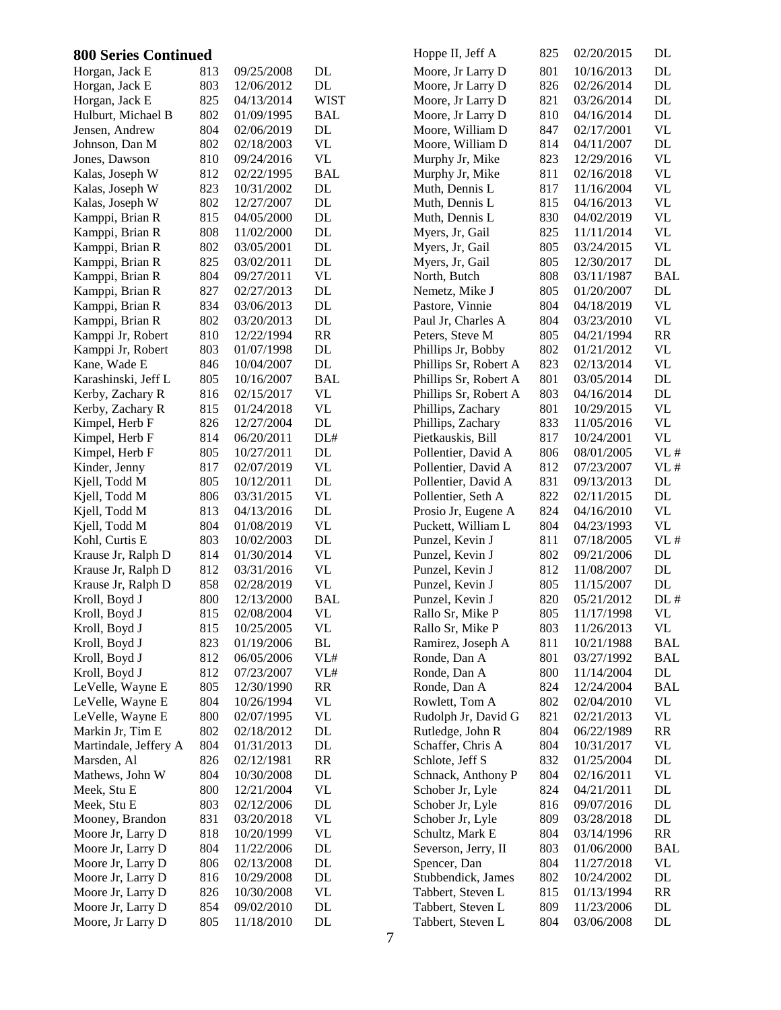| <b>800 Series Continued</b> |     |            |                                 | Hoppe II, Jeff A      | 825 | 02/20/2015 | DL                              |
|-----------------------------|-----|------------|---------------------------------|-----------------------|-----|------------|---------------------------------|
| Horgan, Jack E              | 813 | 09/25/2008 | DL                              | Moore, Jr Larry D     | 801 | 10/16/2013 | DL                              |
| Horgan, Jack E              | 803 | 12/06/2012 | $\rm DL$                        | Moore, Jr Larry D     | 826 | 02/26/2014 | $\mathbf{DL}$                   |
| Horgan, Jack E              | 825 | 04/13/2014 | <b>WIST</b>                     | Moore, Jr Larry D     | 821 | 03/26/2014 | $\mathbf{DL}$                   |
| Hulburt, Michael B          | 802 | 01/09/1995 | <b>BAL</b>                      | Moore, Jr Larry D     | 810 | 04/16/2014 | DL                              |
| Jensen, Andrew              | 804 | 02/06/2019 | DL                              | Moore, William D      | 847 | 02/17/2001 | <b>VL</b>                       |
| Johnson, Dan M              | 802 | 02/18/2003 | $\ensuremath{\text{VL}}\xspace$ | Moore, William D      | 814 | 04/11/2007 | $\rm DL$                        |
| Jones, Dawson               | 810 | 09/24/2016 | <b>VL</b>                       | Murphy Jr, Mike       | 823 | 12/29/2016 | <b>VL</b>                       |
| Kalas, Joseph W             | 812 | 02/22/1995 | <b>BAL</b>                      | Murphy Jr, Mike       | 811 | 02/16/2018 | <b>VL</b>                       |
| Kalas, Joseph W             | 823 | 10/31/2002 | DL                              | Muth, Dennis L        | 817 | 11/16/2004 | <b>VL</b>                       |
| Kalas, Joseph W             | 802 | 12/27/2007 | DL                              | Muth, Dennis L        | 815 | 04/16/2013 | <b>VL</b>                       |
| Kamppi, Brian R             | 815 | 04/05/2000 | DL                              | Muth, Dennis L        | 830 | 04/02/2019 | $\ensuremath{\text{VL}}$        |
| Kamppi, Brian R             | 808 | 11/02/2000 | $\rm DL$                        | Myers, Jr, Gail       | 825 | 11/11/2014 | $\ensuremath{\text{VL}}$        |
| Kamppi, Brian R             | 802 | 03/05/2001 | $\rm DL$                        | Myers, Jr, Gail       | 805 | 03/24/2015 | <b>VL</b>                       |
| Kamppi, Brian R             | 825 | 03/02/2011 | $\rm DL$                        | Myers, Jr, Gail       | 805 | 12/30/2017 | DL                              |
| Kamppi, Brian R             | 804 | 09/27/2011 | <b>VL</b>                       | North, Butch          | 808 | 03/11/1987 | <b>BAL</b>                      |
| Kamppi, Brian R             | 827 | 02/27/2013 | $\rm DL$                        | Nemetz, Mike J        | 805 | 01/20/2007 | DL                              |
| Kamppi, Brian R             | 834 | 03/06/2013 | $\rm DL$                        | Pastore, Vinnie       | 804 | 04/18/2019 | VL                              |
| Kamppi, Brian R             | 802 | 03/20/2013 | $\rm DL$                        | Paul Jr, Charles A    | 804 | 03/23/2010 | VL                              |
| Kamppi Jr, Robert           | 810 | 12/22/1994 | RR                              | Peters, Steve M       | 805 | 04/21/1994 | RR                              |
| Kamppi Jr, Robert           | 803 | 01/07/1998 | DL                              | Phillips Jr, Bobby    | 802 | 01/21/2012 | VL                              |
| Kane, Wade E                | 846 | 10/04/2007 | DL                              | Phillips Sr, Robert A | 823 | 02/13/2014 | <b>VL</b>                       |
| Karashinski, Jeff L         | 805 | 10/16/2007 | <b>BAL</b>                      | Phillips Sr, Robert A | 801 | 03/05/2014 | $\rm DL$                        |
| Kerby, Zachary R            | 816 | 02/15/2017 | <b>VL</b>                       | Phillips Sr, Robert A | 803 | 04/16/2014 | $\rm DL$                        |
| Kerby, Zachary R            | 815 | 01/24/2018 | $\ensuremath{\text{VL}}\xspace$ | Phillips, Zachary     | 801 | 10/29/2015 | $\ensuremath{\text{VL}}\xspace$ |
| Kimpel, Herb F              | 826 | 12/27/2004 | $\mathbf{DL}$                   | Phillips, Zachary     | 833 | 11/05/2016 | <b>VL</b>                       |
| Kimpel, Herb F              | 814 | 06/20/2011 | DL#                             | Pietkauskis, Bill     | 817 | 10/24/2001 | VL                              |
| Kimpel, Herb F              | 805 | 10/27/2011 | $\rm DL$                        | Pollentier, David A   | 806 | 08/01/2005 | VL#                             |
| Kinder, Jenny               | 817 | 02/07/2019 | $\ensuremath{\text{VL}}\xspace$ | Pollentier, David A   | 812 | 07/23/2007 | VL#                             |
| Kjell, Todd M               | 805 | 10/12/2011 | $\rm DL$                        | Pollentier, David A   | 831 | 09/13/2013 | DL                              |
| Kjell, Todd M               | 806 | 03/31/2015 | <b>VL</b>                       | Pollentier, Seth A    | 822 | 02/11/2015 | DL                              |
| Kjell, Todd M               | 813 | 04/13/2016 | DL                              | Prosio Jr, Eugene A   | 824 | 04/16/2010 | <b>VL</b>                       |
| Kjell, Todd M               | 804 | 01/08/2019 | VL                              | Puckett, William L    | 804 | 04/23/1993 | VL                              |
| Kohl, Curtis E              | 803 | 10/02/2003 | DL                              | Punzel, Kevin J       | 811 | 07/18/2005 | VL#                             |
| Krause Jr, Ralph D          | 814 | 01/30/2014 | <b>VL</b>                       | Punzel, Kevin J       | 802 | 09/21/2006 | $\rm DL$                        |
| Krause Jr, Ralph D          | 812 | 03/31/2016 | $\ensuremath{\text{VL}}\xspace$ | Punzel, Kevin J       | 812 | 11/08/2007 | $\rm DL$                        |
| Krause Jr, Ralph D          | 858 | 02/28/2019 | $\ensuremath{\text{VL}}\xspace$ | Punzel, Kevin J       | 805 | 11/15/2007 | $\rm DL$                        |
| Kroll, Boyd J               | 800 | 12/13/2000 | <b>BAL</b>                      | Punzel, Kevin J       | 820 | 05/21/2012 | DL#                             |
| Kroll, Boyd J               | 815 | 02/08/2004 | <b>VL</b>                       | Rallo Sr, Mike P      | 805 | 11/17/1998 | <b>VL</b>                       |
| Kroll, Boyd J               | 815 | 10/25/2005 | <b>VL</b>                       | Rallo Sr, Mike P      | 803 | 11/26/2013 | VL                              |
| Kroll, Boyd J               | 823 | 01/19/2006 | $\mathbf{BL}$                   | Ramirez, Joseph A     | 811 | 10/21/1988 | <b>BAL</b>                      |
| Kroll, Boyd J               | 812 | 06/05/2006 | $\ensuremath{\mathsf{VLH}}$     | Ronde, Dan A          | 801 | 03/27/1992 | <b>BAL</b>                      |
| Kroll, Boyd J               | 812 | 07/23/2007 | $\ensuremath{\mathsf{VLH}}$     | Ronde, Dan A          | 800 | 11/14/2004 | DL                              |
| LeVelle, Wayne E            | 805 | 12/30/1990 | RR                              | Ronde, Dan A          | 824 | 12/24/2004 | <b>BAL</b>                      |
| LeVelle, Wayne E            | 804 | 10/26/1994 | VL                              | Rowlett, Tom A        | 802 | 02/04/2010 | VL                              |
| LeVelle, Wayne E            | 800 | 02/07/1995 | <b>VL</b>                       | Rudolph Jr, David G   | 821 | 02/21/2013 | $\ensuremath{\text{VL}}$        |
| Markin Jr, Tim E            | 802 | 02/18/2012 | $\mathbf{DL}$                   | Rutledge, John R      | 804 | 06/22/1989 | RR                              |
| Martindale, Jeffery A       | 804 | 01/31/2013 | $\rm DL$                        | Schaffer, Chris A     | 804 | 10/31/2017 | <b>VL</b>                       |
| Marsden, Al                 | 826 | 02/12/1981 | <b>RR</b>                       | Schlote, Jeff S       | 832 | 01/25/2004 | $\mathbf{DL}$                   |
| Mathews, John W             | 804 | 10/30/2008 | DL                              | Schnack, Anthony P    | 804 | 02/16/2011 | <b>VL</b>                       |
| Meek, Stu E                 | 800 | 12/21/2004 | <b>VL</b>                       | Schober Jr, Lyle      | 824 | 04/21/2011 | DL                              |
| Meek, Stu E                 | 803 | 02/12/2006 | DL                              | Schober Jr, Lyle      | 816 | 09/07/2016 | DL                              |
| Mooney, Brandon             | 831 | 03/20/2018 | $\ensuremath{\text{VL}}\xspace$ | Schober Jr, Lyle      | 809 | 03/28/2018 | DL                              |
| Moore Jr, Larry D           | 818 | 10/20/1999 | $\ensuremath{\text{VL}}$        | Schultz, Mark E       | 804 | 03/14/1996 | RR                              |
| Moore Jr, Larry D           | 804 | 11/22/2006 | DL                              | Severson, Jerry, II   | 803 | 01/06/2000 | BAL                             |
| Moore Jr, Larry D           | 806 | 02/13/2008 | DL                              | Spencer, Dan          | 804 | 11/27/2018 | VL                              |
| Moore Jr, Larry D           | 816 | 10/29/2008 | DL                              | Stubbendick, James    | 802 | 10/24/2002 | DL                              |
| Moore Jr, Larry D           | 826 | 10/30/2008 | <b>VL</b>                       | Tabbert, Steven L     | 815 | 01/13/1994 | RR                              |
| Moore Jr, Larry D           | 854 | 09/02/2010 | DL                              | Tabbert, Steven L     | 809 | 11/23/2006 | DL                              |
| Moore, Jr Larry D           | 805 | 11/18/2010 | DL                              | Tabbert, Steven L     | 804 | 03/06/2008 | DL                              |
|                             |     |            |                                 |                       |     |            |                                 |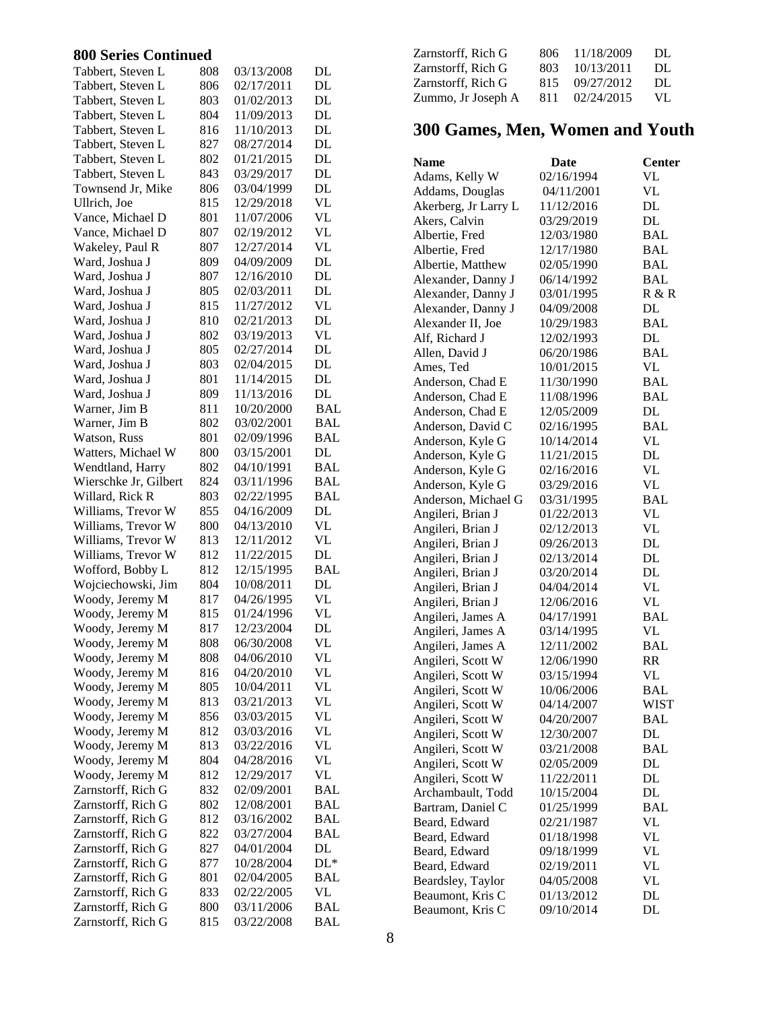### **800 Series Continued**

| Tabbert, Steven L     | 808 | 03/13/2008 | DL         |
|-----------------------|-----|------------|------------|
| Tabbert, Steven L     | 806 | 02/17/2011 | DL         |
| Tabbert, Steven L     | 803 | 01/02/2013 | DL         |
| Tabbert, Steven L     | 804 | 11/09/2013 | DL         |
| Tabbert, Steven L     | 816 | 11/10/2013 | DL         |
| Tabbert, Steven L     | 827 | 08/27/2014 | DL         |
| Tabbert, Steven L     | 802 | 01/21/2015 | DL         |
| Tabbert, Steven L     | 843 | 03/29/2017 | DL         |
| Townsend Jr, Mike     | 806 | 03/04/1999 | DL         |
| Ullrich, Joe          | 815 | 12/29/2018 | VL         |
| Vance, Michael D      | 801 | 11/07/2006 | VL         |
|                       | 807 |            |            |
| Vance, Michael D      |     | 02/19/2012 | VL         |
| Wakeley, Paul R       | 807 | 12/27/2014 | VL         |
| Ward, Joshua J        | 809 | 04/09/2009 | DL         |
| Ward, Joshua J        | 807 | 12/16/2010 | DL         |
| Ward, Joshua J        | 805 | 02/03/2011 | DL         |
| Ward, Joshua J        | 815 | 11/27/2012 | VL         |
| Ward, Joshua J        | 810 | 02/21/2013 | DL         |
| Ward, Joshua J        | 802 | 03/19/2013 | VL         |
| Ward, Joshua J        | 805 | 02/27/2014 | DL         |
| Ward, Joshua J        | 803 | 02/04/2015 | DL         |
| Ward, Joshua J        | 801 | 11/14/2015 | DL         |
| Ward, Joshua J        | 809 | 11/13/2016 | DL         |
| Warner, Jim B         | 811 | 10/20/2000 | <b>BAL</b> |
| Warner, Jim B         | 802 | 03/02/2001 | <b>BAL</b> |
| Watson, Russ          | 801 | 02/09/1996 | BAL        |
| Watters, Michael W    | 800 | 03/15/2001 | DL         |
| Wendtland, Harry      | 802 | 04/10/1991 | <b>BAL</b> |
| Wierschke Jr, Gilbert | 824 | 03/11/1996 | <b>BAL</b> |
| Willard, Rick R       | 803 | 02/22/1995 | <b>BAL</b> |
| Williams, Trevor W    | 855 | 04/16/2009 | DL         |
| Williams, Trevor W    | 800 | 04/13/2010 | <b>VL</b>  |
| Williams, Trevor W    | 813 | 12/11/2012 | <b>VL</b>  |
|                       |     | 11/22/2015 | DL         |
| Williams, Trevor W    | 812 |            |            |
| Wofford, Bobby L      | 812 | 12/15/1995 | <b>BAL</b> |
| Wojciechowski, Jim    | 804 | 10/08/2011 | DL         |
| Woody, Jeremy M       | 817 | 04/26/1995 | VL         |
| Woody, Jeremy M       | 815 | 01/24/1996 | VL         |
| Woody, Jeremy M       | 817 | 12/23/2004 | DL         |
| Woody, Jeremy M       | 808 | 06/30/2008 | VL         |
| Woody, Jeremy M       | 808 | 04/06/2010 | VL         |
| Woody, Jeremy M       | 816 | 04/20/2010 | VL         |
| Woody, Jeremy M       | 805 | 10/04/2011 | VL         |
| Woody, Jeremy M       | 813 | 03/21/2013 | VL         |
| Woody, Jeremy M       | 856 | 03/03/2015 | VL         |
| Woody, Jeremy M       | 812 | 03/03/2016 | VL         |
| Woody, Jeremy M       | 813 | 03/22/2016 | VL         |
| Woody, Jeremy M       | 804 | 04/28/2016 | VL         |
| Woody, Jeremy M       | 812 | 12/29/2017 | VL         |
| Zarnstorff, Rich G    | 832 | 02/09/2001 | <b>BAL</b> |
| Zarnstorff, Rich G    | 802 | 12/08/2001 | <b>BAL</b> |
| Zarnstorff, Rich G    | 812 | 03/16/2002 | <b>BAL</b> |
| Zarnstorff, Rich G    | 822 | 03/27/2004 | BAL        |
| Zarnstorff, Rich G    | 827 | 04/01/2004 | DL         |
| Zarnstorff, Rich G    | 877 | 10/28/2004 | $DL*$      |
| Zarnstorff, Rich G    | 801 | 02/04/2005 | BAL        |
|                       |     |            |            |
| Zarnstorff, Rich G    | 833 | 02/22/2005 | VL         |
| Zarnstorff, Rich G    | 800 | 03/11/2006 | BAL        |
| Zarnstorff, Rich G    | 815 | 03/22/2008 | BAL        |

| Zarnstorff, Rich G | 806 | 11/18/2009 | DL. |
|--------------------|-----|------------|-----|
| Zarnstorff, Rich G | 803 | 10/13/2011 | DL. |
| Zarnstorff, Rich G | 815 | 09/27/2012 | DL. |
| Zummo, Jr Joseph A | 811 | 02/24/2015 | VL. |

## **300 Games, Men, Women and Youth**

| Name                 | Date       | <b>Center</b> |
|----------------------|------------|---------------|
| Adams, Kelly W       | 02/16/1994 | VL            |
| Addams, Douglas      | 04/11/2001 | VL            |
| Akerberg, Jr Larry L | 11/12/2016 | DL            |
| Akers, Calvin        | 03/29/2019 | DL            |
| Albertie, Fred       | 12/03/1980 | BAL           |
| Albertie, Fred       | 12/17/1980 | BAL           |
| Albertie, Matthew    | 02/05/1990 | <b>BAL</b>    |
| Alexander, Danny J   | 06/14/1992 | <b>BAL</b>    |
| Alexander, Danny J   | 03/01/1995 | R & R         |
| Alexander, Danny J   | 04/09/2008 | DL            |
| Alexander II, Joe    | 10/29/1983 | <b>BAL</b>    |
| Alf, Richard J       | 12/02/1993 | DL            |
| Allen, David J       | 06/20/1986 | <b>BAL</b>    |
| Ames, Ted            | 10/01/2015 | VL            |
| Anderson, Chad E     | 11/30/1990 | BAL           |
| Anderson, Chad E     | 11/08/1996 | <b>BAL</b>    |
| Anderson, Chad E     | 12/05/2009 | DL            |
| Anderson, David C    | 02/16/1995 | <b>BAL</b>    |
| Anderson, Kyle G     | 10/14/2014 | VL            |
| Anderson, Kyle G     | 11/21/2015 | DL            |
| Anderson, Kyle G     | 02/16/2016 | VL            |
| Anderson, Kyle G     | 03/29/2016 | VL            |
| Anderson, Michael G  | 03/31/1995 | <b>BAL</b>    |
| Angileri, Brian J    | 01/22/2013 | VL            |
| Angileri, Brian J    | 02/12/2013 | VL            |
| Angileri, Brian J    | 09/26/2013 | DL            |
| Angileri, Brian J    | 02/13/2014 | DL            |
| Angileri, Brian J    | 03/20/2014 | DL            |
| Angileri, Brian J    | 04/04/2014 | VL            |
| Angileri, Brian J    | 12/06/2016 | VL            |
| Angileri, James A    | 04/17/1991 | <b>BAL</b>    |
| Angileri, James A    | 03/14/1995 | VL            |
| Angileri, James A    | 12/11/2002 | <b>BAL</b>    |
| Angileri, Scott W    | 12/06/1990 | <b>RR</b>     |
| Angileri, Scott W    | 03/15/1994 | VL            |
| Angileri, Scott W    | 10/06/2006 | BAL           |
| Angileri, Scott W    | 04/14/2007 | <b>WIST</b>   |
| Angileri, Scott W    | 04/20/2007 | BAL           |
| Angileri, Scott W    | 12/30/2007 | DL            |
| Angileri, Scott W    | 03/21/2008 | <b>BAL</b>    |
| Angileri, Scott W    | 02/05/2009 | DL            |
| Angileri, Scott W    | 11/22/2011 | DL            |
| Archambault, Todd    | 10/15/2004 | DL            |
| Bartram, Daniel C    | 01/25/1999 | <b>BAL</b>    |
| Beard, Edward        | 02/21/1987 | <b>VL</b>     |
| Beard, Edward        | 01/18/1998 | VL            |
| Beard, Edward        | 09/18/1999 | VL            |
| Beard, Edward        | 02/19/2011 | VL            |
| Beardsley, Taylor    | 04/05/2008 | VL            |
| Beaumont, Kris C     | 01/13/2012 | DL            |
| Beaumont, Kris C     | 09/10/2014 | DL            |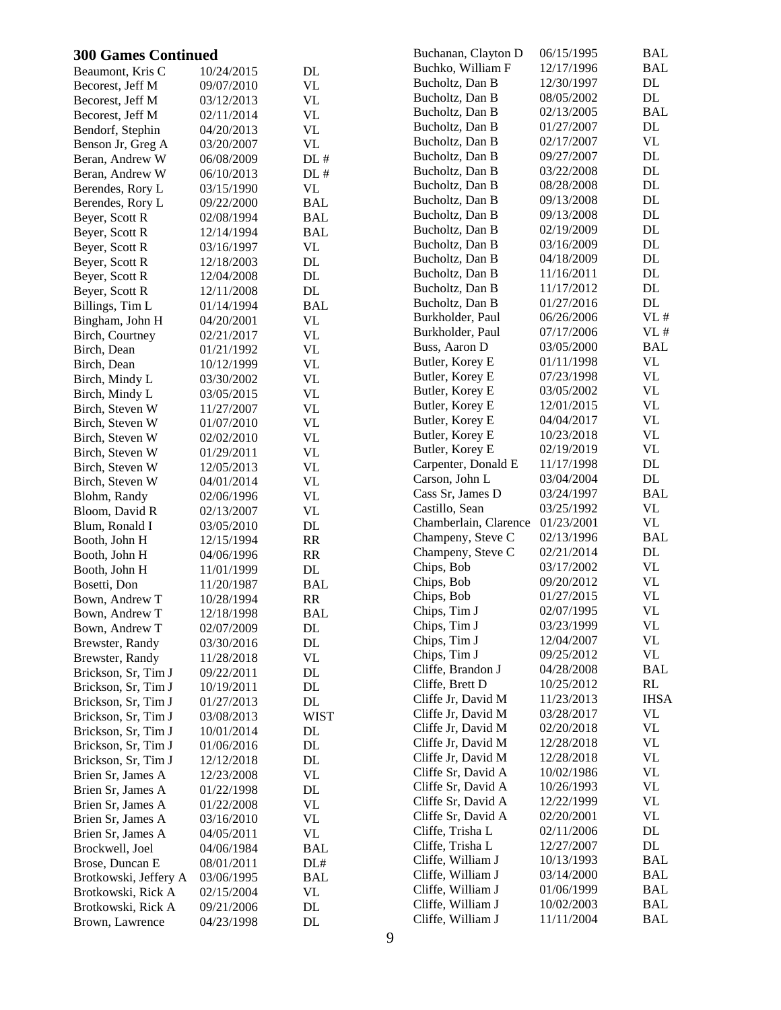| <b>300 Games Continued</b> |            |                                 | Buchanan, Clayton D   | 06/15/1995 | <b>BAL</b>    |
|----------------------------|------------|---------------------------------|-----------------------|------------|---------------|
| Beaumont, Kris C           | 10/24/2015 | DL                              | Buchko, William F     | 12/17/1996 | BAL           |
| Becorest, Jeff M           | 09/07/2010 | $\ensuremath{\text{VL}}\xspace$ | Bucholtz, Dan B       | 12/30/1997 | DL            |
| Becorest, Jeff M           | 03/12/2013 | <b>VL</b>                       | Bucholtz, Dan B       | 08/05/2002 | DL            |
| Becorest, Jeff M           | 02/11/2014 | <b>VL</b>                       | Bucholtz, Dan B       | 02/13/2005 | <b>BAL</b>    |
| Bendorf, Stephin           | 04/20/2013 | $\ensuremath{\text{VL}}\xspace$ | Bucholtz, Dan B       | 01/27/2007 | DL            |
| Benson Jr, Greg A          | 03/20/2007 | <b>VL</b>                       | Bucholtz, Dan B       | 02/17/2007 | <b>VL</b>     |
| Beran, Andrew W            | 06/08/2009 | $DL$ #                          | Bucholtz, Dan B       | 09/27/2007 | DL            |
| Beran, Andrew W            | 06/10/2013 | DL#                             | Bucholtz, Dan B       | 03/22/2008 | DL            |
| Berendes, Rory L           | 03/15/1990 | <b>VL</b>                       | Bucholtz, Dan B       | 08/28/2008 | DL            |
| Berendes, Rory L           | 09/22/2000 | <b>BAL</b>                      | Bucholtz, Dan B       | 09/13/2008 | $\mathbf{DL}$ |
| Beyer, Scott R             | 02/08/1994 | <b>BAL</b>                      | Bucholtz, Dan B       | 09/13/2008 | DL            |
| Beyer, Scott R             | 12/14/1994 | <b>BAL</b>                      | Bucholtz, Dan B       | 02/19/2009 | DL            |
| Beyer, Scott R             | 03/16/1997 | <b>VL</b>                       | Bucholtz, Dan B       | 03/16/2009 | DL            |
| Beyer, Scott R             | 12/18/2003 | DL                              | Bucholtz, Dan B       | 04/18/2009 | DL            |
| Beyer, Scott R             | 12/04/2008 | DL                              | Bucholtz, Dan B       | 11/16/2011 | DL            |
| Beyer, Scott R             | 12/11/2008 | DL                              | Bucholtz, Dan B       | 11/17/2012 | DL            |
| Billings, Tim L            | 01/14/1994 | <b>BAL</b>                      | Bucholtz, Dan B       | 01/27/2016 | DL            |
| Bingham, John H            | 04/20/2001 | <b>VL</b>                       | Burkholder, Paul      | 06/26/2006 | VL#           |
| Birch, Courtney            | 02/21/2017 | <b>VL</b>                       | Burkholder, Paul      | 07/17/2006 | VL#           |
| Birch, Dean                | 01/21/1992 | <b>VL</b>                       | Buss, Aaron D         | 03/05/2000 | <b>BAL</b>    |
| Birch, Dean                | 10/12/1999 | $\ensuremath{\text{VL}}\xspace$ | Butler, Korey E       | 01/11/1998 | <b>VL</b>     |
| Birch, Mindy L             | 03/30/2002 | <b>VL</b>                       | Butler, Korey E       | 07/23/1998 | <b>VL</b>     |
| Birch, Mindy L             | 03/05/2015 | <b>VL</b>                       | Butler, Korey E       | 03/05/2002 | VL            |
| Birch, Steven W            | 11/27/2007 | <b>VL</b>                       | Butler, Korey E       | 12/01/2015 | VL            |
| Birch, Steven W            | 01/07/2010 | <b>VL</b>                       | Butler, Korey E       | 04/04/2017 | VL            |
| Birch, Steven W            | 02/02/2010 | $\ensuremath{\text{VL}}\xspace$ | Butler, Korey E       | 10/23/2018 | VL            |
| Birch, Steven W            | 01/29/2011 | <b>VL</b>                       | Butler, Korey E       | 02/19/2019 | VL            |
| Birch, Steven W            | 12/05/2013 | <b>VL</b>                       | Carpenter, Donald E   | 11/17/1998 | $\rm DL$      |
| Birch, Steven W            | 04/01/2014 | <b>VL</b>                       | Carson, John L        | 03/04/2004 | DL            |
| Blohm, Randy               | 02/06/1996 | $\ensuremath{\text{VL}}\xspace$ | Cass Sr, James D      | 03/24/1997 | <b>BAL</b>    |
| Bloom, David R             | 02/13/2007 | <b>VL</b>                       | Castillo, Sean        | 03/25/1992 | <b>VL</b>     |
| Blum, Ronald I             | 03/05/2010 | $\rm DL$                        | Chamberlain, Clarence | 01/23/2001 | <b>VL</b>     |
| Booth, John H              | 12/15/1994 | RR                              | Champeny, Steve C     | 02/13/1996 | <b>BAL</b>    |
| Booth, John H              | 04/06/1996 | RR                              | Champeny, Steve C     | 02/21/2014 | DL            |
| Booth, John H              | 11/01/1999 | DL                              | Chips, Bob            | 03/17/2002 | VL            |
| Bosetti, Don               | 11/20/1987 | <b>BAL</b>                      | Chips, Bob            | 09/20/2012 | <b>VL</b>     |
| Bown, Andrew T             | 10/28/1994 | RR                              | Chips, Bob            | 01/27/2015 | <b>VL</b>     |
| Bown, Andrew T             | 12/18/1998 | <b>BAL</b>                      | Chips, Tim J          | 02/07/1995 | <b>VL</b>     |
| Bown, Andrew T             | 02/07/2009 | DL                              | Chips, Tim J          | 03/23/1999 | <b>VL</b>     |
| Brewster, Randy            | 03/30/2016 | DL                              | Chips, Tim J          | 12/04/2007 | <b>VL</b>     |
| Brewster, Randy            | 11/28/2018 | <b>VL</b>                       | Chips, Tim J          | 09/25/2012 | VL            |
| Brickson, Sr, Tim J        | 09/22/2011 | DL                              | Cliffe, Brandon J     | 04/28/2008 | <b>BAL</b>    |
| Brickson, Sr, Tim J        | 10/19/2011 | $\rm DL$                        | Cliffe, Brett D       | 10/25/2012 | RL            |
| Brickson, Sr, Tim J        | 01/27/2013 | DL                              | Cliffe Jr, David M    | 11/23/2013 | <b>IHSA</b>   |
| Brickson, Sr, Tim J        | 03/08/2013 | <b>WIST</b>                     | Cliffe Jr, David M    | 03/28/2017 | VL            |
| Brickson, Sr, Tim J        | 10/01/2014 | DL                              | Cliffe Jr, David M    | 02/20/2018 | <b>VL</b>     |
| Brickson, Sr, Tim J        | 01/06/2016 | DL                              | Cliffe Jr, David M    | 12/28/2018 | <b>VL</b>     |
| Brickson, Sr, Tim J        | 12/12/2018 | DL                              | Cliffe Jr, David M    | 12/28/2018 | VL            |
| Brien Sr, James A          | 12/23/2008 | <b>VL</b>                       | Cliffe Sr, David A    | 10/02/1986 | <b>VL</b>     |
| Brien Sr, James A          | 01/22/1998 | $\rm DL$                        | Cliffe Sr, David A    | 10/26/1993 | VL            |
| Brien Sr, James A          | 01/22/2008 | <b>VL</b>                       | Cliffe Sr, David A    | 12/22/1999 | VL            |
| Brien Sr, James A          | 03/16/2010 | <b>VL</b>                       | Cliffe Sr, David A    | 02/20/2001 | VL            |
| Brien Sr, James A          | 04/05/2011 | <b>VL</b>                       | Cliffe, Trisha L      | 02/11/2006 | DL            |
| Brockwell, Joel            | 04/06/1984 | <b>BAL</b>                      | Cliffe, Trisha L      | 12/27/2007 | DL            |
| Brose, Duncan E            | 08/01/2011 | $\text{DL}\#$                   | Cliffe, William J     | 10/13/1993 | <b>BAL</b>    |
| Brotkowski, Jeffery A      | 03/06/1995 | <b>BAL</b>                      | Cliffe, William J     | 03/14/2000 | <b>BAL</b>    |
| Brotkowski, Rick A         | 02/15/2004 | <b>VL</b>                       | Cliffe, William J     | 01/06/1999 | <b>BAL</b>    |
| Brotkowski, Rick A         | 09/21/2006 | $\rm DL$                        | Cliffe, William J     | 10/02/2003 | <b>BAL</b>    |
| Brown, Lawrence            | 04/23/1998 | DL                              | Cliffe, William J     | 11/11/2004 | <b>BAL</b>    |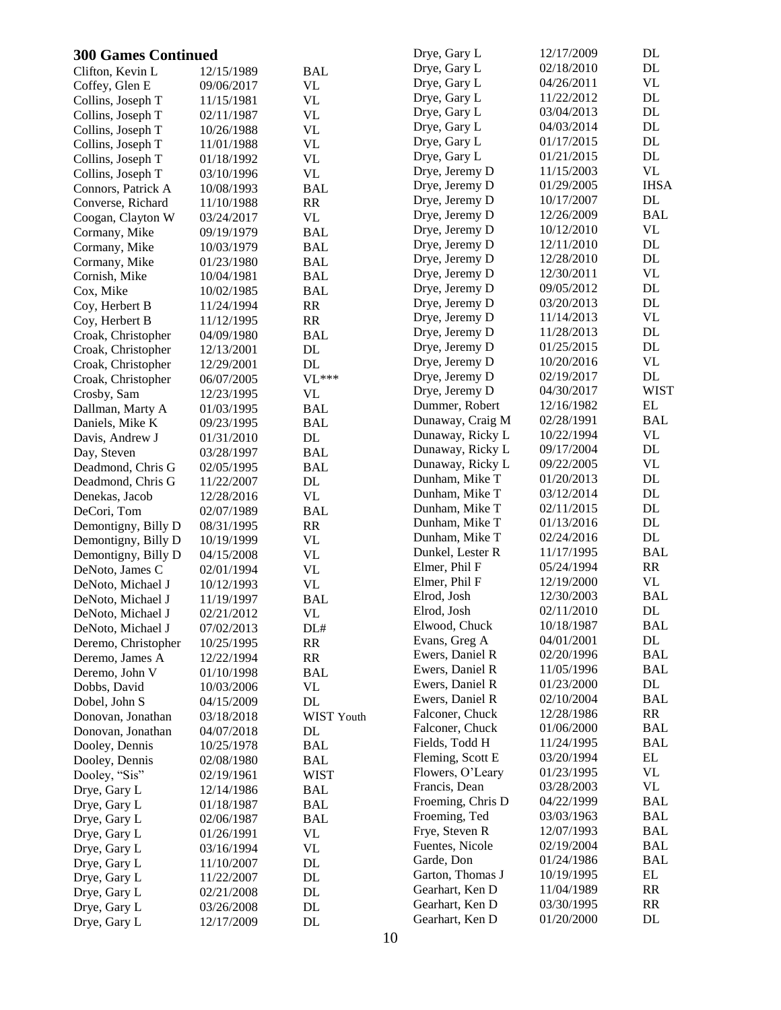| <b>300 Games Continued</b>   |                          |                  | Drye, Gary L                       | 12/17/2009               | DL                |
|------------------------------|--------------------------|------------------|------------------------------------|--------------------------|-------------------|
| Clifton, Kevin L             | 12/15/1989               | <b>BAL</b>       | Drye, Gary L                       | 02/18/2010               | DL                |
| Coffey, Glen E               | 09/06/2017               | VL               | Drye, Gary L                       | 04/26/2011               | <b>VL</b>         |
| Collins, Joseph T            | 11/15/1981               | <b>VL</b>        | Drye, Gary L                       | 11/22/2012               | DL                |
| Collins, Joseph T            | 02/11/1987               | VL               | Drye, Gary L                       | 03/04/2013               | DL                |
| Collins, Joseph T            | 10/26/1988               | VL               | Drye, Gary L                       | 04/03/2014               | DL                |
| Collins, Joseph T            | 11/01/1988               | VL               | Drye, Gary L                       | 01/17/2015               | DL                |
| Collins, Joseph T            | 01/18/1992               | VL               | Drye, Gary L                       | 01/21/2015               | DL                |
| Collins, Joseph T            | 03/10/1996               | <b>VL</b>        | Drye, Jeremy D                     | 11/15/2003               | <b>VL</b>         |
| Connors, Patrick A           | 10/08/1993               | <b>BAL</b>       | Drye, Jeremy D                     | 01/29/2005               | <b>IHSA</b>       |
| Converse, Richard            | 11/10/1988               | RR               | Drye, Jeremy D                     | 10/17/2007               | DL                |
| Coogan, Clayton W            | 03/24/2017               | VL               | Drye, Jeremy D                     | 12/26/2009               | <b>BAL</b>        |
| Cormany, Mike                | 09/19/1979               | <b>BAL</b>       | Drye, Jeremy D                     | 10/12/2010               | <b>VL</b>         |
| Cormany, Mike                | 10/03/1979               | BAL              | Drye, Jeremy D                     | 12/11/2010               | DL                |
| Cormany, Mike                | 01/23/1980               | <b>BAL</b>       | Drye, Jeremy D                     | 12/28/2010               | DL                |
| Cornish, Mike                | 10/04/1981               | <b>BAL</b>       | Drye, Jeremy D                     | 12/30/2011               | <b>VL</b>         |
| Cox, Mike                    | 10/02/1985               | <b>BAL</b>       | Drye, Jeremy D                     | 09/05/2012               | DL                |
| Coy, Herbert B               | 11/24/1994               | RR               | Drye, Jeremy D                     | 03/20/2013               | DL                |
| Coy, Herbert B               | 11/12/1995               | RR               | Drye, Jeremy D                     | 11/14/2013               | <b>VL</b>         |
| Croak, Christopher           | 04/09/1980               | <b>BAL</b>       | Drye, Jeremy D                     | 11/28/2013               | DL                |
| Croak, Christopher           | 12/13/2001               | $\rm DL$         | Drye, Jeremy D                     | 01/25/2015               | DL                |
| Croak, Christopher           | 12/29/2001               | DL               | Drye, Jeremy D                     | 10/20/2016               | <b>VL</b>         |
| Croak, Christopher           | 06/07/2005               | $VL***$          | Drye, Jeremy D                     | 02/19/2017               | DL                |
| Crosby, Sam                  | 12/23/1995               | VL               | Drye, Jeremy D                     | 04/30/2017               | <b>WIST</b>       |
| Dallman, Marty A             | 01/03/1995               | BAL              | Dummer, Robert                     | 12/16/1982               | EL                |
| Daniels, Mike K              | 09/23/1995               | <b>BAL</b>       | Dunaway, Craig M                   | 02/28/1991               | <b>BAL</b>        |
| Davis, Andrew J              | 01/31/2010               | DL               | Dunaway, Ricky L                   | 10/22/1994               | <b>VL</b>         |
| Day, Steven                  | 03/28/1997               | <b>BAL</b>       | Dunaway, Ricky L                   | 09/17/2004               | DL                |
| Deadmond, Chris G            | 02/05/1995               | <b>BAL</b>       | Dunaway, Ricky L                   | 09/22/2005               | <b>VL</b>         |
| Deadmond, Chris G            | 11/22/2007               | DL               | Dunham, Mike T                     | 01/20/2013               | DL                |
| Denekas, Jacob               | 12/28/2016               | <b>VL</b>        | Dunham, Mike T                     | 03/12/2014               | DL                |
| DeCori, Tom                  | 02/07/1989               | <b>BAL</b>       | Dunham, Mike T                     | 02/11/2015               | DL                |
| Demontigny, Billy D          | 08/31/1995               | RR               | Dunham, Mike T                     | 01/13/2016               | DL                |
| Demontigny, Billy D          | 10/19/1999               | <b>VL</b>        | Dunham, Mike T                     | 02/24/2016               | DL                |
| Demontigny, Billy D          | 04/15/2008               | <b>VL</b>        | Dunkel, Lester R                   | 11/17/1995               | <b>BAL</b>        |
| DeNoto, James C              | 02/01/1994               | VL               | Elmer, Phil F                      | 05/24/1994               | RR                |
| DeNoto, Michael J            | 10/12/1993               | VL               | Elmer, Phil F                      | 12/19/2000               | <b>VL</b>         |
| DeNoto, Michael J            | 11/19/1997               | <b>BAL</b>       | Elrod, Josh                        | 12/30/2003               | <b>BAL</b>        |
| DeNoto, Michael J            | 02/21/2012               | VL               | Elrod, Josh                        | 02/11/2010               | DL                |
| DeNoto, Michael J            | 07/02/2013               | DL#              | Elwood, Chuck                      | 10/18/1987               | <b>BAL</b>        |
| Deremo, Christopher          | 10/25/1995               | RR               | Evans, Greg A                      | 04/01/2001               | DL                |
| Deremo, James A              | 12/22/1994               | RR               | Ewers, Daniel R<br>Ewers, Daniel R | 02/20/1996               | BAL<br><b>BAL</b> |
| Deremo, John V               | 01/10/1998               | <b>BAL</b>       | Ewers, Daniel R                    | 11/05/1996               | DL                |
| Dobbs, David                 | 10/03/2006               | VL               | Ewers, Daniel R                    | 01/23/2000<br>02/10/2004 | <b>BAL</b>        |
| Dobel, John S                | 04/15/2009               | DL               | Falconer, Chuck                    | 12/28/1986               | RR                |
| Donovan, Jonathan            | 03/18/2018               | WIST Youth       | Falconer, Chuck                    | 01/06/2000               | BAL               |
| Donovan, Jonathan            | 04/07/2018               | DL               | Fields, Todd H                     | 11/24/1995               | BAL               |
| Dooley, Dennis               | 10/25/1978               | <b>BAL</b>       | Fleming, Scott E                   | 03/20/1994               | EL                |
| Dooley, Dennis               | 02/08/1980               | BAL              | Flowers, O'Leary                   | 01/23/1995               | VL                |
| Dooley, "Sis"                | 02/19/1961               | <b>WIST</b>      | Francis, Dean                      | 03/28/2003               | VL                |
| Drye, Gary L                 | 12/14/1986               | BAL              | Froeming, Chris D                  | 04/22/1999               | <b>BAL</b>        |
| Drye, Gary L                 | 01/18/1987               | <b>BAL</b>       | Froeming, Ted                      | 03/03/1963               | <b>BAL</b>        |
| Drye, Gary L                 | 02/06/1987               | <b>BAL</b><br>VL | Frye, Steven R                     | 12/07/1993               | <b>BAL</b>        |
| Drye, Gary L                 | 01/26/1991               | VL               | Fuentes, Nicole                    | 02/19/2004               | BAL               |
| Drye, Gary L                 | 03/16/1994<br>11/10/2007 | DL               | Garde, Don                         | 01/24/1986               | <b>BAL</b>        |
| Drye, Gary L<br>Drye, Gary L | 11/22/2007               | DL               | Garton, Thomas J                   | 10/19/1995               | EL                |
| Drye, Gary L                 | 02/21/2008               | DL               | Gearhart, Ken D                    | 11/04/1989               | RR                |
| Drye, Gary L                 | 03/26/2008               | DL               | Gearhart, Ken D                    | 03/30/1995               | RR                |
| Drye, Gary L                 | 12/17/2009               | DL               | Gearhart, Ken D                    | 01/20/2000               | DL                |
|                              |                          |                  |                                    |                          |                   |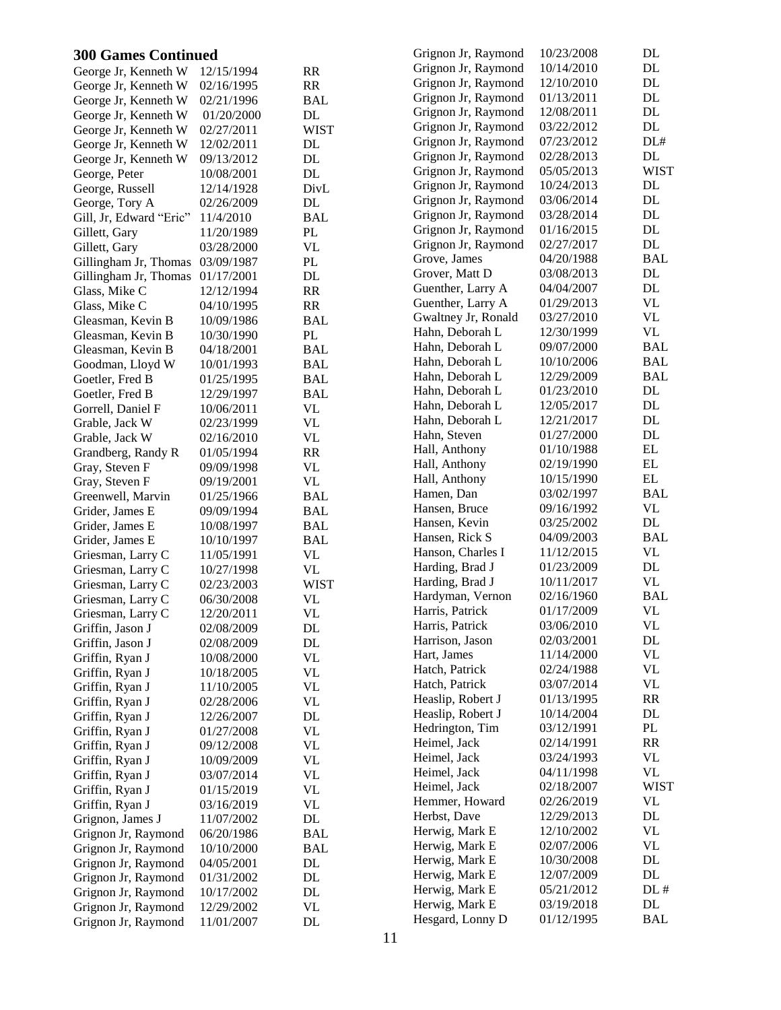| <b>300 Games Continued</b>         |                          |                        | Grignon Jr, Raymond | 10/23/2008 | DL            |
|------------------------------------|--------------------------|------------------------|---------------------|------------|---------------|
| George Jr, Kenneth W               | 12/15/1994               | <b>RR</b>              | Grignon Jr, Raymond | 10/14/2010 | DL            |
| George Jr, Kenneth W               | 02/16/1995               | RR                     | Grignon Jr, Raymond | 12/10/2010 | $\mathbf{DL}$ |
| George Jr, Kenneth W               | 02/21/1996               | <b>BAL</b>             | Grignon Jr, Raymond | 01/13/2011 | DL            |
| George Jr, Kenneth W               | 01/20/2000               | DL                     | Grignon Jr, Raymond | 12/08/2011 | DL            |
| George Jr, Kenneth W               | 02/27/2011               | <b>WIST</b>            | Grignon Jr, Raymond | 03/22/2012 | DL            |
| George Jr, Kenneth W               | 12/02/2011               | DL                     | Grignon Jr, Raymond | 07/23/2012 | DL#           |
| George Jr, Kenneth W               | 09/13/2012               | DL                     | Grignon Jr, Raymond | 02/28/2013 | DL            |
| George, Peter                      | 10/08/2001               | DL                     | Grignon Jr, Raymond | 05/05/2013 | <b>WIST</b>   |
| George, Russell                    | 12/14/1928               | DivL                   | Grignon Jr, Raymond | 10/24/2013 | DL            |
| George, Tory A                     | 02/26/2009               | DL                     | Grignon Jr, Raymond | 03/06/2014 | DL            |
| Gill, Jr, Edward "Eric"            | 11/4/2010                | <b>BAL</b>             | Grignon Jr, Raymond | 03/28/2014 | DL            |
| Gillett, Gary                      | 11/20/1989               | PL                     | Grignon Jr, Raymond | 01/16/2015 | DL            |
| Gillett, Gary                      | 03/28/2000               | <b>VL</b>              | Grignon Jr, Raymond | 02/27/2017 | DL            |
| Gillingham Jr, Thomas              | 03/09/1987               | PL                     | Grove, James        | 04/20/1988 | <b>BAL</b>    |
| Gillingham Jr, Thomas              | 01/17/2001               | <b>DL</b>              | Grover, Matt D      | 03/08/2013 | $\mathbf{DL}$ |
| Glass, Mike C                      | 12/12/1994               | <b>RR</b>              | Guenther, Larry A   | 04/04/2007 | DL            |
| Glass, Mike C                      | 04/10/1995               | <b>RR</b>              | Guenther, Larry A   | 01/29/2013 | VL            |
| Gleasman, Kevin B                  | 10/09/1986               | <b>BAL</b>             | Gwaltney Jr, Ronald | 03/27/2010 | <b>VL</b>     |
| Gleasman, Kevin B                  | 10/30/1990               | PL                     | Hahn, Deborah L     | 12/30/1999 | <b>VL</b>     |
| Gleasman, Kevin B                  | 04/18/2001               | <b>BAL</b>             | Hahn, Deborah L     | 09/07/2000 | <b>BAL</b>    |
| Goodman, Lloyd W                   | 10/01/1993               | <b>BAL</b>             | Hahn, Deborah L     | 10/10/2006 | <b>BAL</b>    |
| Goetler, Fred B                    | 01/25/1995               | <b>BAL</b>             | Hahn, Deborah L     | 12/29/2009 | <b>BAL</b>    |
| Goetler, Fred B                    | 12/29/1997               | <b>BAL</b>             | Hahn, Deborah L     | 01/23/2010 | DL            |
| Gorrell, Daniel F                  | 10/06/2011               | <b>VL</b>              | Hahn, Deborah L     | 12/05/2017 | DL            |
| Grable, Jack W                     | 02/23/1999               | <b>VL</b>              | Hahn, Deborah L     | 12/21/2017 | DL            |
| Grable, Jack W                     | 02/16/2010               | <b>VL</b>              | Hahn, Steven        | 01/27/2000 | $\mathbf{DL}$ |
| Grandberg, Randy R                 | 01/05/1994               | <b>RR</b>              | Hall, Anthony       | 01/10/1988 | $\mathbf{EL}$ |
| Gray, Steven F                     | 09/09/1998               | <b>VL</b>              | Hall, Anthony       | 02/19/1990 | EL            |
| Gray, Steven F                     | 09/19/2001               | <b>VL</b>              | Hall, Anthony       | 10/15/1990 | $\mathbf{EL}$ |
| Greenwell, Marvin                  | 01/25/1966               | <b>BAL</b>             | Hamen, Dan          | 03/02/1997 | <b>BAL</b>    |
| Grider, James E                    | 09/09/1994               | <b>BAL</b>             | Hansen, Bruce       | 09/16/1992 | VL            |
| Grider, James E                    | 10/08/1997               | <b>BAL</b>             | Hansen, Kevin       | 03/25/2002 | DL            |
| Grider, James E                    | 10/10/1997               | <b>BAL</b>             | Hansen, Rick S      | 04/09/2003 | <b>BAL</b>    |
| Griesman, Larry C                  | 11/05/1991               | VL                     | Hanson, Charles I   | 11/12/2015 | <b>VL</b>     |
| Griesman, Larry C                  | 10/27/1998               | <b>VL</b>              | Harding, Brad J     | 01/23/2009 | DL            |
| Griesman, Larry C                  | 02/23/2003               | <b>WIST</b>            | Harding, Brad J     | 10/11/2017 | <b>VL</b>     |
| Griesman, Larry C                  | 06/30/2008               | <b>VL</b>              | Hardyman, Vernon    | 02/16/1960 | <b>BAL</b>    |
| Griesman, Larry C                  | 12/20/2011               | <b>VL</b>              | Harris, Patrick     | 01/17/2009 | VL            |
| Griffin, Jason J                   | 02/08/2009               | DL                     | Harris, Patrick     | 03/06/2010 | <b>VL</b>     |
| Griffin, Jason J                   | 02/08/2009               | DL                     | Harrison, Jason     | 02/03/2001 | $\mathbf{DL}$ |
| Griffin, Ryan J                    | 10/08/2000               | <b>VL</b>              | Hart, James         | 11/14/2000 | <b>VL</b>     |
| Griffin, Ryan J                    | 10/18/2005               | <b>VL</b>              | Hatch, Patrick      | 02/24/1988 | <b>VL</b>     |
| Griffin, Ryan J                    | 11/10/2005               | <b>VL</b>              | Hatch, Patrick      | 03/07/2014 | <b>VL</b>     |
|                                    | 02/28/2006               | <b>VL</b>              | Heaslip, Robert J   | 01/13/1995 | RR            |
| Griffin, Ryan J<br>Griffin, Ryan J | 12/26/2007               | DL                     | Heaslip, Robert J   | 10/14/2004 | $\mathbf{DL}$ |
| Griffin, Ryan J                    | 01/27/2008               | <b>VL</b>              | Hedrington, Tim     | 03/12/1991 | $\mathbf{PL}$ |
|                                    |                          | <b>VL</b>              | Heimel, Jack        | 02/14/1991 | RR            |
| Griffin, Ryan J<br>Griffin, Ryan J | 09/12/2008               | <b>VL</b>              | Heimel, Jack        | 03/24/1993 | <b>VL</b>     |
| Griffin, Ryan J                    | 10/09/2009<br>03/07/2014 | <b>VL</b>              | Heimel, Jack        | 04/11/1998 | <b>VL</b>     |
| Griffin, Ryan J                    | 01/15/2019               | <b>VL</b>              | Heimel, Jack        | 02/18/2007 | <b>WIST</b>   |
| Griffin, Ryan J                    | 03/16/2019               | <b>VL</b>              | Hemmer, Howard      | 02/26/2019 | <b>VL</b>     |
|                                    |                          |                        | Herbst, Dave        | 12/29/2013 | $\mathbf{DL}$ |
| Grignon, James J                   | 11/07/2002               | $\rm DL$<br><b>BAL</b> | Herwig, Mark E      | 12/10/2002 | <b>VL</b>     |
| Grignon Jr, Raymond                | 06/20/1986               |                        | Herwig, Mark E      | 02/07/2006 | VL            |
| Grignon Jr, Raymond                | 10/10/2000               | <b>BAL</b>             | Herwig, Mark E      | 10/30/2008 | DL            |
| Grignon Jr, Raymond                | 04/05/2001               | DL<br>$\rm DL$         | Herwig, Mark E      | 12/07/2009 | $\rm DL$      |
| Grignon Jr, Raymond                | 01/31/2002               |                        | Herwig, Mark E      | 05/21/2012 | DL#           |
| Grignon Jr, Raymond                | 10/17/2002               | DL                     | Herwig, Mark E      | 03/19/2018 | $\rm DL$      |
| Grignon Jr, Raymond                | 12/29/2002               | <b>VL</b>              | Hesgard, Lonny D    | 01/12/1995 | <b>BAL</b>    |
| Grignon Jr, Raymond                | 11/01/2007               | DL                     |                     |            |               |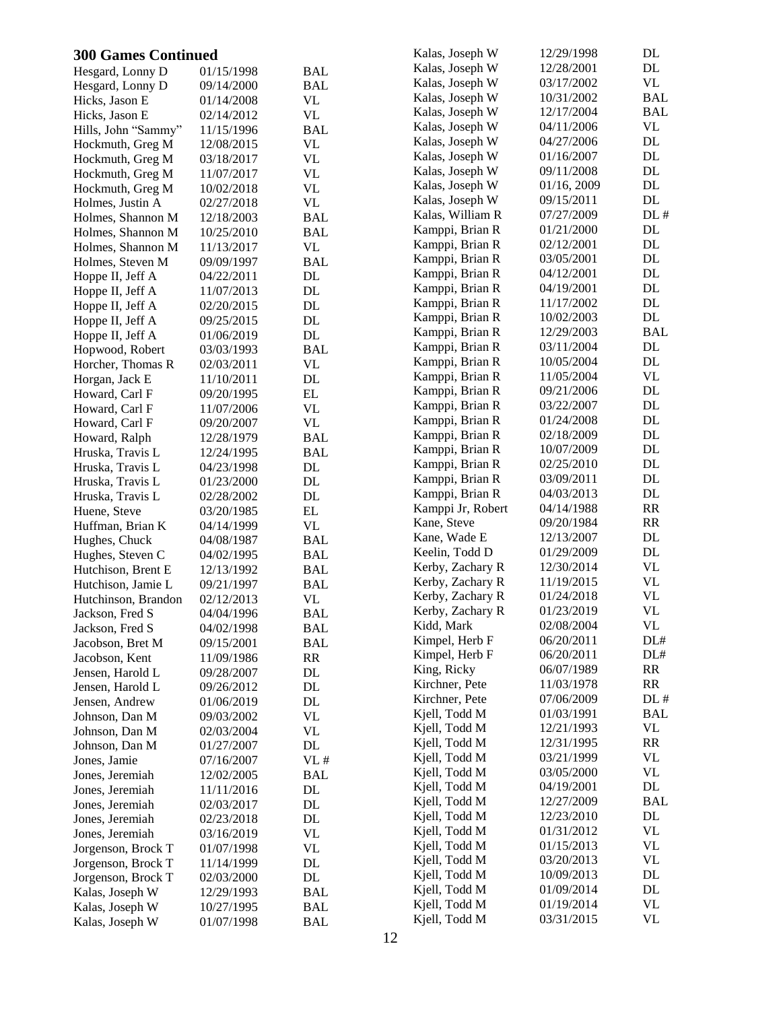| <b>300 Games Continued</b> |            |            | Kalas, Joseph W   | 12/29/1998  | DL         |
|----------------------------|------------|------------|-------------------|-------------|------------|
| Hesgard, Lonny D           | 01/15/1998 | <b>BAL</b> | Kalas, Joseph W   | 12/28/2001  | DL         |
| Hesgard, Lonny D           | 09/14/2000 | <b>BAL</b> | Kalas, Joseph W   | 03/17/2002  | VL         |
| Hicks, Jason E             | 01/14/2008 | <b>VL</b>  | Kalas, Joseph W   | 10/31/2002  | <b>BAL</b> |
| Hicks, Jason E             | 02/14/2012 | <b>VL</b>  | Kalas, Joseph W   | 12/17/2004  | <b>BAL</b> |
| Hills, John "Sammy"        | 11/15/1996 | <b>BAL</b> | Kalas, Joseph W   | 04/11/2006  | VL         |
| Hockmuth, Greg M           | 12/08/2015 | <b>VL</b>  | Kalas, Joseph W   | 04/27/2006  | DL         |
| Hockmuth, Greg M           | 03/18/2017 | <b>VL</b>  | Kalas, Joseph W   | 01/16/2007  | $\rm DL$   |
| Hockmuth, Greg M           | 11/07/2017 | <b>VL</b>  | Kalas, Joseph W   | 09/11/2008  | DL         |
| Hockmuth, Greg M           | 10/02/2018 | <b>VL</b>  | Kalas, Joseph W   | 01/16, 2009 | DL         |
| Holmes, Justin A           | 02/27/2018 | <b>VL</b>  | Kalas, Joseph W   | 09/15/2011  | DL         |
| Holmes, Shannon M          | 12/18/2003 | <b>BAL</b> | Kalas, William R  | 07/27/2009  | DL#        |
| Holmes, Shannon M          | 10/25/2010 | <b>BAL</b> | Kamppi, Brian R   | 01/21/2000  | DL         |
| Holmes, Shannon M          | 11/13/2017 | <b>VL</b>  | Kamppi, Brian R   | 02/12/2001  | DL         |
| Holmes, Steven M           | 09/09/1997 | <b>BAL</b> | Kamppi, Brian R   | 03/05/2001  | DL         |
| Hoppe II, Jeff A           | 04/22/2011 | $\rm DL$   | Kamppi, Brian R   | 04/12/2001  | DL         |
| Hoppe II, Jeff A           | 11/07/2013 | DL         | Kamppi, Brian R   | 04/19/2001  | DL         |
| Hoppe II, Jeff A           | 02/20/2015 | DL         | Kamppi, Brian R   | 11/17/2002  | DL         |
| Hoppe II, Jeff A           | 09/25/2015 | DL         | Kamppi, Brian R   | 10/02/2003  | DL         |
|                            |            | DL         | Kamppi, Brian R   | 12/29/2003  | <b>BAL</b> |
| Hoppe II, Jeff A           | 01/06/2019 | <b>BAL</b> | Kamppi, Brian R   | 03/11/2004  | DL         |
| Hopwood, Robert            | 03/03/1993 |            | Kamppi, Brian R   | 10/05/2004  | DL         |
| Horcher, Thomas R          | 02/03/2011 | <b>VL</b>  | Kamppi, Brian R   | 11/05/2004  | VL         |
| Horgan, Jack E             | 11/10/2011 | DL         | Kamppi, Brian R   | 09/21/2006  | DL         |
| Howard, Carl F             | 09/20/1995 | EL         | Kamppi, Brian R   | 03/22/2007  | DL         |
| Howard, Carl F             | 11/07/2006 | <b>VL</b>  | Kamppi, Brian R   | 01/24/2008  | DL         |
| Howard, Carl F             | 09/20/2007 | <b>VL</b>  | Kamppi, Brian R   | 02/18/2009  | DL         |
| Howard, Ralph              | 12/28/1979 | <b>BAL</b> |                   |             | DL         |
| Hruska, Travis L           | 12/24/1995 | <b>BAL</b> | Kamppi, Brian R   | 10/07/2009  | DL         |
| Hruska, Travis L           | 04/23/1998 | $\rm DL$   | Kamppi, Brian R   | 02/25/2010  | DL         |
| Hruska, Travis L           | 01/23/2000 | DL         | Kamppi, Brian R   | 03/09/2011  |            |
| Hruska, Travis L           | 02/28/2002 | DL         | Kamppi, Brian R   | 04/03/2013  | DL         |
| Huene, Steve               | 03/20/1985 | EL         | Kamppi Jr, Robert | 04/14/1988  | RR         |
| Huffman, Brian K           | 04/14/1999 | VL         | Kane, Steve       | 09/20/1984  | RR         |
| Hughes, Chuck              | 04/08/1987 | <b>BAL</b> | Kane, Wade E      | 12/13/2007  | DL         |
| Hughes, Steven C           | 04/02/1995 | <b>BAL</b> | Keelin, Todd D    | 01/29/2009  | DL         |
| Hutchison, Brent E         | 12/13/1992 | <b>BAL</b> | Kerby, Zachary R  | 12/30/2014  | VL         |
| Hutchison, Jamie L         | 09/21/1997 | <b>BAL</b> | Kerby, Zachary R  | 11/19/2015  | <b>VL</b>  |
| Hutchinson, Brandon        | 02/12/2013 | VL         | Kerby, Zachary R  | 01/24/2018  | <b>VL</b>  |
| Jackson, Fred S            | 04/04/1996 | <b>BAL</b> | Kerby, Zachary R  | 01/23/2019  | <b>VL</b>  |
| Jackson, Fred S            | 04/02/1998 | <b>BAL</b> | Kidd, Mark        | 02/08/2004  | VL         |
| Jacobson, Bret M           | 09/15/2001 | <b>BAL</b> | Kimpel, Herb F    | 06/20/2011  | DL#        |
| Jacobson, Kent             | 11/09/1986 | RR         | Kimpel, Herb F    | 06/20/2011  | DL#        |
| Jensen, Harold L           | 09/28/2007 | DL         | King, Ricky       | 06/07/1989  | RR         |
| Jensen, Harold L           | 09/26/2012 | DL         | Kirchner, Pete    | 11/03/1978  | RR         |
| Jensen, Andrew             | 01/06/2019 | DL         | Kirchner, Pete    | 07/06/2009  | DL#        |
| Johnson, Dan M             | 09/03/2002 | <b>VL</b>  | Kjell, Todd M     | 01/03/1991  | <b>BAL</b> |
| Johnson, Dan M             | 02/03/2004 | <b>VL</b>  | Kjell, Todd M     | 12/21/1993  | VL         |
| Johnson, Dan M             | 01/27/2007 | DL         | Kjell, Todd M     | 12/31/1995  | RR         |
| Jones, Jamie               | 07/16/2007 | VL#        | Kjell, Todd M     | 03/21/1999  | VL         |
| Jones, Jeremiah            | 12/02/2005 | <b>BAL</b> | Kjell, Todd M     | 03/05/2000  | VL         |
| Jones, Jeremiah            | 11/11/2016 | DL         | Kjell, Todd M     | 04/19/2001  | DL         |
| Jones, Jeremiah            | 02/03/2017 | DL         | Kjell, Todd M     | 12/27/2009  | <b>BAL</b> |
| Jones, Jeremiah            | 02/23/2018 | DL         | Kjell, Todd M     | 12/23/2010  | DL         |
| Jones, Jeremiah            | 03/16/2019 | <b>VL</b>  | Kjell, Todd M     | 01/31/2012  | VL         |
| Jorgenson, Brock T         | 01/07/1998 | <b>VL</b>  | Kjell, Todd M     | 01/15/2013  | VL         |
| Jorgenson, Brock T         | 11/14/1999 | DL         | Kjell, Todd M     | 03/20/2013  | VL         |
| Jorgenson, Brock T         | 02/03/2000 | DL         | Kjell, Todd M     | 10/09/2013  | DL         |
| Kalas, Joseph W            | 12/29/1993 | <b>BAL</b> | Kjell, Todd M     | 01/09/2014  | DL         |
| Kalas, Joseph W            | 10/27/1995 | <b>BAL</b> | Kjell, Todd M     | 01/19/2014  | VL         |
| Kalas, Joseph W            | 01/07/1998 | <b>BAL</b> | Kjell, Todd M     | 03/31/2015  | VL         |
|                            |            |            |                   |             |            |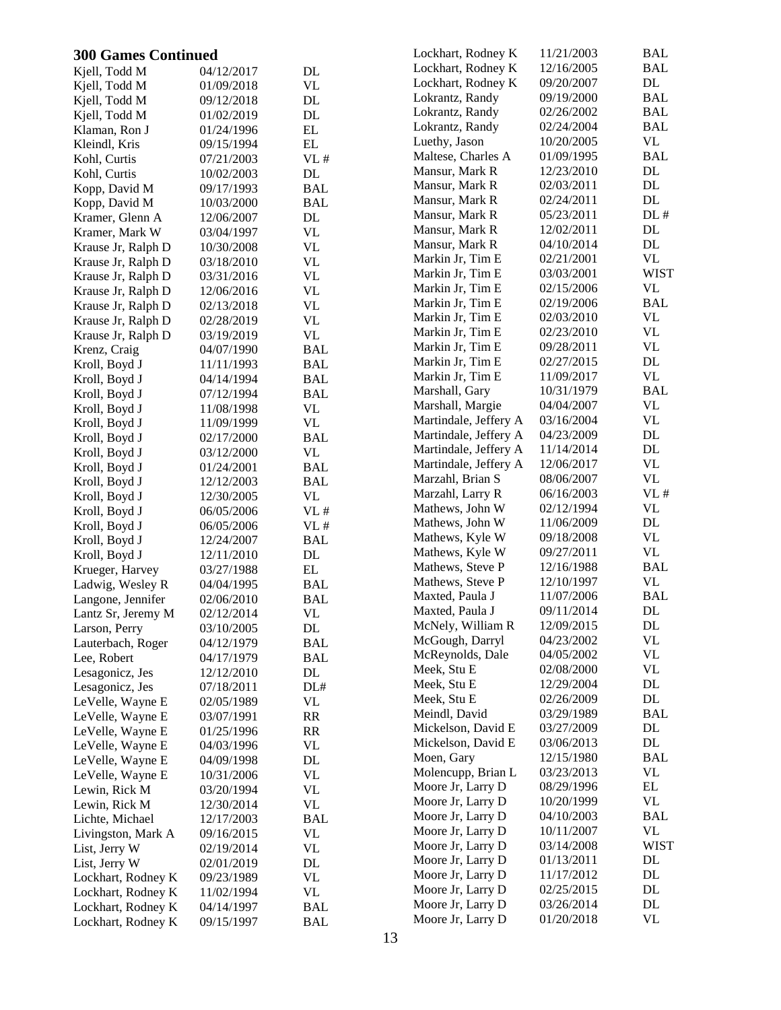| <b>300 Games Continued</b> |            |                                 | Lockhart, Rodney K    | 11/21/2003 | BAL           |
|----------------------------|------------|---------------------------------|-----------------------|------------|---------------|
| Kjell, Todd M              | 04/12/2017 | DL                              | Lockhart, Rodney K    | 12/16/2005 | <b>BAL</b>    |
| Kjell, Todd M              | 01/09/2018 | <b>VL</b>                       | Lockhart, Rodney K    | 09/20/2007 | DL            |
| Kjell, Todd M              | 09/12/2018 | DL                              | Lokrantz, Randy       | 09/19/2000 | <b>BAL</b>    |
| Kjell, Todd M              | 01/02/2019 | DL                              | Lokrantz, Randy       | 02/26/2002 | <b>BAL</b>    |
| Klaman, Ron J              | 01/24/1996 | EL                              | Lokrantz, Randy       | 02/24/2004 | <b>BAL</b>    |
| Kleindl, Kris              | 09/15/1994 | $\mathbf{EL}$                   | Luethy, Jason         | 10/20/2005 | VL            |
| Kohl, Curtis               | 07/21/2003 | VL#                             | Maltese, Charles A    | 01/09/1995 | <b>BAL</b>    |
| Kohl, Curtis               | 10/02/2003 | $\rm DL$                        | Mansur, Mark R        | 12/23/2010 | DL            |
| Kopp, David M              | 09/17/1993 | <b>BAL</b>                      | Mansur, Mark R        | 02/03/2011 | DL            |
| Kopp, David M              | 10/03/2000 | <b>BAL</b>                      | Mansur, Mark R        | 02/24/2011 | DL            |
| Kramer, Glenn A            | 12/06/2007 | DL                              | Mansur, Mark R        | 05/23/2011 | DL#           |
| Kramer, Mark W             | 03/04/1997 | VL                              | Mansur, Mark R        | 12/02/2011 | $\mathbf{DL}$ |
| Krause Jr, Ralph D         | 10/30/2008 | <b>VL</b>                       | Mansur, Mark R        | 04/10/2014 | DL            |
| Krause Jr, Ralph D         | 03/18/2010 | <b>VL</b>                       | Markin Jr, Tim E      | 02/21/2001 | <b>VL</b>     |
| Krause Jr, Ralph D         | 03/31/2016 | <b>VL</b>                       | Markin Jr, Tim E      | 03/03/2001 | <b>WIST</b>   |
| Krause Jr, Ralph D         | 12/06/2016 | <b>VL</b>                       | Markin Jr, Tim E      | 02/15/2006 | VL            |
| Krause Jr, Ralph D         | 02/13/2018 | <b>VL</b>                       | Markin Jr, Tim E      | 02/19/2006 | <b>BAL</b>    |
| Krause Jr, Ralph D         | 02/28/2019 | <b>VL</b>                       | Markin Jr, Tim E      | 02/03/2010 | VL            |
| Krause Jr, Ralph D         | 03/19/2019 | $\ensuremath{\text{VL}}\xspace$ | Markin Jr, Tim E      | 02/23/2010 | <b>VL</b>     |
| Krenz, Craig               | 04/07/1990 | <b>BAL</b>                      | Markin Jr, Tim E      | 09/28/2011 | VL            |
| Kroll, Boyd J              | 11/11/1993 | <b>BAL</b>                      | Markin Jr, Tim E      | 02/27/2015 | DL            |
| Kroll, Boyd J              | 04/14/1994 | <b>BAL</b>                      | Markin Jr, Tim E      | 11/09/2017 | <b>VL</b>     |
| Kroll, Boyd J              | 07/12/1994 | <b>BAL</b>                      | Marshall, Gary        | 10/31/1979 | <b>BAL</b>    |
| Kroll, Boyd J              | 11/08/1998 | VL                              | Marshall, Margie      | 04/04/2007 | <b>VL</b>     |
| Kroll, Boyd J              | 11/09/1999 | <b>VL</b>                       | Martindale, Jeffery A | 03/16/2004 | VL            |
| Kroll, Boyd J              | 02/17/2000 | <b>BAL</b>                      | Martindale, Jeffery A | 04/23/2009 | DL            |
| Kroll, Boyd J              | 03/12/2000 | <b>VL</b>                       | Martindale, Jeffery A | 11/14/2014 | DL            |
| Kroll, Boyd J              | 01/24/2001 | <b>BAL</b>                      | Martindale, Jeffery A | 12/06/2017 | <b>VL</b>     |
| Kroll, Boyd J              | 12/12/2003 | <b>BAL</b>                      | Marzahl, Brian S      | 08/06/2007 | VL            |
| Kroll, Boyd J              | 12/30/2005 | VL                              | Marzahl, Larry R      | 06/16/2003 | VL#           |
| Kroll, Boyd J              | 06/05/2006 | VL#                             | Mathews, John W       | 02/12/1994 | VL            |
| Kroll, Boyd J              | 06/05/2006 | VL#                             | Mathews, John W       | 11/06/2009 | DL            |
| Kroll, Boyd J              | 12/24/2007 | <b>BAL</b>                      | Mathews, Kyle W       | 09/18/2008 | VL            |
| Kroll, Boyd J              | 12/11/2010 | DL                              | Mathews, Kyle W       | 09/27/2011 | <b>VL</b>     |
| Krueger, Harvey            | 03/27/1988 | EL                              | Mathews, Steve P      | 12/16/1988 | <b>BAL</b>    |
| Ladwig, Wesley R           | 04/04/1995 | <b>BAL</b>                      | Mathews, Steve P      | 12/10/1997 | <b>VL</b>     |
| Langone, Jennifer          | 02/06/2010 | <b>BAL</b>                      | Maxted, Paula J       | 11/07/2006 | <b>BAL</b>    |
| Lantz Sr, Jeremy M         | 02/12/2014 | <b>VL</b>                       | Maxted, Paula J       | 09/11/2014 | DL            |
| Larson, Perry              | 03/10/2005 | DL                              | McNely, William R     | 12/09/2015 | DL            |
| Lauterbach, Roger          | 04/12/1979 | <b>BAL</b>                      | McGough, Darryl       | 04/23/2002 | <b>VL</b>     |
| Lee, Robert                | 04/17/1979 | <b>BAL</b>                      | McReynolds, Dale      | 04/05/2002 | <b>VL</b>     |
| Lesagonicz, Jes            | 12/12/2010 | DL                              | Meek, Stu E           | 02/08/2000 | VL            |
| Lesagonicz, Jes            | 07/18/2011 | DL#                             | Meek, Stu E           | 12/29/2004 | DL            |
| LeVelle, Wayne E           | 02/05/1989 | <b>VL</b>                       | Meek, Stu E           | 02/26/2009 | DL            |
| LeVelle, Wayne E           | 03/07/1991 | <b>RR</b>                       | Meindl, David         | 03/29/1989 | <b>BAL</b>    |
| LeVelle, Wayne E           | 01/25/1996 | <b>RR</b>                       | Mickelson, David E    | 03/27/2009 | DL            |
| LeVelle, Wayne E           | 04/03/1996 | VL                              | Mickelson, David E    | 03/06/2013 | DL            |
| LeVelle, Wayne E           | 04/09/1998 | DL                              | Moen, Gary            | 12/15/1980 | <b>BAL</b>    |
| LeVelle, Wayne E           | 10/31/2006 | <b>VL</b>                       | Molencupp, Brian L    | 03/23/2013 | VL            |
| Lewin, Rick M              | 03/20/1994 | <b>VL</b>                       | Moore Jr, Larry D     | 08/29/1996 | EL            |
| Lewin, Rick M              | 12/30/2014 | <b>VL</b>                       | Moore Jr, Larry D     | 10/20/1999 | VL            |
| Lichte, Michael            | 12/17/2003 | <b>BAL</b>                      | Moore Jr, Larry D     | 04/10/2003 | <b>BAL</b>    |
| Livingston, Mark A         | 09/16/2015 | <b>VL</b>                       | Moore Jr, Larry D     | 10/11/2007 | VL            |
| List, Jerry W              | 02/19/2014 | <b>VL</b>                       | Moore Jr, Larry D     | 03/14/2008 | <b>WIST</b>   |
| List, Jerry W              | 02/01/2019 | DL                              | Moore Jr, Larry D     | 01/13/2011 | DL            |
| Lockhart, Rodney K         | 09/23/1989 | <b>VL</b>                       | Moore Jr, Larry D     | 11/17/2012 | DL            |
| Lockhart, Rodney K         | 11/02/1994 | <b>VL</b>                       | Moore Jr, Larry D     | 02/25/2015 | DL            |
| Lockhart, Rodney K         | 04/14/1997 | <b>BAL</b>                      | Moore Jr, Larry D     | 03/26/2014 | DL            |
| Lockhart, Rodney K         | 09/15/1997 | <b>BAL</b>                      | Moore Jr, Larry D     | 01/20/2018 | <b>VL</b>     |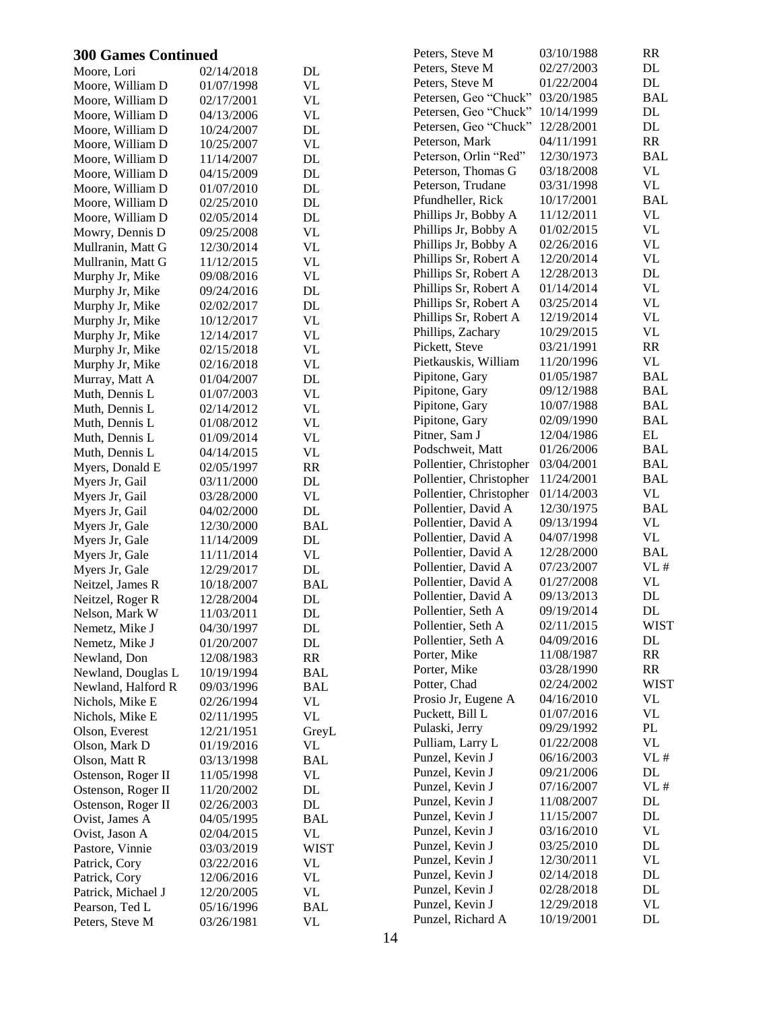| <b>300 Games Continued</b> |            | Peters, Steve M                   | 03/10/1988              | RR         |               |
|----------------------------|------------|-----------------------------------|-------------------------|------------|---------------|
| Moore, Lori                | 02/14/2018 | DL                                | Peters, Steve M         | 02/27/2003 | DL            |
| Moore, William D           | 01/07/1998 | $\ensuremath{\text{VL}}$          | Peters, Steve M         | 01/22/2004 | DL            |
| Moore, William D           | 02/17/2001 | <b>VL</b>                         | Petersen, Geo "Chuck"   | 03/20/1985 | <b>BAL</b>    |
| Moore, William D           | 04/13/2006 | $\ensuremath{\text{VL}}$          | Petersen, Geo "Chuck"   | 10/14/1999 | $\mathbf{DL}$ |
| Moore, William D           | 10/24/2007 | $\rm DL$                          | Petersen, Geo "Chuck"   | 12/28/2001 | DL            |
| Moore, William D           | 10/25/2007 | <b>VL</b>                         | Peterson, Mark          | 04/11/1991 | RR            |
| Moore, William D           | 11/14/2007 | $\rm DL$                          | Peterson, Orlin "Red"   | 12/30/1973 | <b>BAL</b>    |
| Moore, William D           | 04/15/2009 | $\rm DL$                          | Peterson, Thomas G      | 03/18/2008 | VL            |
| Moore, William D           | 01/07/2010 | $\rm DL$                          | Peterson, Trudane       | 03/31/1998 | VL            |
| Moore, William D           | 02/25/2010 | $\rm DL$                          | Pfundheller, Rick       | 10/17/2001 | <b>BAL</b>    |
| Moore, William D           | 02/05/2014 | $\rm DL$                          | Phillips Jr, Bobby A    | 11/12/2011 | <b>VL</b>     |
| Mowry, Dennis D            | 09/25/2008 | <b>VL</b>                         | Phillips Jr, Bobby A    | 01/02/2015 | <b>VL</b>     |
| Mullranin, Matt G          | 12/30/2014 | <b>VL</b>                         | Phillips Jr, Bobby A    | 02/26/2016 | <b>VL</b>     |
| Mullranin, Matt G          | 11/12/2015 | $\ensuremath{\text{VL}}\xspace$   | Phillips Sr, Robert A   | 12/20/2014 | VL            |
| Murphy Jr, Mike            | 09/08/2016 | $\ensuremath{\text{VL}}\xspace$   | Phillips Sr, Robert A   | 12/28/2013 | $\mathbf{DL}$ |
| Murphy Jr, Mike            | 09/24/2016 | $\rm DL$                          | Phillips Sr, Robert A   | 01/14/2014 | <b>VL</b>     |
| Murphy Jr, Mike            | 02/02/2017 | $\rm DL$                          | Phillips Sr, Robert A   | 03/25/2014 | VL            |
| Murphy Jr, Mike            | 10/12/2017 | <b>VL</b>                         | Phillips Sr, Robert A   | 12/19/2014 | VL            |
| Murphy Jr, Mike            | 12/14/2017 | <b>VL</b>                         | Phillips, Zachary       | 10/29/2015 | <b>VL</b>     |
| Murphy Jr, Mike            | 02/15/2018 | <b>VL</b>                         | Pickett, Steve          | 03/21/1991 | RR            |
| Murphy Jr, Mike            | 02/16/2018 | <b>VL</b>                         | Pietkauskis, William    | 11/20/1996 | VL            |
| Murray, Matt A             | 01/04/2007 | DL                                | Pipitone, Gary          | 01/05/1987 | <b>BAL</b>    |
| Muth, Dennis L             | 01/07/2003 | <b>VL</b>                         | Pipitone, Gary          | 09/12/1988 | <b>BAL</b>    |
| Muth, Dennis L             | 02/14/2012 | <b>VL</b>                         | Pipitone, Gary          | 10/07/1988 | <b>BAL</b>    |
| Muth, Dennis L             | 01/08/2012 | <b>VL</b>                         | Pipitone, Gary          | 02/09/1990 | <b>BAL</b>    |
| Muth, Dennis L             | 01/09/2014 | <b>VL</b>                         | Pitner, Sam J           | 12/04/1986 | $\mathbf{EL}$ |
| Muth, Dennis L             | 04/14/2015 | <b>VL</b>                         | Podschweit, Matt        | 01/26/2006 | <b>BAL</b>    |
| Myers, Donald E            | 02/05/1997 | RR                                | Pollentier, Christopher | 03/04/2001 | <b>BAL</b>    |
| Myers Jr, Gail             | 03/11/2000 | $\rm DL$                          | Pollentier, Christopher | 11/24/2001 | <b>BAL</b>    |
| Myers Jr, Gail             | 03/28/2000 | <b>VL</b>                         | Pollentier, Christopher | 01/14/2003 | VL            |
| Myers Jr, Gail             | 04/02/2000 | $\mathbf{DL}$                     | Pollentier, David A     | 12/30/1975 | <b>BAL</b>    |
| Myers Jr, Gale             | 12/30/2000 | <b>BAL</b>                        | Pollentier, David A     | 09/13/1994 | VL            |
| Myers Jr, Gale             | 11/14/2009 | $\rm DL$                          | Pollentier, David A     | 04/07/1998 | VL            |
| Myers Jr, Gale             | 11/11/2014 | <b>VL</b>                         | Pollentier, David A     | 12/28/2000 | <b>BAL</b>    |
| Myers Jr, Gale             | 12/29/2017 | $\mathbf{DL}$                     | Pollentier, David A     | 07/23/2007 | VL#           |
| Neitzel, James R           | 10/18/2007 | <b>BAL</b>                        | Pollentier, David A     | 01/27/2008 | <b>VL</b>     |
| Neitzel, Roger R           | 12/28/2004 | DL                                | Pollentier, David A     | 09/13/2013 | DL            |
| Nelson, Mark W             | 11/03/2011 | DL                                | Pollentier, Seth A      | 09/19/2014 | $\mathbf{DL}$ |
| Nemetz, Mike J             | 04/30/1997 | DL                                | Pollentier, Seth A      | 02/11/2015 | <b>WIST</b>   |
| Nemetz, Mike J             | 01/20/2007 | $\rm DL$                          | Pollentier, Seth A      | 04/09/2016 | DL            |
| Newland, Don               | 12/08/1983 | $\ensuremath{\mathsf{RR}}\xspace$ | Porter, Mike            | 11/08/1987 | <b>RR</b>     |
| Newland, Douglas L         | 10/19/1994 | <b>BAL</b>                        | Porter, Mike            | 03/28/1990 | RR            |
| Newland, Halford R         | 09/03/1996 | <b>BAL</b>                        | Potter, Chad            | 02/24/2002 | <b>WIST</b>   |
| Nichols, Mike E            | 02/26/1994 | <b>VL</b>                         | Prosio Jr, Eugene A     | 04/16/2010 | VL            |
| Nichols, Mike E            | 02/11/1995 | <b>VL</b>                         | Puckett, Bill L         | 01/07/2016 | VL            |
| Olson, Everest             | 12/21/1951 | GreyL                             | Pulaski, Jerry          | 09/29/1992 | $\mathbf{PL}$ |
| Olson, Mark D              | 01/19/2016 | VL                                | Pulliam, Larry L        | 01/22/2008 | <b>VL</b>     |
| Olson, Matt R              | 03/13/1998 | <b>BAL</b>                        | Punzel, Kevin J         | 06/16/2003 | VL#           |
| Ostenson, Roger II         | 11/05/1998 | VL                                | Punzel, Kevin J         | 09/21/2006 | $\mathbf{DL}$ |
| Ostenson, Roger II         | 11/20/2002 | $\mathbf{DL}$                     | Punzel, Kevin J         | 07/16/2007 | VL#           |
| Ostenson, Roger II         | 02/26/2003 | $\rm DL$                          | Punzel, Kevin J         | 11/08/2007 | DL            |
| Ovist, James A             | 04/05/1995 | <b>BAL</b>                        | Punzel, Kevin J         | 11/15/2007 | DL            |
| Ovist, Jason A             | 02/04/2015 | <b>VL</b>                         | Punzel, Kevin J         | 03/16/2010 | <b>VL</b>     |
| Pastore, Vinnie            | 03/03/2019 | <b>WIST</b>                       | Punzel, Kevin J         | 03/25/2010 | DL            |
| Patrick, Cory              | 03/22/2016 | VL                                | Punzel, Kevin J         | 12/30/2011 | VL            |
| Patrick, Cory              | 12/06/2016 | <b>VL</b>                         | Punzel, Kevin J         | 02/14/2018 | DL            |
| Patrick, Michael J         | 12/20/2005 | <b>VL</b>                         | Punzel, Kevin J         | 02/28/2018 | $\mathbf{DL}$ |
| Pearson, Ted L             | 05/16/1996 | <b>BAL</b>                        | Punzel, Kevin J         | 12/29/2018 | <b>VL</b>     |
| Peters, Steve M            | 03/26/1981 | <b>VL</b>                         | Punzel, Richard A       | 10/19/2001 | $\mathbf{DL}$ |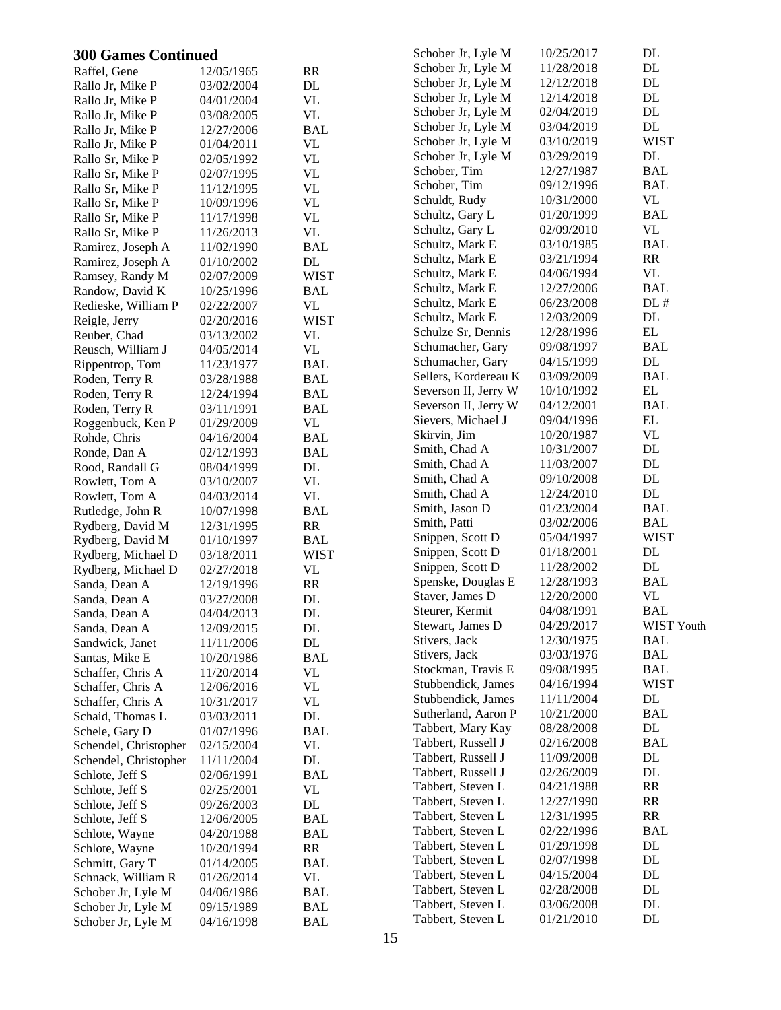| <b>300 Games Continued</b>        |                          |                             | Schober Jr, Lyle M                       | 10/25/2017               | DL                      |
|-----------------------------------|--------------------------|-----------------------------|------------------------------------------|--------------------------|-------------------------|
| Raffel, Gene                      | 12/05/1965               | RR                          | Schober Jr, Lyle M                       | 11/28/2018               | $\rm DL$                |
| Rallo Jr, Mike P                  | 03/02/2004               | $\mathbf{DL}$               | Schober Jr, Lyle M                       | 12/12/2018               | $\rm DL$                |
| Rallo Jr, Mike P                  | 04/01/2004               | <b>VL</b>                   | Schober Jr, Lyle M                       | 12/14/2018               | $\rm DL$                |
| Rallo Jr, Mike P                  | 03/08/2005               | <b>VL</b>                   | Schober Jr, Lyle M                       | 02/04/2019               | $\rm DL$                |
| Rallo Jr, Mike P                  | 12/27/2006               | <b>BAL</b>                  | Schober Jr, Lyle M                       | 03/04/2019               | $\rm DL$                |
| Rallo Jr, Mike P                  | 01/04/2011               | <b>VL</b>                   | Schober Jr, Lyle M                       | 03/10/2019               | <b>WIST</b>             |
| Rallo Sr, Mike P                  | 02/05/1992               | <b>VL</b>                   | Schober Jr, Lyle M                       | 03/29/2019               | $\rm DL$                |
| Rallo Sr, Mike P                  | 02/07/1995               | <b>VL</b>                   | Schober, Tim                             | 12/27/1987               | <b>BAL</b>              |
| Rallo Sr, Mike P                  | 11/12/1995               | $\ensuremath{\text{VL}}$    | Schober, Tim                             | 09/12/1996               | <b>BAL</b>              |
| Rallo Sr, Mike P                  | 10/09/1996               | <b>VL</b>                   | Schuldt, Rudy                            | 10/31/2000               | VL                      |
| Rallo Sr, Mike P                  | 11/17/1998               | <b>VL</b>                   | Schultz, Gary L                          | 01/20/1999               | <b>BAL</b>              |
| Rallo Sr, Mike P                  | 11/26/2013               | $\ensuremath{\text{VL}}$    | Schultz, Gary L                          | 02/09/2010               | <b>VL</b>               |
| Ramirez, Joseph A                 | 11/02/1990               | <b>BAL</b>                  | Schultz, Mark E                          | 03/10/1985               | <b>BAL</b>              |
| Ramirez, Joseph A                 | 01/10/2002               | DL                          | Schultz, Mark E                          | 03/21/1994               | RR                      |
| Ramsey, Randy M                   | 02/07/2009               | <b>WIST</b>                 | Schultz, Mark E                          | 04/06/1994               | <b>VL</b>               |
| Randow, David K                   | 10/25/1996               | <b>BAL</b>                  | Schultz, Mark E                          | 12/27/2006               | <b>BAL</b>              |
| Redieske, William P               | 02/22/2007               | VL                          | Schultz, Mark E                          | 06/23/2008               | DL#                     |
| Reigle, Jerry                     | 02/20/2016               | <b>WIST</b>                 | Schultz, Mark E                          | 12/03/2009               | DL                      |
| Reuber, Chad                      | 03/13/2002               | <b>VL</b>                   | Schulze Sr, Dennis                       | 12/28/1996               | EL                      |
| Reusch, William J                 | 04/05/2014               | <b>VL</b>                   | Schumacher, Gary                         | 09/08/1997               | <b>BAL</b>              |
| Rippentrop, Tom                   | 11/23/1977               | <b>BAL</b>                  | Schumacher, Gary                         | 04/15/1999               | DL                      |
| Roden, Terry R                    | 03/28/1988               | <b>BAL</b>                  | Sellers, Kordereau K                     | 03/09/2009               | <b>BAL</b>              |
| Roden, Terry R                    | 12/24/1994               | <b>BAL</b>                  | Severson II, Jerry W                     | 10/10/1992               | EL                      |
| Roden, Terry R                    | 03/11/1991               | <b>BAL</b>                  | Severson II, Jerry W                     | 04/12/2001               | <b>BAL</b>              |
| Roggenbuck, Ken P                 | 01/29/2009               | <b>VL</b>                   | Sievers, Michael J                       | 09/04/1996               | EL                      |
| Rohde, Chris                      | 04/16/2004               | <b>BAL</b>                  | Skirvin, Jim                             | 10/20/1987               | <b>VL</b>               |
| Ronde, Dan A                      | 02/12/1993               | <b>BAL</b>                  | Smith, Chad A                            | 10/31/2007               | DL                      |
| Rood, Randall G                   | 08/04/1999               | DL                          | Smith, Chad A                            | 11/03/2007               | $\rm DL$                |
| Rowlett, Tom A                    | 03/10/2007               | <b>VL</b>                   | Smith, Chad A                            | 09/10/2008               | DL                      |
| Rowlett, Tom A                    | 04/03/2014               | <b>VL</b>                   | Smith, Chad A                            | 12/24/2010               | DL                      |
| Rutledge, John R                  | 10/07/1998               | <b>BAL</b>                  | Smith, Jason D                           | 01/23/2004               | <b>BAL</b>              |
| Rydberg, David M                  | 12/31/1995               | RR                          | Smith, Patti                             | 03/02/2006               | <b>BAL</b>              |
| Rydberg, David M                  | 01/10/1997               | <b>BAL</b>                  | Snippen, Scott D                         | 05/04/1997               | <b>WIST</b>             |
| Rydberg, Michael D                | 03/18/2011               | <b>WIST</b>                 | Snippen, Scott D                         | 01/18/2001               | DL                      |
| Rydberg, Michael D                | 02/27/2018               | <b>VL</b>                   | Snippen, Scott D                         | 11/28/2002               | DL                      |
| Sanda, Dean A                     | 12/19/1996               | RR                          | Spenske, Douglas E                       | 12/28/1993               | <b>BAL</b>              |
| Sanda, Dean A                     | 03/27/2008               | DL                          | Staver, James D                          | 12/20/2000               | <b>VL</b>               |
| Sanda, Dean A                     | 04/04/2013               | DL                          | Steurer, Kermit                          | 04/08/1991               | <b>BAL</b>              |
| Sanda, Dean A                     | 12/09/2015               | DL                          | Stewart, James D                         | 04/29/2017               | WIST Youth              |
| Sandwick, Janet                   | 11/11/2006               | $\rm DL$                    | Stivers, Jack                            | 12/30/1975               | <b>BAL</b>              |
| Santas, Mike E                    | 10/20/1986               | <b>BAL</b>                  | Stivers, Jack                            | 03/03/1976<br>09/08/1995 | <b>BAL</b>              |
| Schaffer, Chris A                 | 11/20/2014               | VL                          | Stockman, Travis E<br>Stubbendick, James |                          | <b>BAL</b>              |
| Schaffer, Chris A                 | 12/06/2016               | <b>VL</b>                   | Stubbendick, James                       | 04/16/1994<br>11/11/2004 | <b>WIST</b><br>$\rm DL$ |
| Schaffer, Chris A                 | 10/31/2017               | <b>VL</b>                   | Sutherland, Aaron P                      | 10/21/2000               | <b>BAL</b>              |
| Schaid, Thomas L                  | 03/03/2011               | $\rm DL$                    | Tabbert, Mary Kay                        | 08/28/2008               | $\rm DL$                |
| Schele, Gary D                    | 01/07/1996               | <b>BAL</b>                  | Tabbert, Russell J                       | 02/16/2008               | <b>BAL</b>              |
| Schendel, Christopher             | 02/15/2004               | <b>VL</b>                   | Tabbert, Russell J                       | 11/09/2008               | DL                      |
| Schendel, Christopher             | 11/11/2004               | $\rm DL$                    | Tabbert, Russell J                       | 02/26/2009               | DL                      |
| Schlote, Jeff S                   | 02/06/1991               | <b>BAL</b>                  | Tabbert, Steven L                        | 04/21/1988               | RR                      |
| Schlote, Jeff S                   | 02/25/2001               | <b>VL</b>                   | Tabbert, Steven L                        | 12/27/1990               | RR                      |
| Schlote, Jeff S                   | 09/26/2003               | $\mathbf{DL}$<br><b>BAL</b> | Tabbert, Steven L                        | 12/31/1995               | RR                      |
| Schlote, Jeff S                   | 12/06/2005               |                             | Tabbert, Steven L                        | 02/22/1996               | <b>BAL</b>              |
| Schlote, Wayne                    | 04/20/1988               | <b>BAL</b><br><b>RR</b>     | Tabbert, Steven L                        | 01/29/1998               | $\rm DL$                |
| Schlote, Wayne<br>Schmitt, Gary T | 10/20/1994<br>01/14/2005 | <b>BAL</b>                  | Tabbert, Steven L                        | 02/07/1998               | DL                      |
| Schnack, William R                | 01/26/2014               | <b>VL</b>                   | Tabbert, Steven L                        | 04/15/2004               | DL                      |
| Schober Jr, Lyle M                | 04/06/1986               | <b>BAL</b>                  | Tabbert, Steven L                        | 02/28/2008               | DL                      |
| Schober Jr, Lyle M                | 09/15/1989               | <b>BAL</b>                  | Tabbert, Steven L                        | 03/06/2008               | $\rm DL$                |
| Schober Jr, Lyle M                | 04/16/1998               | <b>BAL</b>                  | Tabbert, Steven L                        | 01/21/2010               | $\rm DL$                |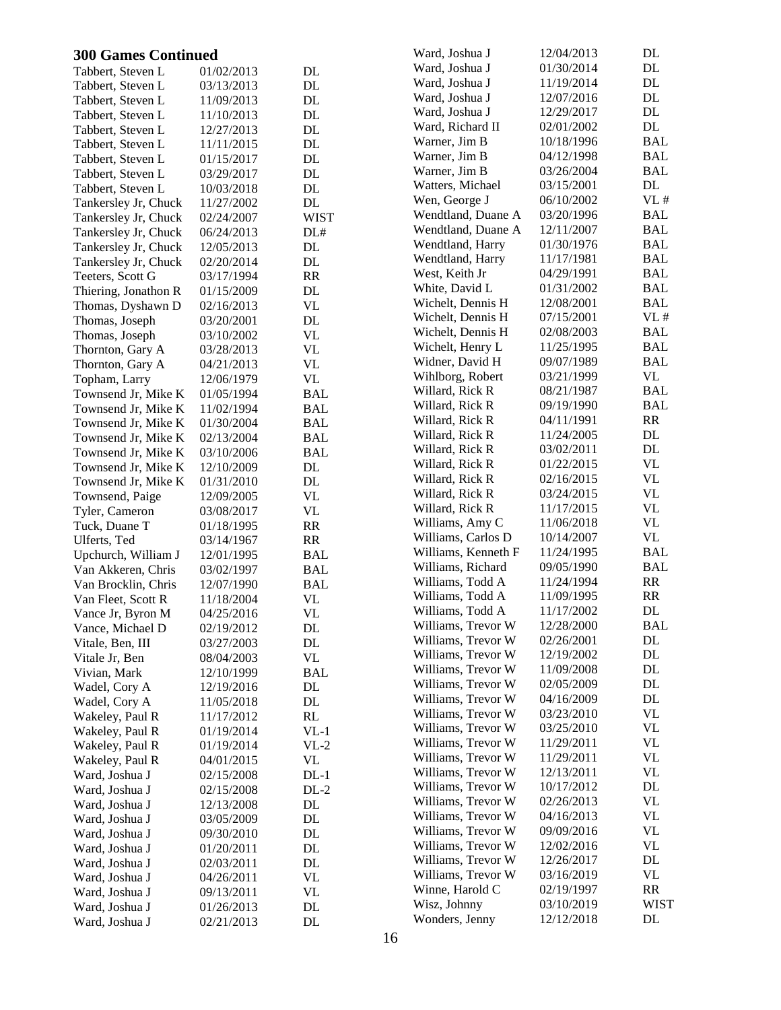| <b>300 Games Continued</b> |            |                                 | Ward, Joshua J      | 12/04/2013 | DL            |
|----------------------------|------------|---------------------------------|---------------------|------------|---------------|
| Tabbert, Steven L          | 01/02/2013 | DL                              | Ward, Joshua J      | 01/30/2014 | DL            |
| Tabbert, Steven L          | 03/13/2013 | DL                              | Ward, Joshua J      | 11/19/2014 | DL            |
| Tabbert, Steven L          | 11/09/2013 | DL                              | Ward, Joshua J      | 12/07/2016 | $\mathbf{DL}$ |
| Tabbert, Steven L          | 11/10/2013 | DL                              | Ward, Joshua J      | 12/29/2017 | $\mathbf{DL}$ |
| Tabbert, Steven L          | 12/27/2013 | $\rm DL$                        | Ward, Richard II    | 02/01/2002 | DL            |
| Tabbert, Steven L          | 11/11/2015 | DL                              | Warner, Jim B       | 10/18/1996 | <b>BAL</b>    |
| Tabbert, Steven L          | 01/15/2017 | DL                              | Warner, Jim B       | 04/12/1998 | <b>BAL</b>    |
| Tabbert, Steven L          | 03/29/2017 | DL                              | Warner, Jim B       | 03/26/2004 | <b>BAL</b>    |
| Tabbert, Steven L          | 10/03/2018 | DL                              | Watters, Michael    | 03/15/2001 | $\rm DL$      |
| Tankersley Jr, Chuck       | 11/27/2002 | DL                              | Wen, George J       | 06/10/2002 | VL#           |
| Tankersley Jr, Chuck       | 02/24/2007 | <b>WIST</b>                     | Wendtland, Duane A  | 03/20/1996 | BAL           |
| Tankersley Jr, Chuck       | 06/24/2013 | DL#                             | Wendtland, Duane A  | 12/11/2007 | <b>BAL</b>    |
| Tankersley Jr, Chuck       | 12/05/2013 | DL                              | Wendtland, Harry    | 01/30/1976 | <b>BAL</b>    |
| Tankersley Jr, Chuck       | 02/20/2014 | DL                              | Wendtland, Harry    | 11/17/1981 | <b>BAL</b>    |
| Teeters, Scott G           | 03/17/1994 | RR                              | West, Keith Jr      | 04/29/1991 | <b>BAL</b>    |
| Thiering, Jonathon R       | 01/15/2009 | DL                              | White, David L      | 01/31/2002 | <b>BAL</b>    |
| Thomas, Dyshawn D          | 02/16/2013 | $\ensuremath{\text{VL}}\xspace$ | Wichelt, Dennis H   | 12/08/2001 | <b>BAL</b>    |
| Thomas, Joseph             | 03/20/2001 | DL                              | Wichelt, Dennis H   | 07/15/2001 | VL#           |
| Thomas, Joseph             | 03/10/2002 | <b>VL</b>                       | Wichelt, Dennis H   | 02/08/2003 | <b>BAL</b>    |
| Thornton, Gary A           | 03/28/2013 | <b>VL</b>                       | Wichelt, Henry L    | 11/25/1995 | <b>BAL</b>    |
| Thornton, Gary A           | 04/21/2013 | <b>VL</b>                       | Widner, David H     | 09/07/1989 | <b>BAL</b>    |
| Topham, Larry              | 12/06/1979 | <b>VL</b>                       | Wihlborg, Robert    | 03/21/1999 | <b>VL</b>     |
| Townsend Jr, Mike K        | 01/05/1994 | <b>BAL</b>                      | Willard, Rick R     | 08/21/1987 | <b>BAL</b>    |
| Townsend Jr, Mike K        | 11/02/1994 | <b>BAL</b>                      | Willard, Rick R     | 09/19/1990 | <b>BAL</b>    |
| Townsend Jr, Mike K        | 01/30/2004 | <b>BAL</b>                      | Willard, Rick R     | 04/11/1991 | RR            |
| Townsend Jr, Mike K        | 02/13/2004 | <b>BAL</b>                      | Willard, Rick R     | 11/24/2005 | DL            |
| Townsend Jr, Mike K        | 03/10/2006 | <b>BAL</b>                      | Willard, Rick R     | 03/02/2011 | $\mathbf{DL}$ |
| Townsend Jr, Mike K        | 12/10/2009 | DL                              | Willard, Rick R     | 01/22/2015 | <b>VL</b>     |
| Townsend Jr, Mike K        | 01/31/2010 | DL                              | Willard, Rick R     | 02/16/2015 | <b>VL</b>     |
| Townsend, Paige            | 12/09/2005 | <b>VL</b>                       | Willard, Rick R     | 03/24/2015 | <b>VL</b>     |
| Tyler, Cameron             | 03/08/2017 | <b>VL</b>                       | Willard, Rick R     | 11/17/2015 | VL            |
| Tuck, Duane T              | 01/18/1995 | RR                              | Williams, Amy C     | 11/06/2018 | VL            |
| Ulferts, Ted               | 03/14/1967 | RR                              | Williams, Carlos D  | 10/14/2007 | <b>VL</b>     |
| Upchurch, William J        | 12/01/1995 | <b>BAL</b>                      | Williams, Kenneth F | 11/24/1995 | <b>BAL</b>    |
| Van Akkeren, Chris         | 03/02/1997 | <b>BAL</b>                      | Williams, Richard   | 09/05/1990 | <b>BAL</b>    |
| Van Brocklin, Chris        | 12/07/1990 | <b>BAL</b>                      | Williams, Todd A    | 11/24/1994 | RR            |
| Van Fleet, Scott R         | 11/18/2004 | VL                              | Williams, Todd A    | 11/09/1995 | RR            |
| Vance Jr, Byron M          | 04/25/2016 | <b>VL</b>                       | Williams, Todd A    | 11/17/2002 | DL            |
| Vance, Michael D           | 02/19/2012 | DL                              | Williams, Trevor W  | 12/28/2000 | <b>BAL</b>    |
| Vitale, Ben, III           | 03/27/2003 | DL                              | Williams, Trevor W  | 02/26/2001 | $\mathbf{DL}$ |
| Vitale Jr, Ben             | 08/04/2003 | <b>VL</b>                       | Williams, Trevor W  | 12/19/2002 | DL            |
| Vivian, Mark               | 12/10/1999 | <b>BAL</b>                      | Williams, Trevor W  | 11/09/2008 | DL            |
| Wadel, Cory A              | 12/19/2016 | DL                              | Williams, Trevor W  | 02/05/2009 | DL            |
| Wadel, Cory A              | 11/05/2018 | DL                              | Williams, Trevor W  | 04/16/2009 | DL            |
| Wakeley, Paul R            | 11/17/2012 | RL                              | Williams, Trevor W  | 03/23/2010 | <b>VL</b>     |
| Wakeley, Paul R            | 01/19/2014 | $VL-1$                          | Williams, Trevor W  | 03/25/2010 | <b>VL</b>     |
| Wakeley, Paul R            | 01/19/2014 | $VL-2$                          | Williams, Trevor W  | 11/29/2011 | VL            |
| Wakeley, Paul R            | 04/01/2015 | VL                              | Williams, Trevor W  | 11/29/2011 | VL            |
| Ward, Joshua J             | 02/15/2008 | $DL-1$                          | Williams, Trevor W  | 12/13/2011 | VL            |
| Ward, Joshua J             | 02/15/2008 | $DL-2$                          | Williams, Trevor W  | 10/17/2012 | DL            |
| Ward, Joshua J             | 12/13/2008 | DL                              | Williams, Trevor W  | 02/26/2013 | VL            |
| Ward, Joshua J             | 03/05/2009 | DL                              | Williams, Trevor W  | 04/16/2013 | <b>VL</b>     |
| Ward, Joshua J             | 09/30/2010 | DL                              | Williams, Trevor W  | 09/09/2016 | VL            |
| Ward, Joshua J             | 01/20/2011 | DL                              | Williams, Trevor W  | 12/02/2016 | VL            |
| Ward, Joshua J             | 02/03/2011 | DL                              | Williams, Trevor W  | 12/26/2017 | DL            |
| Ward, Joshua J             | 04/26/2011 | <b>VL</b>                       | Williams, Trevor W  | 03/16/2019 | VL            |
| Ward, Joshua J             | 09/13/2011 | VL                              | Winne, Harold C     | 02/19/1997 | RR            |
| Ward, Joshua J             | 01/26/2013 | DL                              | Wisz, Johnny        | 03/10/2019 | <b>WIST</b>   |
| Ward, Joshua J             | 02/21/2013 | DL                              | Wonders, Jenny      | 12/12/2018 | DL            |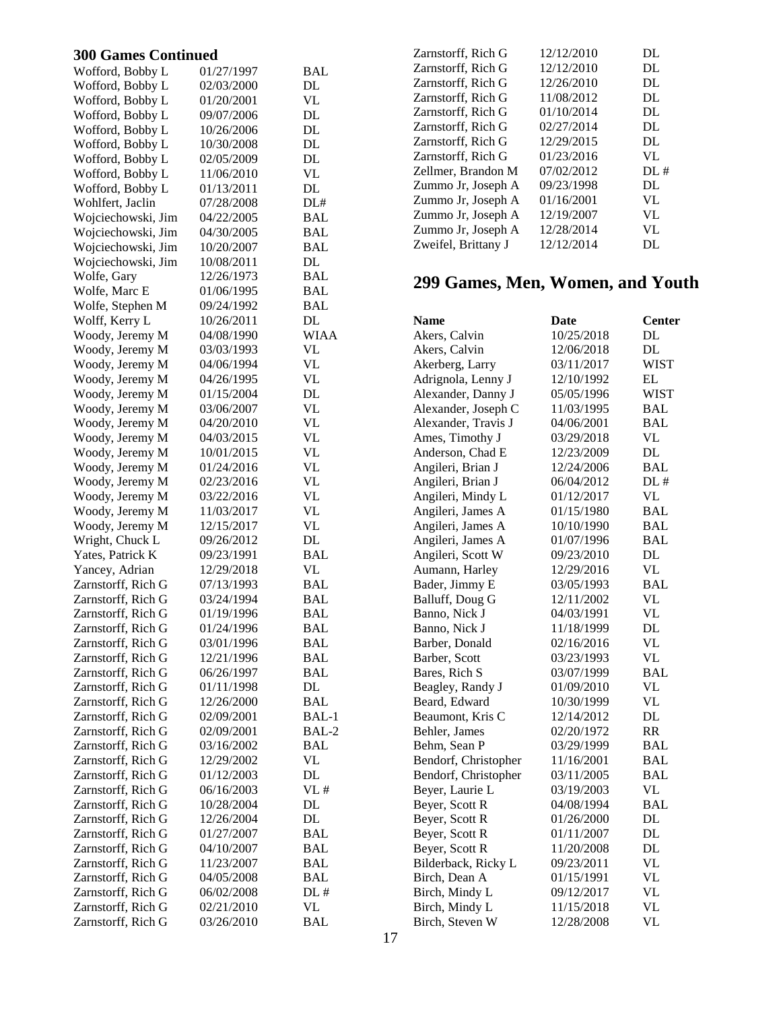| Wofford, Bobby L   | 01/27/1997 | BAL           |
|--------------------|------------|---------------|
| Wofford, Bobby L   | 02/03/2000 | DL            |
| Wofford, Bobby L   | 01/20/2001 | VL            |
| Wofford, Bobby L   | 09/07/2006 | DL            |
| Wofford, Bobby L   | 10/26/2006 | DL            |
| Wofford, Bobby L   | 10/30/2008 | DL            |
| Wofford, Bobby L   | 02/05/2009 | DL            |
| Wofford, Bobby L   | 11/06/2010 | VL            |
| Wofford, Bobby L   | 01/13/2011 | DL            |
| Wohlfert, Jaclin   | 07/28/2008 | DL#           |
| Wojciechowski, Jim | 04/22/2005 | <b>BAL</b>    |
| Wojciechowski, Jim | 04/30/2005 | <b>BAL</b>    |
| Wojciechowski, Jim | 10/20/2007 | <b>BAL</b>    |
| Wojciechowski, Jim | 10/08/2011 | DL            |
| Wolfe, Gary        | 12/26/1973 | <b>BAL</b>    |
| Wolfe, Marc E      | 01/06/1995 | <b>BAL</b>    |
| Wolfe, Stephen M   | 09/24/1992 | <b>BAL</b>    |
| Wolff, Kerry L     | 10/26/2011 | DL            |
| Woody, Jeremy M    | 04/08/1990 | <b>WIAA</b>   |
| Woody, Jeremy M    | 03/03/1993 | VL            |
| Woody, Jeremy M    | 04/06/1994 | VL            |
| Woody, Jeremy M    | 04/26/1995 | VL            |
| Woody, Jeremy M    | 01/15/2004 | DL            |
|                    | 03/06/2007 | VL            |
| Woody, Jeremy M    |            |               |
| Woody, Jeremy M    | 04/20/2010 | VL            |
| Woody, Jeremy M    | 04/03/2015 | VL            |
| Woody, Jeremy M    | 10/01/2015 | VL            |
| Woody, Jeremy M    | 01/24/2016 | VL            |
| Woody, Jeremy M    | 02/23/2016 | VL            |
| Woody, Jeremy M    | 03/22/2016 | VL            |
| Woody, Jeremy M    | 11/03/2017 | VL            |
| Woody, Jeremy M    | 12/15/2017 | VL            |
| Wright, Chuck L    | 09/26/2012 | DL            |
| Yates, Patrick K   | 09/23/1991 | <b>BAL</b>    |
| Yancey, Adrian     | 12/29/2018 | VL            |
| Zarnstorff, Rich G | 07/13/1993 | <b>BAL</b>    |
| Zarnstorff, Rich G | 03/24/1994 | <b>BAL</b>    |
| Zarnstorff, Rich G | 01/19/1996 | BAL           |
| Zarnstorff, Rich G | 01/24/1996 | BAL           |
| Zarnstorff, Rich G | 03/01/1996 | BAL           |
| Zarnstorff, Rich G | 12/21/1996 | <b>BAL</b>    |
| Zarnstorff, Rich G | 06/26/1997 | <b>BAL</b>    |
| Zarnstorff, Rich G | 01/11/1998 | $\mathbf{DL}$ |
| Zarnstorff, Rich G | 12/26/2000 | <b>BAL</b>    |
| Zarnstorff, Rich G | 02/09/2001 | BAL-1         |
| Zarnstorff, Rich G | 02/09/2001 | BAL-2         |
| Zarnstorff, Rich G | 03/16/2002 | <b>BAL</b>    |
| Zarnstorff, Rich G | 12/29/2002 | VL            |
| Zarnstorff, Rich G | 01/12/2003 | DL            |
| Zarnstorff, Rich G | 06/16/2003 | VL#           |
| Zarnstorff, Rich G | 10/28/2004 | DL            |
| Zarnstorff, Rich G | 12/26/2004 | DL            |
|                    |            | <b>BAL</b>    |
| Zarnstorff, Rich G | 01/27/2007 | <b>BAL</b>    |
| Zarnstorff, Rich G | 04/10/2007 |               |
| Zarnstorff, Rich G | 11/23/2007 | <b>BAL</b>    |
| Zarnstorff, Rich G | 04/05/2008 | <b>BAL</b>    |
| Zarnstorff, Rich G | 06/02/2008 | DL#           |
| Zarnstorff, Rich G | 02/21/2010 | VL            |
| Zarnstorff, Rich G | 03/26/2010 | <b>BAL</b>    |

| Zarnstorff, Rich G  | 12/12/2010 | DL. |
|---------------------|------------|-----|
| Zarnstorff, Rich G  | 12/12/2010 | DL  |
| Zarnstorff, Rich G  | 12/26/2010 | DL. |
| Zarnstorff, Rich G  | 11/08/2012 | DL  |
| Zarnstorff, Rich G  | 01/10/2014 | DL  |
| Zarnstorff, Rich G  | 02/27/2014 | DL  |
| Zarnstorff, Rich G  | 12/29/2015 | DL  |
| Zarnstorff, Rich G  | 01/23/2016 | VI. |
| Zellmer, Brandon M  | 07/02/2012 | DL# |
| Zummo Jr, Joseph A  | 09/23/1998 | DL  |
| Zummo Jr, Joseph A  | 01/16/2001 | VL  |
| Zummo Jr, Joseph A  | 12/19/2007 | VL  |
| Zummo Jr, Joseph A  | 12/28/2014 | VL  |
| Zweifel, Brittany J | 12/12/2014 | DL  |
|                     |            |     |

# **299 Games, Men, Women, and Youth**

| Name                 | Date       | Center      |
|----------------------|------------|-------------|
| Akers, Calvin        | 10/25/2018 | DL          |
| Akers, Calvin        | 12/06/2018 | $\rm DL$    |
| Akerberg, Larry      | 03/11/2017 | <b>WIST</b> |
| Adrignola, Lenny J   | 12/10/1992 | EL          |
| Alexander, Danny J   | 05/05/1996 | <b>WIST</b> |
| Alexander, Joseph C  | 11/03/1995 | BAL         |
| Alexander, Travis J  | 04/06/2001 | <b>BAL</b>  |
| Ames, Timothy J      | 03/29/2018 | <b>VL</b>   |
| Anderson, Chad E     | 12/23/2009 | DL          |
| Angileri, Brian J    | 12/24/2006 | <b>BAL</b>  |
| Angileri, Brian J    | 06/04/2012 | DL#         |
| Angileri, Mindy L    | 01/12/2017 | <b>VL</b>   |
| Angileri, James A    | 01/15/1980 | <b>BAL</b>  |
| Angileri, James A    | 10/10/1990 | BAL         |
| Angileri, James A    | 01/07/1996 | <b>BAL</b>  |
| Angileri, Scott W    | 09/23/2010 | DL          |
| Aumann, Harley       | 12/29/2016 | VL          |
| Bader, Jimmy E       | 03/05/1993 | <b>BAL</b>  |
| Balluff, Doug G      | 12/11/2002 | VL          |
| Banno, Nick J        | 04/03/1991 | VL          |
| Banno, Nick J        | 11/18/1999 | DL          |
| Barber, Donald       | 02/16/2016 | VL          |
| Barber, Scott        | 03/23/1993 | VL          |
| Bares, Rich S        | 03/07/1999 | BAL         |
| Beagley, Randy J     | 01/09/2010 | VL          |
| Beard, Edward        | 10/30/1999 | VL          |
| Beaumont, Kris C     | 12/14/2012 | DL          |
| Behler, James        | 02/20/1972 | <b>RR</b>   |
| Behm, Sean P         | 03/29/1999 | <b>BAL</b>  |
| Bendorf, Christopher | 11/16/2001 | <b>BAL</b>  |
| Bendorf, Christopher | 03/11/2005 | <b>BAL</b>  |
| Beyer, Laurie L      | 03/19/2003 | VL          |
| Beyer, Scott R       | 04/08/1994 | <b>BAL</b>  |
| Beyer, Scott R       | 01/26/2000 | DL          |
| Beyer, Scott R       | 01/11/2007 | DL          |
| Beyer, Scott R       | 11/20/2008 | DL          |
| Bilderback, Ricky L  | 09/23/2011 | VL          |
| Birch, Dean A        | 01/15/1991 | <b>VL</b>   |
| Birch, Mindy L       | 09/12/2017 | VL          |
| Birch, Mindy L       | 11/15/2018 | VL          |
| Birch, Steven W      | 12/28/2008 | VL          |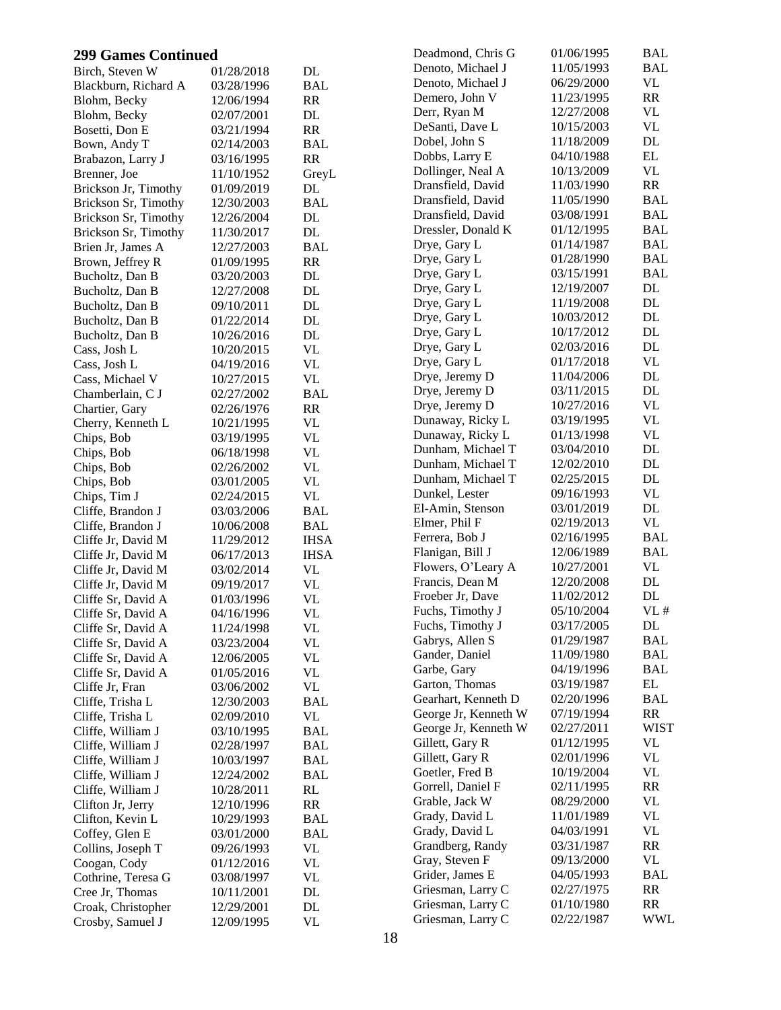| <b>299 Games Continued</b>             |                          |                                 | Deadmond, Chris G    | 01/06/1995 | BAL         |
|----------------------------------------|--------------------------|---------------------------------|----------------------|------------|-------------|
| Birch, Steven W                        | 01/28/2018               | DL                              | Denoto, Michael J    | 11/05/1993 | <b>BAL</b>  |
| Blackburn, Richard A                   | 03/28/1996               | <b>BAL</b>                      | Denoto, Michael J    | 06/29/2000 | <b>VL</b>   |
| Blohm, Becky                           | 12/06/1994               | RR                              | Demero, John V       | 11/23/1995 | RR          |
| Blohm, Becky                           | 02/07/2001               | DL                              | Derr, Ryan M         | 12/27/2008 | VL          |
| Bosetti, Don E                         | 03/21/1994               | RR                              | DeSanti, Dave L      | 10/15/2003 | <b>VL</b>   |
| Bown, Andy T                           | 02/14/2003               | <b>BAL</b>                      | Dobel, John S        | 11/18/2009 | DL          |
| Brabazon, Larry J                      | 03/16/1995               | RR                              | Dobbs, Larry E       | 04/10/1988 | EL          |
| Brenner, Joe                           | 11/10/1952               | GreyL                           | Dollinger, Neal A    | 10/13/2009 | <b>VL</b>   |
| Brickson Jr, Timothy                   | 01/09/2019               | DL                              | Dransfield, David    | 11/03/1990 | RR          |
| Brickson Sr, Timothy                   | 12/30/2003               | <b>BAL</b>                      | Dransfield, David    | 11/05/1990 | BAL         |
| Brickson Sr, Timothy                   | 12/26/2004               | $\rm DL$                        | Dransfield, David    | 03/08/1991 | <b>BAL</b>  |
| Brickson Sr, Timothy                   | 11/30/2017               | $\rm DL$                        | Dressler, Donald K   | 01/12/1995 | <b>BAL</b>  |
| Brien Jr, James A                      | 12/27/2003               | <b>BAL</b>                      | Drye, Gary L         | 01/14/1987 | BAL         |
| Brown, Jeffrey R                       | 01/09/1995               | RR                              | Drye, Gary L         | 01/28/1990 | <b>BAL</b>  |
| Bucholtz, Dan B                        | 03/20/2003               | DL                              | Drye, Gary L         | 03/15/1991 | <b>BAL</b>  |
| Bucholtz, Dan B                        | 12/27/2008               | DL                              | Drye, Gary L         | 12/19/2007 | DL          |
| Bucholtz, Dan B                        | 09/10/2011               | DL                              | Drye, Gary L         | 11/19/2008 | DL          |
| Bucholtz, Dan B                        | 01/22/2014               | DL                              | Drye, Gary L         | 10/03/2012 | DL          |
| Bucholtz, Dan B                        | 10/26/2016               | DL                              | Drye, Gary L         | 10/17/2012 | DL          |
| Cass, Josh L                           | 10/20/2015               | <b>VL</b>                       | Drye, Gary L         | 02/03/2016 | DL          |
| Cass, Josh L                           | 04/19/2016               | <b>VL</b>                       | Drye, Gary L         | 01/17/2018 | <b>VL</b>   |
| Cass, Michael V                        | 10/27/2015               | <b>VL</b>                       | Drye, Jeremy D       | 11/04/2006 | DL          |
| Chamberlain, C J                       | 02/27/2002               | <b>BAL</b>                      | Drye, Jeremy D       | 03/11/2015 | DL          |
| Chartier, Gary                         | 02/26/1976               | RR                              | Drye, Jeremy D       | 10/27/2016 | <b>VL</b>   |
| Cherry, Kenneth L                      | 10/21/1995               | <b>VL</b>                       | Dunaway, Ricky L     | 03/19/1995 | <b>VL</b>   |
| Chips, Bob                             | 03/19/1995               | $\ensuremath{\text{VL}}\xspace$ | Dunaway, Ricky L     | 01/13/1998 | <b>VL</b>   |
| Chips, Bob                             | 06/18/1998               | <b>VL</b>                       | Dunham, Michael T    | 03/04/2010 | DL          |
| Chips, Bob                             | 02/26/2002               | <b>VL</b>                       | Dunham, Michael T    | 12/02/2010 | DL          |
| Chips, Bob                             | 03/01/2005               | <b>VL</b>                       | Dunham, Michael T    | 02/25/2015 | DL          |
| Chips, Tim J                           | 02/24/2015               | <b>VL</b>                       | Dunkel, Lester       | 09/16/1993 | <b>VL</b>   |
| Cliffe, Brandon J                      | 03/03/2006               | <b>BAL</b>                      | El-Amin, Stenson     | 03/01/2019 | $\rm DL$    |
| Cliffe, Brandon J                      | 10/06/2008               | <b>BAL</b>                      | Elmer, Phil F        | 02/19/2013 | VL          |
| Cliffe Jr, David M                     | 11/29/2012               | <b>IHSA</b>                     | Ferrera, Bob J       | 02/16/1995 | <b>BAL</b>  |
| Cliffe Jr, David M                     | 06/17/2013               | <b>IHSA</b>                     | Flanigan, Bill J     | 12/06/1989 | <b>BAL</b>  |
| Cliffe Jr, David M                     | 03/02/2014               | <b>VL</b>                       | Flowers, O'Leary A   | 10/27/2001 | <b>VL</b>   |
| Cliffe Jr, David M                     | 09/19/2017               | $\ensuremath{\text{VL}}$        | Francis, Dean M      | 12/20/2008 | DL          |
| Cliffe Sr, David A                     | 01/03/1996               | <b>VL</b>                       | Froeber Jr, Dave     | 11/02/2012 | DL          |
| Cliffe Sr, David A                     | 04/16/1996               | <b>VL</b>                       | Fuchs, Timothy J     | 05/10/2004 | VL#         |
| Cliffe Sr, David A                     | 11/24/1998               | VL                              | Fuchs, Timothy J     | 03/17/2005 | DL          |
| Cliffe Sr, David A                     | 03/23/2004               | <b>VL</b>                       | Gabrys, Allen S      | 01/29/1987 | <b>BAL</b>  |
| Cliffe Sr, David A                     | 12/06/2005               | <b>VL</b>                       | Gander, Daniel       | 11/09/1980 | <b>BAL</b>  |
| Cliffe Sr, David A                     | 01/05/2016               | <b>VL</b>                       | Garbe, Gary          | 04/19/1996 | <b>BAL</b>  |
| Cliffe Jr, Fran                        | 03/06/2002               | <b>VL</b>                       | Garton, Thomas       | 03/19/1987 | EL          |
| Cliffe, Trisha L                       | 12/30/2003               | <b>BAL</b>                      | Gearhart, Kenneth D  | 02/20/1996 | <b>BAL</b>  |
|                                        |                          | <b>VL</b>                       | George Jr, Kenneth W | 07/19/1994 | RR          |
| Cliffe, Trisha L                       | 02/09/2010               | <b>BAL</b>                      | George Jr, Kenneth W | 02/27/2011 | <b>WIST</b> |
| Cliffe, William J                      | 03/10/1995               |                                 | Gillett, Gary R      | 01/12/1995 | <b>VL</b>   |
| Cliffe, William J<br>Cliffe, William J | 02/28/1997<br>10/03/1997 | <b>BAL</b>                      | Gillett, Gary R      | 02/01/1996 | <b>VL</b>   |
|                                        |                          | <b>BAL</b>                      | Goetler, Fred B      | 10/19/2004 | <b>VL</b>   |
| Cliffe, William J                      | 12/24/2002               | <b>BAL</b>                      | Gorrell, Daniel F    | 02/11/1995 | RR          |
| Cliffe, William J                      | 10/28/2011               | RL                              | Grable, Jack W       | 08/29/2000 | VL          |
| Clifton Jr, Jerry                      | 12/10/1996               | RR                              | Grady, David L       | 11/01/1989 | VL          |
| Clifton, Kevin L                       | 10/29/1993               | BAL                             | Grady, David L       | 04/03/1991 | <b>VL</b>   |
| Coffey, Glen E                         | 03/01/2000               | <b>BAL</b>                      | Grandberg, Randy     | 03/31/1987 | RR          |
| Collins, Joseph T                      | 09/26/1993               | <b>VL</b>                       | Gray, Steven F       | 09/13/2000 | <b>VL</b>   |
| Coogan, Cody                           | 01/12/2016               | <b>VL</b>                       | Grider, James E      | 04/05/1993 | <b>BAL</b>  |
| Cothrine, Teresa G                     | 03/08/1997               | VL                              | Griesman, Larry C    | 02/27/1975 | RR          |
| Cree Jr, Thomas                        | 10/11/2001               | DL                              | Griesman, Larry C    | 01/10/1980 | <b>RR</b>   |
| Croak, Christopher                     | 12/29/2001               | DL                              | Griesman, Larry C    | 02/22/1987 | <b>WWL</b>  |
| Crosby, Samuel J                       | 12/09/1995               | <b>VL</b>                       |                      |            |             |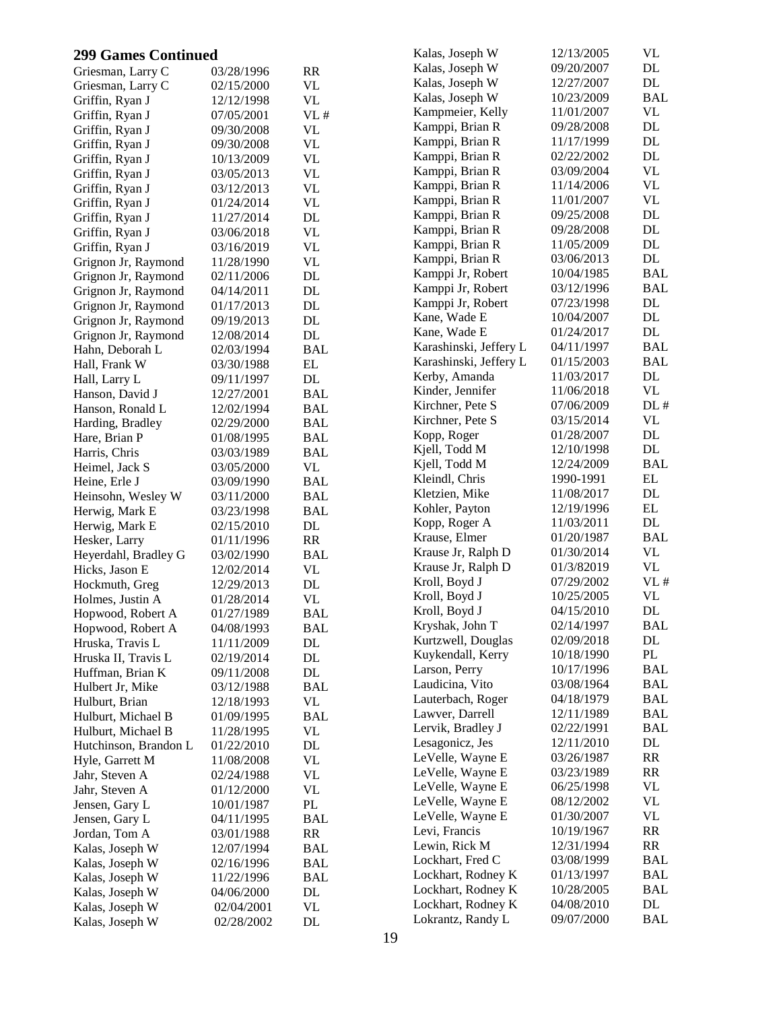| <b>299 Games Continued</b>         |                          |                          | Kalas, Joseph W                     | 12/13/2005               | VL               |
|------------------------------------|--------------------------|--------------------------|-------------------------------------|--------------------------|------------------|
| Griesman, Larry C                  | 03/28/1996               | <b>RR</b>                | Kalas, Joseph W                     | 09/20/2007               | $\rm DL$         |
| Griesman, Larry C                  | 02/15/2000               | VL                       | Kalas, Joseph W                     | 12/27/2007               | DL               |
| Griffin, Ryan J                    | 12/12/1998               | <b>VL</b>                | Kalas, Joseph W                     | 10/23/2009               | <b>BAL</b>       |
| Griffin, Ryan J                    | 07/05/2001               | VL#                      | Kampmeier, Kelly                    | 11/01/2007               | <b>VL</b>        |
| Griffin, Ryan J                    | 09/30/2008               | VL                       | Kamppi, Brian R                     | 09/28/2008               | $\rm DL$         |
| Griffin, Ryan J                    | 09/30/2008               | <b>VL</b>                | Kamppi, Brian R                     | 11/17/1999               | DL               |
| Griffin, Ryan J                    | 10/13/2009               | <b>VL</b>                | Kamppi, Brian R                     | 02/22/2002               | $\mathbf{DL}$    |
| Griffin, Ryan J                    | 03/05/2013               | <b>VL</b>                | Kamppi, Brian R                     | 03/09/2004               | <b>VL</b>        |
| Griffin, Ryan J                    | 03/12/2013               | <b>VL</b>                | Kamppi, Brian R                     | 11/14/2006               | <b>VL</b>        |
| Griffin, Ryan J                    | 01/24/2014               | $\ensuremath{\text{VL}}$ | Kamppi, Brian R                     | 11/01/2007               | <b>VL</b>        |
| Griffin, Ryan J                    | 11/27/2014               | DL                       | Kamppi, Brian R                     | 09/25/2008               | DL               |
| Griffin, Ryan J                    | 03/06/2018               | <b>VL</b>                | Kamppi, Brian R                     | 09/28/2008               | DL               |
| Griffin, Ryan J                    | 03/16/2019               | <b>VL</b>                | Kamppi, Brian R                     | 11/05/2009               | DL               |
| Grignon Jr, Raymond                | 11/28/1990               | <b>VL</b>                | Kamppi, Brian R                     | 03/06/2013               | DL               |
| Grignon Jr, Raymond                | 02/11/2006               | $\rm DL$                 | Kamppi Jr, Robert                   | 10/04/1985               | <b>BAL</b>       |
| Grignon Jr, Raymond                | 04/14/2011               | DL                       | Kamppi Jr, Robert                   | 03/12/1996               | <b>BAL</b>       |
| Grignon Jr, Raymond                | 01/17/2013               | DL                       | Kamppi Jr, Robert                   | 07/23/1998               | $\rm DL$         |
| Grignon Jr, Raymond                | 09/19/2013               | $\rm DL$                 | Kane, Wade E                        | 10/04/2007               | DL               |
| Grignon Jr, Raymond                | 12/08/2014               | DL                       | Kane, Wade E                        | 01/24/2017               | DL               |
| Hahn, Deborah L                    | 02/03/1994               | <b>BAL</b>               | Karashinski, Jeffery L              | 04/11/1997               | <b>BAL</b>       |
| Hall, Frank W                      | 03/30/1988               | EL                       | Karashinski, Jeffery L              | 01/15/2003               | <b>BAL</b>       |
| Hall, Larry L                      | 09/11/1997               | DL                       | Kerby, Amanda                       | 11/03/2017               | DL               |
| Hanson, David J                    | 12/27/2001               | <b>BAL</b>               | Kinder, Jennifer                    | 11/06/2018               | <b>VL</b>        |
| Hanson, Ronald L                   | 12/02/1994               | <b>BAL</b>               | Kirchner, Pete S                    | 07/06/2009               | DL#              |
| Harding, Bradley                   | 02/29/2000               | <b>BAL</b>               | Kirchner, Pete S                    | 03/15/2014               | VL               |
| Hare, Brian P                      | 01/08/1995               | <b>BAL</b>               | Kopp, Roger                         | 01/28/2007               | DL               |
| Harris, Chris                      | 03/03/1989               | <b>BAL</b>               | Kjell, Todd M                       | 12/10/1998               | DL               |
| Heimel, Jack S                     | 03/05/2000               | VL                       | Kjell, Todd M                       | 12/24/2009               | <b>BAL</b>       |
| Heine, Erle J                      | 03/09/1990               | <b>BAL</b>               | Kleindl, Chris                      | 1990-1991                | EL               |
| Heinsohn, Wesley W                 | 03/11/2000               | <b>BAL</b>               | Kletzien, Mike                      | 11/08/2017               | $\mathbf{DL}$    |
| Herwig, Mark E                     | 03/23/1998               | <b>BAL</b>               | Kohler, Payton                      | 12/19/1996               | $\mathbf{EL}$    |
| Herwig, Mark E                     | 02/15/2010               | DL                       | Kopp, Roger A                       | 11/03/2011               | $\rm DL$         |
| Hesker, Larry                      | 01/11/1996               | RR                       | Krause, Elmer                       | 01/20/1987               | <b>BAL</b>       |
| Heyerdahl, Bradley G               | 03/02/1990               | <b>BAL</b>               | Krause Jr, Ralph D                  | 01/30/2014               | VL               |
| Hicks, Jason E                     | 12/02/2014               | <b>VL</b>                | Krause Jr, Ralph D                  | 01/3/82019               | <b>VL</b>        |
| Hockmuth, Greg                     | 12/29/2013               | $\rm DL$                 | Kroll, Boyd J                       | 07/29/2002               | VL#              |
| Holmes, Justin A                   | 01/28/2014               | <b>VL</b>                | Kroll, Boyd J                       | 10/25/2005               | VL               |
| Hopwood, Robert A                  | 01/27/1989               | <b>BAL</b>               | Kroll, Boyd J                       | 04/15/2010               | DL               |
| Hopwood, Robert A                  | 04/08/1993               | <b>BAL</b>               | Kryshak, John T                     | 02/14/1997               | <b>BAL</b>       |
| Hruska, Travis L                   | 11/11/2009               | DL                       | Kurtzwell, Douglas                  | 02/09/2018               | DL               |
| Hruska II, Travis L                | 02/19/2014               | DL                       | Kuykendall, Kerry                   | 10/18/1990               | $\mathbf{PL}$    |
| Huffman, Brian K                   | 09/11/2008               | DL                       | Larson, Perry                       | 10/17/1996               | <b>BAL</b>       |
| Hulbert Jr, Mike                   | 03/12/1988               | <b>BAL</b>               | Laudicina, Vito                     | 03/08/1964               | <b>BAL</b>       |
| Hulburt, Brian                     | 12/18/1993               | VL                       | Lauterbach, Roger                   | 04/18/1979               | <b>BAL</b>       |
| Hulburt, Michael B                 | 01/09/1995               | <b>BAL</b>               | Lawver, Darrell                     | 12/11/1989               | <b>BAL</b>       |
| Hulburt, Michael B                 | 11/28/1995               | VL                       | Lervik, Bradley J                   | 02/22/1991               | <b>BAL</b><br>DL |
| Hutchinson, Brandon L              | 01/22/2010               | DL                       | Lesagonicz, Jes<br>LeVelle, Wayne E | 12/11/2010<br>03/26/1987 | RR               |
| Hyle, Garrett M                    | 11/08/2008               | VL                       | LeVelle, Wayne E                    | 03/23/1989               | RR               |
| Jahr, Steven A                     | 02/24/1988               | VL                       | LeVelle, Wayne E                    | 06/25/1998               | VL               |
| Jahr, Steven A                     | 01/12/2000               | VL                       | LeVelle, Wayne E                    | 08/12/2002               | VL               |
| Jensen, Gary L                     | 10/01/1987               | PL                       | LeVelle, Wayne E                    | 01/30/2007               | VL               |
| Jensen, Gary L                     | 04/11/1995               | <b>BAL</b>               | Levi, Francis                       | 10/19/1967               | RR               |
| Jordan, Tom A                      | 03/01/1988               | RR                       | Lewin, Rick M                       | 12/31/1994               | RR               |
| Kalas, Joseph W                    | 12/07/1994               | <b>BAL</b>               | Lockhart, Fred C                    | 03/08/1999               | <b>BAL</b>       |
| Kalas, Joseph W                    | 02/16/1996               | <b>BAL</b>               | Lockhart, Rodney K                  | 01/13/1997               | BAL              |
| Kalas, Joseph W                    | 11/22/1996               | <b>BAL</b><br>DL         | Lockhart, Rodney K                  | 10/28/2005               | <b>BAL</b>       |
| Kalas, Joseph W                    | 04/06/2000               | <b>VL</b>                | Lockhart, Rodney K                  | 04/08/2010               | DL               |
| Kalas, Joseph W<br>Kalas, Joseph W | 02/04/2001<br>02/28/2002 | $\mathbf{DL}$            | Lokrantz, Randy L                   | 09/07/2000               | <b>BAL</b>       |
|                                    |                          |                          |                                     |                          |                  |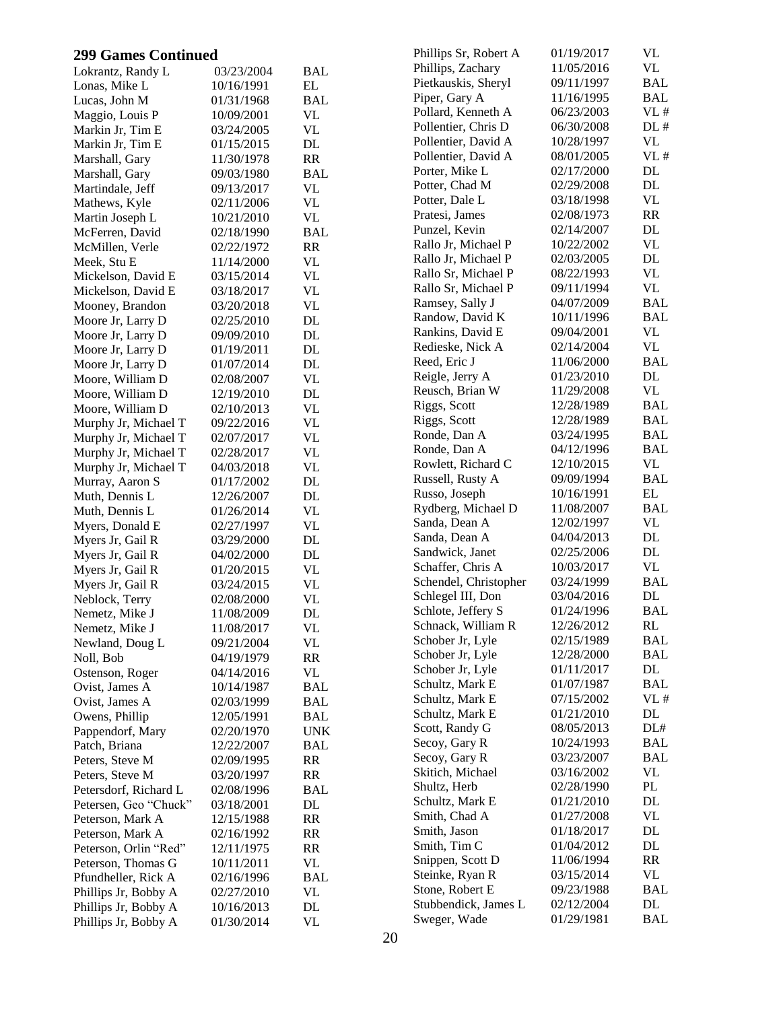| <b>299 Games Continued</b> |            |                          | Phillips Sr, Robert A | 01/19/2017 | VL         |
|----------------------------|------------|--------------------------|-----------------------|------------|------------|
| Lokrantz, Randy L          | 03/23/2004 | <b>BAL</b>               | Phillips, Zachary     | 11/05/2016 | VL         |
| Lonas, Mike L              | 10/16/1991 | EL                       | Pietkauskis, Sheryl   | 09/11/1997 | <b>BAL</b> |
| Lucas, John M              | 01/31/1968 | <b>BAL</b>               | Piper, Gary A         | 11/16/1995 | <b>BAL</b> |
| Maggio, Louis P            | 10/09/2001 | <b>VL</b>                | Pollard, Kenneth A    | 06/23/2003 | VL#        |
| Markin Jr, Tim E           | 03/24/2005 | <b>VL</b>                | Pollentier, Chris D   | 06/30/2008 | DL#        |
| Markin Jr, Tim E           | 01/15/2015 | DL                       | Pollentier, David A   | 10/28/1997 | VL         |
| Marshall, Gary             | 11/30/1978 | RR                       | Pollentier, David A   | 08/01/2005 | VL#        |
| Marshall, Gary             | 09/03/1980 | <b>BAL</b>               | Porter, Mike L        | 02/17/2000 | DL         |
| Martindale, Jeff           | 09/13/2017 | <b>VL</b>                | Potter, Chad M        | 02/29/2008 | DL         |
| Mathews, Kyle              | 02/11/2006 | <b>VL</b>                | Potter, Dale L        | 03/18/1998 | <b>VL</b>  |
| Martin Joseph L            | 10/21/2010 | $\ensuremath{\text{VL}}$ | Pratesi, James        | 02/08/1973 | RR         |
| McFerren, David            | 02/18/1990 | <b>BAL</b>               | Punzel, Kevin         | 02/14/2007 | DL         |
| McMillen, Verle            | 02/22/1972 | RR                       | Rallo Jr, Michael P   | 10/22/2002 | <b>VL</b>  |
| Meek, Stu E                | 11/14/2000 | <b>VL</b>                | Rallo Jr, Michael P   | 02/03/2005 | DL         |
| Mickelson, David E         | 03/15/2014 | <b>VL</b>                | Rallo Sr, Michael P   | 08/22/1993 | VL         |
| Mickelson, David E         | 03/18/2017 | <b>VL</b>                | Rallo Sr, Michael P   | 09/11/1994 | VL         |
| Mooney, Brandon            | 03/20/2018 | <b>VL</b>                | Ramsey, Sally J       | 04/07/2009 | <b>BAL</b> |
| Moore Jr, Larry D          | 02/25/2010 | $\rm DL$                 | Randow, David K       | 10/11/1996 | <b>BAL</b> |
| Moore Jr, Larry D          | 09/09/2010 | $\rm DL$                 | Rankins, David E      | 09/04/2001 | VL         |
| Moore Jr, Larry D          | 01/19/2011 | $\rm DL$                 | Redieske, Nick A      | 02/14/2004 | VL         |
| Moore Jr, Larry D          | 01/07/2014 | $\rm DL$                 | Reed, Eric J          | 11/06/2000 | <b>BAL</b> |
| Moore, William D           | 02/08/2007 | <b>VL</b>                | Reigle, Jerry A       | 01/23/2010 | DL         |
| Moore, William D           | 12/19/2010 | $\rm DL$                 | Reusch, Brian W       | 11/29/2008 | VL         |
| Moore, William D           | 02/10/2013 | $\ensuremath{\text{VL}}$ | Riggs, Scott          | 12/28/1989 | <b>BAL</b> |
| Murphy Jr, Michael T       | 09/22/2016 | <b>VL</b>                | Riggs, Scott          | 12/28/1989 | <b>BAL</b> |
| Murphy Jr, Michael T       | 02/07/2017 | <b>VL</b>                | Ronde, Dan A          | 03/24/1995 | <b>BAL</b> |
| Murphy Jr, Michael T       | 02/28/2017 | $\ensuremath{\text{VL}}$ | Ronde, Dan A          | 04/12/1996 | <b>BAL</b> |
| Murphy Jr, Michael T       | 04/03/2018 | <b>VL</b>                | Rowlett, Richard C    | 12/10/2015 | VL         |
| Murray, Aaron S            | 01/17/2002 | $\rm DL$                 | Russell, Rusty A      | 09/09/1994 | <b>BAL</b> |
| Muth, Dennis L             | 12/26/2007 | $\rm DL$                 | Russo, Joseph         | 10/16/1991 | EL         |
| Muth, Dennis L             | 01/26/2014 | <b>VL</b>                | Rydberg, Michael D    | 11/08/2007 | <b>BAL</b> |
| Myers, Donald E            | 02/27/1997 | <b>VL</b>                | Sanda, Dean A         | 12/02/1997 | VL         |
| Myers Jr, Gail R           | 03/29/2000 | $\rm DL$                 | Sanda, Dean A         | 04/04/2013 | DL         |
| Myers Jr, Gail R           | 04/02/2000 | DL                       | Sandwick, Janet       | 02/25/2006 | DL         |
| Myers Jr, Gail R           | 01/20/2015 | <b>VL</b>                | Schaffer, Chris A     | 10/03/2017 | <b>VL</b>  |
| Myers Jr, Gail R           | 03/24/2015 | $\ensuremath{\text{VL}}$ | Schendel, Christopher | 03/24/1999 | <b>BAL</b> |
| Neblock, Terry             | 02/08/2000 | <b>VL</b>                | Schlegel III, Don     | 03/04/2016 | DL         |
| Nemetz, Mike J             | 11/08/2009 | DL                       | Schlote, Jeffery S    | 01/24/1996 | <b>BAL</b> |
| Nemetz, Mike J             | 11/08/2017 | VL                       | Schnack, William R    | 12/26/2012 | RL         |
| Newland, Doug L            | 09/21/2004 | VL                       | Schober Jr, Lyle      | 02/15/1989 | <b>BAL</b> |
| Noll, Bob                  | 04/19/1979 | RR                       | Schober Jr, Lyle      | 12/28/2000 | <b>BAL</b> |
| Ostenson, Roger            | 04/14/2016 | VL                       | Schober Jr, Lyle      | 01/11/2017 | DL         |
| Ovist, James A             | 10/14/1987 | <b>BAL</b>               | Schultz, Mark E       | 01/07/1987 | <b>BAL</b> |
| Ovist, James A             | 02/03/1999 | <b>BAL</b>               | Schultz, Mark E       | 07/15/2002 | VL#        |
| Owens, Phillip             | 12/05/1991 | <b>BAL</b>               | Schultz, Mark E       | 01/21/2010 | DL         |
| Pappendorf, Mary           | 02/20/1970 | <b>UNK</b>               | Scott, Randy G        | 08/05/2013 | DL#        |
| Patch, Briana              | 12/22/2007 | <b>BAL</b>               | Secoy, Gary R         | 10/24/1993 | <b>BAL</b> |
| Peters, Steve M            | 02/09/1995 | RR                       | Secoy, Gary R         | 03/23/2007 | <b>BAL</b> |
| Peters, Steve M            | 03/20/1997 | RR                       | Skitich, Michael      | 03/16/2002 | VL         |
| Petersdorf, Richard L      | 02/08/1996 | <b>BAL</b>               | Shultz, Herb          | 02/28/1990 | PL         |
| Petersen, Geo "Chuck"      | 03/18/2001 | DL                       | Schultz, Mark E       | 01/21/2010 | DL         |
| Peterson, Mark A           | 12/15/1988 | RR                       | Smith, Chad A         | 01/27/2008 | VL         |
| Peterson, Mark A           | 02/16/1992 | RR                       | Smith, Jason          | 01/18/2017 | DL         |
| Peterson, Orlin "Red"      | 12/11/1975 | RR                       | Smith, Tim C          | 01/04/2012 | DL         |
| Peterson, Thomas G         | 10/11/2011 | <b>VL</b>                | Snippen, Scott D      | 11/06/1994 | RR         |
| Pfundheller, Rick A        | 02/16/1996 | <b>BAL</b>               | Steinke, Ryan R       | 03/15/2014 | VL         |
| Phillips Jr, Bobby A       | 02/27/2010 | VL                       | Stone, Robert E       | 09/23/1988 | <b>BAL</b> |
| Phillips Jr, Bobby A       | 10/16/2013 | $\rm DL$                 | Stubbendick, James L  | 02/12/2004 | DL         |
| Phillips Jr, Bobby A       | 01/30/2014 | <b>VL</b>                | Sweger, Wade          | 01/29/1981 | <b>BAL</b> |
|                            |            |                          |                       |            |            |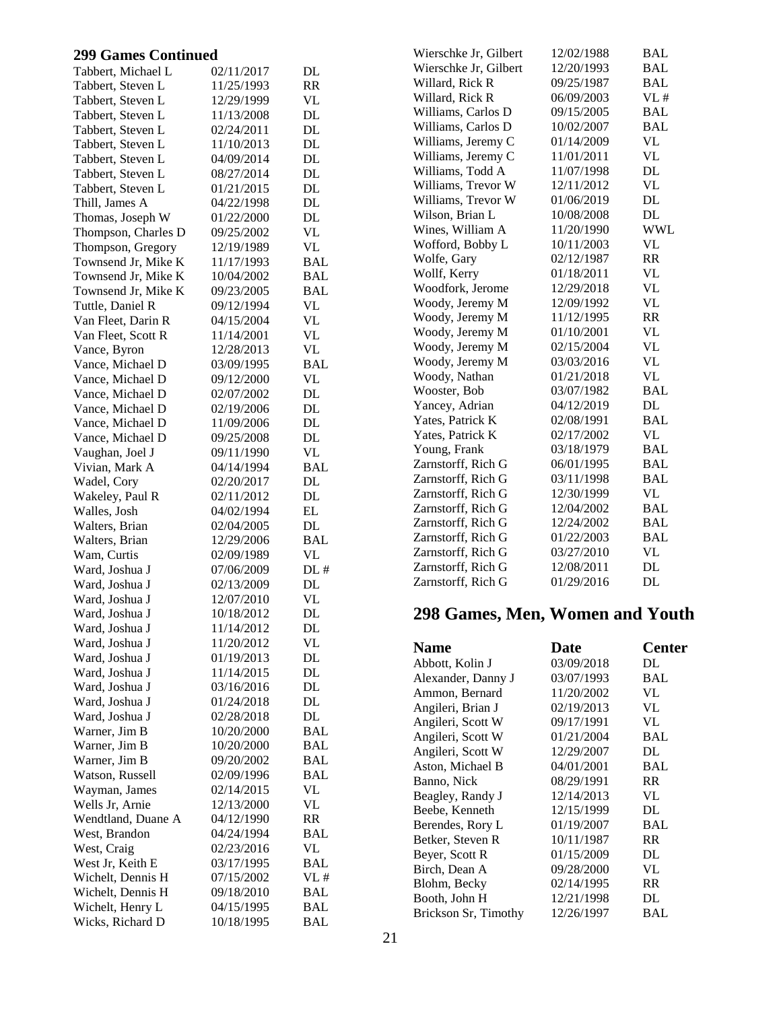| Tabbert, Michael L  | 02/11/2017 | DL         |
|---------------------|------------|------------|
| Tabbert, Steven L   | 11/25/1993 | RR         |
| Tabbert, Steven L   | 12/29/1999 | VL         |
| Tabbert, Steven L   | 11/13/2008 | DL         |
| Tabbert, Steven L   | 02/24/2011 | DL         |
| Tabbert, Steven L   | 11/10/2013 | DL         |
| Tabbert, Steven L   | 04/09/2014 | DL         |
| Tabbert, Steven L   | 08/27/2014 | DL         |
| Tabbert, Steven L   | 01/21/2015 | DL         |
| Thill, James A      | 04/22/1998 | DL         |
|                     | 01/22/2000 | DL         |
| Thomas, Joseph W    |            |            |
| Thompson, Charles D | 09/25/2002 | VL         |
| Thompson, Gregory   | 12/19/1989 | VL         |
| Townsend Jr, Mike K | 11/17/1993 | BAL        |
| Townsend Jr, Mike K | 10/04/2002 | BAL        |
| Townsend Jr, Mike K | 09/23/2005 | BAL        |
| Tuttle, Daniel R    | 09/12/1994 | VL         |
| Van Fleet, Darin R  | 04/15/2004 | VL         |
| Van Fleet, Scott R  | 11/14/2001 | VL         |
| Vance, Byron        | 12/28/2013 | VL         |
| Vance, Michael D    | 03/09/1995 | BAL        |
| Vance, Michael D    | 09/12/2000 | VL         |
| Vance, Michael D    | 02/07/2002 | DL         |
| Vance, Michael D    | 02/19/2006 | DL         |
| Vance, Michael D    | 11/09/2006 | DL         |
| Vance, Michael D    | 09/25/2008 | DL         |
| Vaughan, Joel J     | 09/11/1990 | VL         |
| Vivian, Mark A      | 04/14/1994 | BAL        |
| Wadel, Cory         | 02/20/2017 | DL         |
|                     | 02/11/2012 | DL         |
| Wakeley, Paul R     |            | EL         |
| Walles, Josh        | 04/02/1994 |            |
| Walters, Brian      | 02/04/2005 | DL         |
| Walters, Brian      | 12/29/2006 | <b>BAL</b> |
| Wam, Curtis         | 02/09/1989 | <b>VL</b>  |
| Ward, Joshua J      | 07/06/2009 | DL#        |
| Ward, Joshua J      | 02/13/2009 | DL         |
| Ward, Joshua J      | 12/07/2010 | VL         |
| Ward, Joshua J      | 10/18/2012 | DL         |
| Ward, Joshua J      | 11/14/2012 | DL         |
| Ward, Joshua J      | 11/20/2012 | VL         |
| Ward, Joshua J      | 01/19/2013 | DL         |
| Ward, Joshua J      | 11/14/2015 | DL         |
| Ward, Joshua J      | 03/16/2016 | DL         |
| Ward, Joshua J      | 01/24/2018 | DL         |
| Ward, Joshua J      | 02/28/2018 | DL         |
| Warner, Jim B       | 10/20/2000 | BAL        |
| Warner, Jim B       | 10/20/2000 | BAL        |
| Warner, Jim B       | 09/20/2002 | <b>BAL</b> |
| Watson, Russell     | 02/09/1996 | BAL        |
| Wayman, James       | 02/14/2015 | VL         |
| Wells Jr, Arnie     | 12/13/2000 | VL         |
| Wendtland, Duane A  | 04/12/1990 | RR         |
|                     |            |            |
| West, Brandon       | 04/24/1994 | BAL        |
| West, Craig         | 02/23/2016 | VL         |
| West Jr, Keith E    | 03/17/1995 | <b>BAL</b> |
| Wichelt, Dennis H   | 07/15/2002 | VL#        |
| Wichelt, Dennis H   | 09/18/2010 | <b>BAL</b> |
| Wichelt, Henry L    | 04/15/1995 | BAL        |
| Wicks, Richard D    | 10/18/1995 | <b>BAL</b> |

| Wierschke Jr, Gilbert | 12/02/1988 | <b>BAL</b> |
|-----------------------|------------|------------|
| Wierschke Jr, Gilbert | 12/20/1993 | <b>BAL</b> |
| Willard, Rick R       | 09/25/1987 | BAL        |
| Willard, Rick R       | 06/09/2003 | VL#        |
| Williams, Carlos D    | 09/15/2005 | <b>BAL</b> |
| Williams, Carlos D    | 10/02/2007 | <b>BAL</b> |
| Williams, Jeremy C    | 01/14/2009 | VL         |
| Williams, Jeremy C    | 11/01/2011 | VL         |
| Williams, Todd A      | 11/07/1998 | DL         |
| Williams, Trevor W    | 12/11/2012 | <b>VL</b>  |
| Williams, Trevor W    | 01/06/2019 | DL         |
| Wilson, Brian L       | 10/08/2008 | DL         |
| Wines, William A      | 11/20/1990 | <b>WWL</b> |
| Wofford, Bobby L      | 10/11/2003 | <b>VL</b>  |
| Wolfe, Gary           | 02/12/1987 | <b>RR</b>  |
| Wollf, Kerry          | 01/18/2011 | VL         |
| Woodfork, Jerome      | 12/29/2018 | VL         |
| Woody, Jeremy M       | 12/09/1992 | VL         |
| Woody, Jeremy M       | 11/12/1995 | <b>RR</b>  |
| Woody, Jeremy M       | 01/10/2001 | VL         |
| Woody, Jeremy M       | 02/15/2004 | VL         |
| Woody, Jeremy M       | 03/03/2016 | VL         |
| Woody, Nathan         | 01/21/2018 | VL         |
| Wooster, Bob          | 03/07/1982 | <b>BAL</b> |
| Yancey, Adrian        | 04/12/2019 | DL         |
| Yates, Patrick K      | 02/08/1991 | <b>BAL</b> |
| Yates, Patrick K      | 02/17/2002 | <b>VL</b>  |
| Young, Frank          | 03/18/1979 | <b>BAL</b> |
| Zarnstorff, Rich G    | 06/01/1995 | <b>BAL</b> |
| Zarnstorff, Rich G    | 03/11/1998 | <b>BAL</b> |
| Zarnstorff, Rich G    | 12/30/1999 | <b>VL</b>  |
| Zarnstorff, Rich G    | 12/04/2002 | <b>BAL</b> |
| Zarnstorff, Rich G    | 12/24/2002 | <b>BAL</b> |
| Zarnstorff, Rich G    | 01/22/2003 | <b>BAL</b> |
| Zarnstorff, Rich G    | 03/27/2010 | <b>VL</b>  |
| Zarnstorff, Rich G    | 12/08/2011 | DL         |
| Zarnstorff, Rich G    | 01/29/2016 | DL         |
|                       |            |            |

## **298 Games, Men, Women and Youth**

| <b>Name</b>          | Date       | <b>Center</b> |
|----------------------|------------|---------------|
| Abbott, Kolin J      | 03/09/2018 | DL            |
| Alexander, Danny J   | 03/07/1993 | <b>BAL</b>    |
| Ammon, Bernard       | 11/20/2002 | VL            |
| Angileri, Brian J    | 02/19/2013 | VL            |
| Angileri, Scott W    | 09/17/1991 | VL            |
| Angileri, Scott W    | 01/21/2004 | BAL           |
| Angileri, Scott W    | 12/29/2007 | DL            |
| Aston, Michael B     | 04/01/2001 | <b>BAL</b>    |
| Banno, Nick          | 08/29/1991 | <b>RR</b>     |
| Beagley, Randy J     | 12/14/2013 | VL            |
| Beebe, Kenneth       | 12/15/1999 | DL            |
| Berendes, Rory L     | 01/19/2007 | <b>BAL</b>    |
| Betker, Steven R     | 10/11/1987 | <b>RR</b>     |
| Beyer, Scott R       | 01/15/2009 | DL            |
| Birch, Dean A        | 09/28/2000 | VL            |
| Blohm, Becky         | 02/14/1995 | <b>RR</b>     |
| Booth, John H        | 12/21/1998 | DL            |
| Brickson Sr, Timothy | 12/26/1997 | <b>BAL</b>    |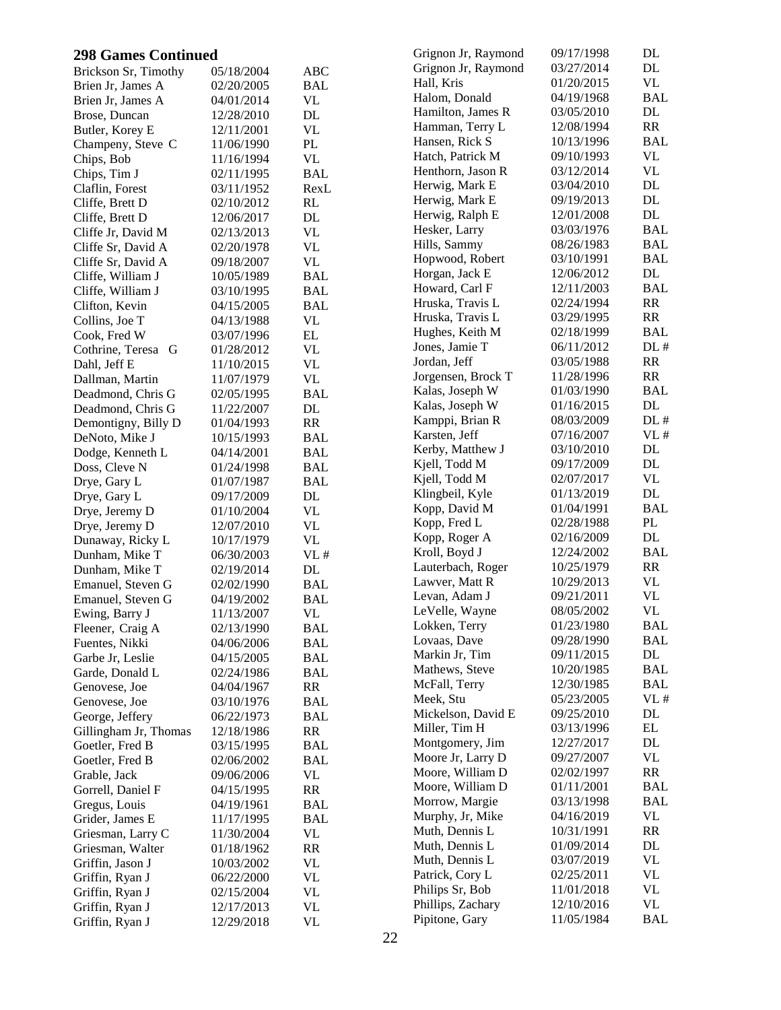| <b>298 Games Continued</b> |            |                          | Grignon Jr, Raymond | 09/17/1998 | DL         |
|----------------------------|------------|--------------------------|---------------------|------------|------------|
| Brickson Sr, Timothy       | 05/18/2004 | <b>ABC</b>               | Grignon Jr, Raymond | 03/27/2014 | DL         |
| Brien Jr, James A          | 02/20/2005 | <b>BAL</b>               | Hall, Kris          | 01/20/2015 | VL         |
| Brien Jr, James A          | 04/01/2014 | <b>VL</b>                | Halom, Donald       | 04/19/1968 | <b>BAL</b> |
| Brose, Duncan              | 12/28/2010 | DL                       | Hamilton, James R   | 03/05/2010 | DL         |
| Butler, Korey E            | 12/11/2001 | <b>VL</b>                | Hamman, Terry L     | 12/08/1994 | RR         |
| Champeny, Steve C          | 11/06/1990 | $\mathbf{PL}$            | Hansen, Rick S      | 10/13/1996 | <b>BAL</b> |
| Chips, Bob                 | 11/16/1994 | <b>VL</b>                | Hatch, Patrick M    | 09/10/1993 | VL         |
| Chips, Tim J               | 02/11/1995 | <b>BAL</b>               | Henthorn, Jason R   | 03/12/2014 | VL         |
| Claflin, Forest            | 03/11/1952 | RexL                     | Herwig, Mark E      | 03/04/2010 | DL         |
| Cliffe, Brett D            | 02/10/2012 | RL                       | Herwig, Mark E      | 09/19/2013 | DL         |
| Cliffe, Brett D            | 12/06/2017 | DL                       | Herwig, Ralph E     | 12/01/2008 | DL         |
| Cliffe Jr, David M         | 02/13/2013 | <b>VL</b>                | Hesker, Larry       | 03/03/1976 | <b>BAL</b> |
| Cliffe Sr, David A         | 02/20/1978 | <b>VL</b>                | Hills, Sammy        | 08/26/1983 | <b>BAL</b> |
| Cliffe Sr, David A         | 09/18/2007 | <b>VL</b>                | Hopwood, Robert     | 03/10/1991 | <b>BAL</b> |
| Cliffe, William J          | 10/05/1989 | <b>BAL</b>               | Horgan, Jack E      | 12/06/2012 | DL         |
| Cliffe, William J          | 03/10/1995 | <b>BAL</b>               | Howard, Carl F      | 12/11/2003 | <b>BAL</b> |
| Clifton, Kevin             | 04/15/2005 | <b>BAL</b>               | Hruska, Travis L    | 02/24/1994 | RR         |
| Collins, Joe T             | 04/13/1988 | <b>VL</b>                | Hruska, Travis L    | 03/29/1995 | RR         |
|                            | 03/07/1996 | $\mathbf{EL}$            | Hughes, Keith M     | 02/18/1999 | <b>BAL</b> |
| Cook, Fred W               |            | <b>VL</b>                | Jones, Jamie T      | 06/11/2012 | DL#        |
| Cothrine, Teresa G         | 01/28/2012 | <b>VL</b>                | Jordan, Jeff        | 03/05/1988 | RR         |
| Dahl, Jeff E               | 11/10/2015 |                          | Jorgensen, Brock T  | 11/28/1996 | RR         |
| Dallman, Martin            | 11/07/1979 | <b>VL</b>                | Kalas, Joseph W     | 01/03/1990 | <b>BAL</b> |
| Deadmond, Chris G          | 02/05/1995 | <b>BAL</b>               | Kalas, Joseph W     | 01/16/2015 | DL         |
| Deadmond, Chris G          | 11/22/2007 | $\rm DL$                 | Kamppi, Brian R     | 08/03/2009 | DL#        |
| Demontigny, Billy D        | 01/04/1993 | RR                       | Karsten, Jeff       | 07/16/2007 | VL#        |
| DeNoto, Mike J             | 10/15/1993 | <b>BAL</b>               | Kerby, Matthew J    | 03/10/2010 | DL         |
| Dodge, Kenneth L           | 04/14/2001 | $\mathbf{BAL}$           |                     |            | DL         |
| Doss, Cleve N              | 01/24/1998 | <b>BAL</b>               | Kjell, Todd M       | 09/17/2009 | VL         |
| Drye, Gary L               | 01/07/1987 | <b>BAL</b>               | Kjell, Todd M       | 02/07/2017 |            |
| Drye, Gary L               | 09/17/2009 | DL                       | Klingbeil, Kyle     | 01/13/2019 | DL         |
| Drye, Jeremy D             | 01/10/2004 | <b>VL</b>                | Kopp, David M       | 01/04/1991 | <b>BAL</b> |
| Drye, Jeremy D             | 12/07/2010 | <b>VL</b>                | Kopp, Fred L        | 02/28/1988 | PL         |
| Dunaway, Ricky L           | 10/17/1979 | $\ensuremath{\text{VL}}$ | Kopp, Roger A       | 02/16/2009 | DL         |
| Dunham, Mike T             | 06/30/2003 | VL#                      | Kroll, Boyd J       | 12/24/2002 | <b>BAL</b> |
| Dunham, Mike T             | 02/19/2014 | DL                       | Lauterbach, Roger   | 10/25/1979 | RR         |
| Emanuel, Steven G          | 02/02/1990 | <b>BAL</b>               | Lawver, Matt R      | 10/29/2013 | <b>VL</b>  |
| Emanuel, Steven G          | 04/19/2002 | <b>BAL</b>               | Levan, Adam J       | 09/21/2011 | <b>VL</b>  |
| Ewing, Barry J             | 11/13/2007 | VL                       | LeVelle, Wayne      | 08/05/2002 | <b>VL</b>  |
| Fleener, Craig A           | 02/13/1990 | <b>BAL</b>               | Lokken, Terry       | 01/23/1980 | <b>BAL</b> |
| Fuentes, Nikki             | 04/06/2006 | <b>BAL</b>               | Lovaas, Dave        | 09/28/1990 | <b>BAL</b> |
| Garbe Jr, Leslie           | 04/15/2005 | <b>BAL</b>               | Markin Jr, Tim      | 09/11/2015 | DL         |
| Garde, Donald L            | 02/24/1986 | <b>BAL</b>               | Mathews, Steve      | 10/20/1985 | <b>BAL</b> |
| Genovese, Joe              | 04/04/1967 | RR                       | McFall, Terry       | 12/30/1985 | <b>BAL</b> |
| Genovese, Joe              | 03/10/1976 | <b>BAL</b>               | Meek, Stu           | 05/23/2005 | VL#        |
| George, Jeffery            | 06/22/1973 | <b>BAL</b>               | Mickelson, David E  | 09/25/2010 | DL         |
| Gillingham Jr, Thomas      | 12/18/1986 | <b>RR</b>                | Miller, Tim H       | 03/13/1996 | EL         |
| Goetler, Fred B            | 03/15/1995 | <b>BAL</b>               | Montgomery, Jim     | 12/27/2017 | DL         |
| Goetler, Fred B            | 02/06/2002 | <b>BAL</b>               | Moore Jr, Larry D   | 09/27/2007 | <b>VL</b>  |
| Grable, Jack               | 09/06/2006 | <b>VL</b>                | Moore, William D    | 02/02/1997 | RR         |
| Gorrell, Daniel F          | 04/15/1995 | RR                       | Moore, William D    | 01/11/2001 | <b>BAL</b> |
| Gregus, Louis              | 04/19/1961 | <b>BAL</b>               | Morrow, Margie      | 03/13/1998 | <b>BAL</b> |
| Grider, James E            | 11/17/1995 | <b>BAL</b>               | Murphy, Jr, Mike    | 04/16/2019 | VL         |
| Griesman, Larry C          | 11/30/2004 | <b>VL</b>                | Muth, Dennis L      | 10/31/1991 | RR         |
| Griesman, Walter           | 01/18/1962 | RR                       | Muth, Dennis L      | 01/09/2014 | DL         |
| Griffin, Jason J           | 10/03/2002 | <b>VL</b>                | Muth, Dennis L      | 03/07/2019 | VL         |
| Griffin, Ryan J            | 06/22/2000 | <b>VL</b>                | Patrick, Cory L     | 02/25/2011 | VL         |
| Griffin, Ryan J            | 02/15/2004 | <b>VL</b>                | Philips Sr, Bob     | 11/01/2018 | <b>VL</b>  |
| Griffin, Ryan J            | 12/17/2013 | <b>VL</b>                | Phillips, Zachary   | 12/10/2016 | VL         |
| Griffin, Ryan J            | 12/29/2018 | <b>VL</b>                | Pipitone, Gary      | 11/05/1984 | <b>BAL</b> |
|                            |            |                          |                     |            |            |